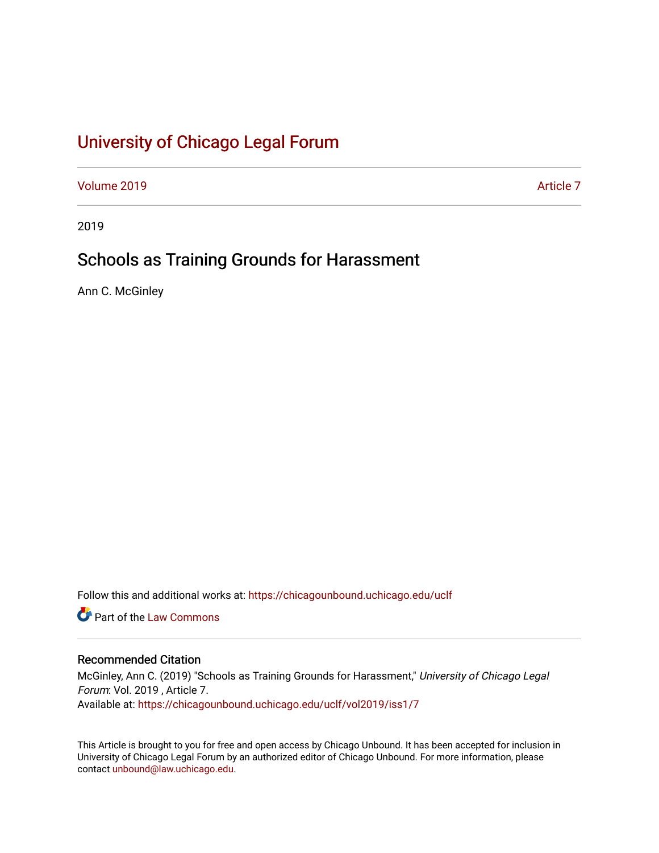# [University of Chicago Legal Forum](https://chicagounbound.uchicago.edu/uclf)

[Volume 2019](https://chicagounbound.uchicago.edu/uclf/vol2019) [Article 7](https://chicagounbound.uchicago.edu/uclf/vol2019/iss1/7) 

2019

## Schools as Training Grounds for Harassment

Ann C. McGinley

Follow this and additional works at: [https://chicagounbound.uchicago.edu/uclf](https://chicagounbound.uchicago.edu/uclf?utm_source=chicagounbound.uchicago.edu%2Fuclf%2Fvol2019%2Fiss1%2F7&utm_medium=PDF&utm_campaign=PDFCoverPages) 

**C** Part of the [Law Commons](http://network.bepress.com/hgg/discipline/578?utm_source=chicagounbound.uchicago.edu%2Fuclf%2Fvol2019%2Fiss1%2F7&utm_medium=PDF&utm_campaign=PDFCoverPages)

## Recommended Citation

McGinley, Ann C. (2019) "Schools as Training Grounds for Harassment," University of Chicago Legal Forum: Vol. 2019 , Article 7. Available at: [https://chicagounbound.uchicago.edu/uclf/vol2019/iss1/7](https://chicagounbound.uchicago.edu/uclf/vol2019/iss1/7?utm_source=chicagounbound.uchicago.edu%2Fuclf%2Fvol2019%2Fiss1%2F7&utm_medium=PDF&utm_campaign=PDFCoverPages) 

This Article is brought to you for free and open access by Chicago Unbound. It has been accepted for inclusion in University of Chicago Legal Forum by an authorized editor of Chicago Unbound. For more information, please contact [unbound@law.uchicago.edu](mailto:unbound@law.uchicago.edu).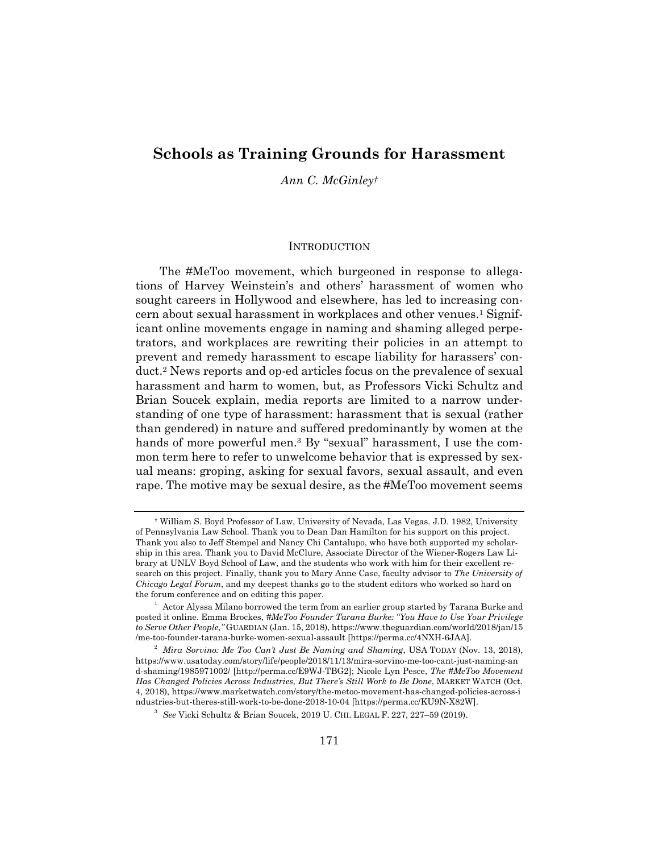## **Schools as Training Grounds for Harassment**

*Ann C. McGinley†*

#### **INTRODUCTION**

The #MeToo movement, which burgeoned in response to allegations of Harvey Weinstein's and others' harassment of women who sought careers in Hollywood and elsewhere, has led to increasing concern about sexual harassment in workplaces and other venues.1 Significant online movements engage in naming and shaming alleged perpetrators, and workplaces are rewriting their policies in an attempt to prevent and remedy harassment to escape liability for harassers' conduct.2 News reports and op-ed articles focus on the prevalence of sexual harassment and harm to women, but, as Professors Vicki Schultz and Brian Soucek explain, media reports are limited to a narrow understanding of one type of harassment: harassment that is sexual (rather than gendered) in nature and suffered predominantly by women at the hands of more powerful men.<sup>3</sup> By "sexual" harassment, I use the common term here to refer to unwelcome behavior that is expressed by sexual means: groping, asking for sexual favors, sexual assault, and even rape. The motive may be sexual desire, as the #MeToo movement seems

 <sup>†</sup> William S. Boyd Professor of Law, University of Nevada, Las Vegas. J.D. 1982, University of Pennsylvania Law School. Thank you to Dean Dan Hamilton for his support on this project. Thank you also to Jeff Stempel and Nancy Chi Cantalupo, who have both supported my scholarship in this area. Thank you to David McClure, Associate Director of the Wiener-Rogers Law Library at UNLV Boyd School of Law, and the students who work with him for their excellent research on this project. Finally, thank you to Mary Anne Case, faculty advisor to *The University of Chicago Legal Forum*, and my deepest thanks go to the student editors who worked so hard on the forum conference and on editing this paper.

 $^{\rm 1}$  Actor Alyssa Milano borrowed the term from an earlier group started by Tarana Burke and posted it online. Emma Brockes, *#MeToo Founder Tarana Burke: "You Have to Use Your Privilege to Serve Other People,"* GUARDIAN (Jan. 15, 2018), https://www.theguardian.com/world/2018/jan/15 /me-too-founder-tarana-burke-women-sexual-assault [https://perma.cc/4NXH-6JAA]. 2

*Mira Sorvino: Me Too Can't Just Be Naming and Shaming*, USA TODAY (Nov. 13, 2018), https://www.usatoday.com/story/life/people/2018/11/13/mira-sorvino-me-too-cant-just-naming-an d-shaming/1985971002/ [http://perma.cc/E9WJ-TBG2]; Nicole Lyn Pesce, *The #MeToo Movement Has Changed Policies Across Industries, But There's Still Work to Be Done*, MARKET WATCH (Oct. 4, 2018), https://www.marketwatch.com/story/the-metoo-movement-has-changed-policies-across-i ndustries-but-theres-still-work-to-be-done-2018-10-04 [https://perma.cc/KU9N-X82W]. 3

*See* Vicki Schultz & Brian Soucek, 2019 U. CHI. LEGAL F. 227, 227–59 (2019).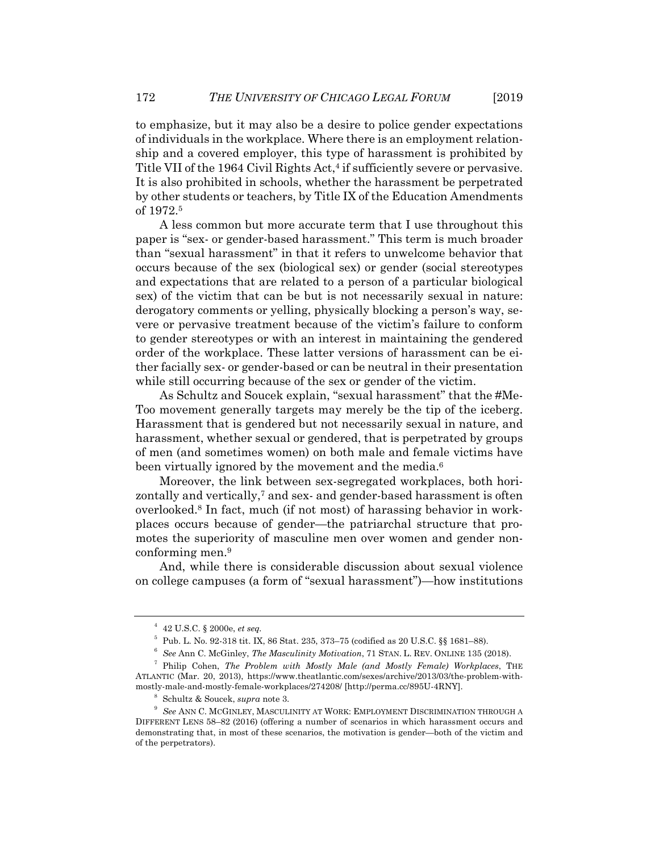to emphasize, but it may also be a desire to police gender expectations of individuals in the workplace. Where there is an employment relationship and a covered employer, this type of harassment is prohibited by Title VII of the 1964 Civil Rights Act,<sup>4</sup> if sufficiently severe or pervasive. It is also prohibited in schools, whether the harassment be perpetrated by other students or teachers, by Title IX of the Education Amendments of 1972.5

A less common but more accurate term that I use throughout this paper is "sex- or gender-based harassment." This term is much broader than "sexual harassment" in that it refers to unwelcome behavior that occurs because of the sex (biological sex) or gender (social stereotypes and expectations that are related to a person of a particular biological sex) of the victim that can be but is not necessarily sexual in nature: derogatory comments or yelling, physically blocking a person's way, severe or pervasive treatment because of the victim's failure to conform to gender stereotypes or with an interest in maintaining the gendered order of the workplace. These latter versions of harassment can be either facially sex- or gender-based or can be neutral in their presentation while still occurring because of the sex or gender of the victim.

As Schultz and Soucek explain, "sexual harassment" that the #Me-Too movement generally targets may merely be the tip of the iceberg. Harassment that is gendered but not necessarily sexual in nature, and harassment, whether sexual or gendered, that is perpetrated by groups of men (and sometimes women) on both male and female victims have been virtually ignored by the movement and the media.<sup>6</sup>

Moreover, the link between sex-segregated workplaces, both horizontally and vertically,<sup>7</sup> and sex- and gender-based harassment is often overlooked.8 In fact, much (if not most) of harassing behavior in workplaces occurs because of gender—the patriarchal structure that promotes the superiority of masculine men over women and gender nonconforming men.9

And, while there is considerable discussion about sexual violence on college campuses (a form of "sexual harassment")—how institutions

<sup>4</sup> 42 U.S.C. § 2000e, *et seq.*

 $5$  Pub. L. No. 92-318 tit. IX, 86 Stat. 235, 373–75 (codified as 20 U.S.C. §§ 1681–88).

<sup>&</sup>lt;sup>6</sup> See Ann C. McGinley, *The Masculinity Motivation*, 71 STAN. L. REV. ONLINE 135 (2018).

Philip Cohen, *The Problem with Mostly Male (and Mostly Female) Workplaces*, THE ATLANTIC (Mar. 20, 2013), https://www.theatlantic.com/sexes/archive/2013/03/the-problem-withmostly-male-and-mostly-female-workplaces/274208/ [http://perma.cc/895U-4RNY]. 8

Schultz & Soucek, *supra* note 3. 9

*See* ANN C. MCGINLEY, MASCULINITY AT WORK: EMPLOYMENT DISCRIMINATION THROUGH A DIFFERENT LENS 58–82 (2016) (offering a number of scenarios in which harassment occurs and demonstrating that, in most of these scenarios, the motivation is gender—both of the victim and of the perpetrators).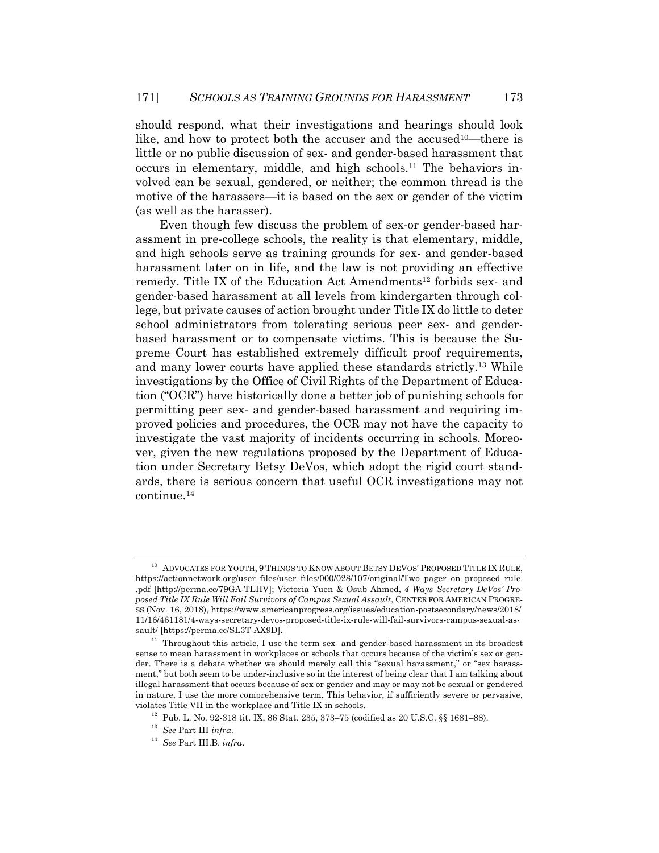should respond, what their investigations and hearings should look like, and how to protect both the accuser and the accused<sup>10</sup>—there is little or no public discussion of sex- and gender-based harassment that occurs in elementary, middle, and high schools.11 The behaviors involved can be sexual, gendered, or neither; the common thread is the motive of the harassers—it is based on the sex or gender of the victim (as well as the harasser).

Even though few discuss the problem of sex-or gender-based harassment in pre-college schools, the reality is that elementary, middle, and high schools serve as training grounds for sex- and gender-based harassment later on in life, and the law is not providing an effective remedy. Title IX of the Education Act Amendments<sup>12</sup> forbids sex- and gender-based harassment at all levels from kindergarten through college, but private causes of action brought under Title IX do little to deter school administrators from tolerating serious peer sex- and genderbased harassment or to compensate victims. This is because the Supreme Court has established extremely difficult proof requirements, and many lower courts have applied these standards strictly.13 While investigations by the Office of Civil Rights of the Department of Education ("OCR") have historically done a better job of punishing schools for permitting peer sex- and gender-based harassment and requiring improved policies and procedures, the OCR may not have the capacity to investigate the vast majority of incidents occurring in schools. Moreover, given the new regulations proposed by the Department of Education under Secretary Betsy DeVos, which adopt the rigid court standards, there is serious concern that useful OCR investigations may not continue.14

<sup>&</sup>lt;sup>10</sup> ADVOCATES FOR YOUTH, 9 THINGS TO KNOW ABOUT BETSY DEVOS' PROPOSED TITLE IX RULE, https://actionnetwork.org/user\_files/user\_files/000/028/107/original/Two\_pager\_on\_proposed\_rule .pdf [http://perma.cc/79GA-TLHV]; Victoria Yuen & Osub Ahmed, *4 Ways Secretary DeVos' Proposed Title IX Rule Will Fail Survivors of Campus Sexual Assault*, CENTER FOR AMERICAN PROGRE-SS (Nov. 16, 2018), https://www.americanprogress.org/issues/education-postsecondary/news/2018/ 11/16/461181/4-ways-secretary-devos-proposed-title-ix-rule-will-fail-survivors-campus-sexual-as-

sault/ [https://perma.cc/SL3T-AX9D].  $11$  Throughout this article, I use the term sex- and gender-based harassment in its broadest sense to mean harassment in workplaces or schools that occurs because of the victim's sex or gender. There is a debate whether we should merely call this "sexual harassment," or "sex harassment," but both seem to be under-inclusive so in the interest of being clear that I am talking about illegal harassment that occurs because of sex or gender and may or may not be sexual or gendered in nature, I use the more comprehensive term. This behavior, if sufficiently severe or pervasive,

 $^{12}$  Pub. L. No. 92-318 tit. IX, 86 Stat. 235, 373–75 (codified as 20 U.S.C. §§ 1681–88).  $^{13}$  See Part III  $infra$ 

<sup>13</sup> *See* Part III *infra*. 14 *See* Part III.B. *infra*.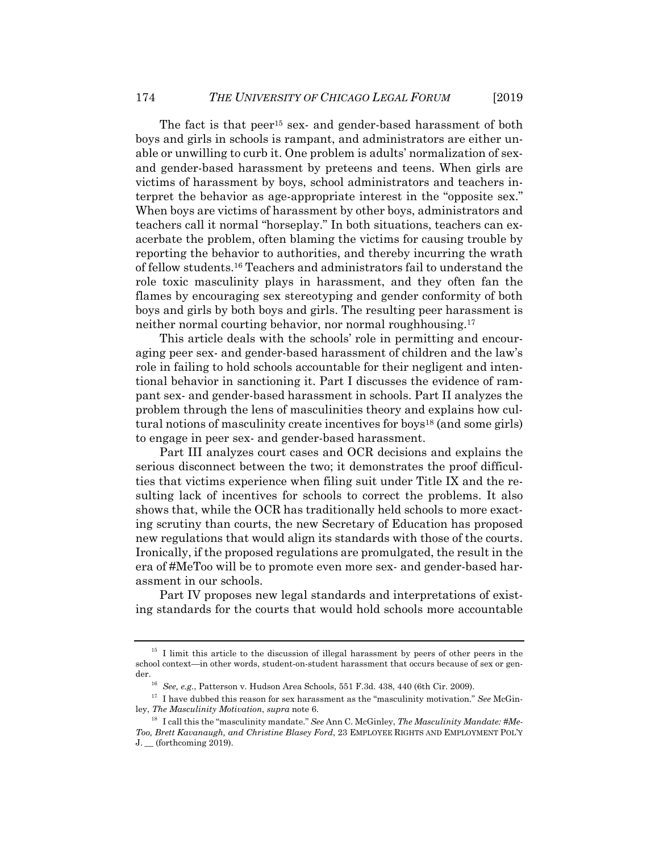The fact is that peer<sup>15</sup> sex- and gender-based harassment of both boys and girls in schools is rampant, and administrators are either unable or unwilling to curb it. One problem is adults' normalization of sexand gender-based harassment by preteens and teens. When girls are victims of harassment by boys, school administrators and teachers interpret the behavior as age-appropriate interest in the "opposite sex." When boys are victims of harassment by other boys, administrators and teachers call it normal "horseplay." In both situations, teachers can exacerbate the problem, often blaming the victims for causing trouble by reporting the behavior to authorities, and thereby incurring the wrath of fellow students.16 Teachers and administrators fail to understand the role toxic masculinity plays in harassment, and they often fan the flames by encouraging sex stereotyping and gender conformity of both boys and girls by both boys and girls. The resulting peer harassment is neither normal courting behavior, nor normal roughhousing.<sup>17</sup>

This article deals with the schools' role in permitting and encouraging peer sex- and gender-based harassment of children and the law's role in failing to hold schools accountable for their negligent and intentional behavior in sanctioning it. Part I discusses the evidence of rampant sex- and gender-based harassment in schools. Part II analyzes the problem through the lens of masculinities theory and explains how cultural notions of masculinity create incentives for boys18 (and some girls) to engage in peer sex- and gender-based harassment.

Part III analyzes court cases and OCR decisions and explains the serious disconnect between the two; it demonstrates the proof difficulties that victims experience when filing suit under Title IX and the resulting lack of incentives for schools to correct the problems. It also shows that, while the OCR has traditionally held schools to more exacting scrutiny than courts, the new Secretary of Education has proposed new regulations that would align its standards with those of the courts. Ironically, if the proposed regulations are promulgated, the result in the era of #MeToo will be to promote even more sex- and gender-based harassment in our schools.

Part IV proposes new legal standards and interpretations of existing standards for the courts that would hold schools more accountable

<sup>&</sup>lt;sup>15</sup> I limit this article to the discussion of illegal harassment by peers of other peers in the school context—in other words, student-on-student harassment that occurs because of sex or gen-

der.<br><sup>16</sup> See, e.g., Patterson v. Hudson Area Schools, 551 F.3d. 438, 440 (6th Cir. 2009).<br><sup>17</sup> I have dubbed this reason for sex harassment as the "masculinity motivation." *See* McGin-<br>ley, *The Masculinity Motivation*,

<sup>&</sup>lt;sup>18</sup> I call this the "masculinity mandate." See Ann C. McGinley, *The Masculinity Mandate:* #Me-*Too, Brett Kavanaugh, and Christine Blasey Ford*, 23 EMPLOYEE RIGHTS AND EMPLOYMENT POL'Y  $J_{\cdot}$  (forthcoming 2019).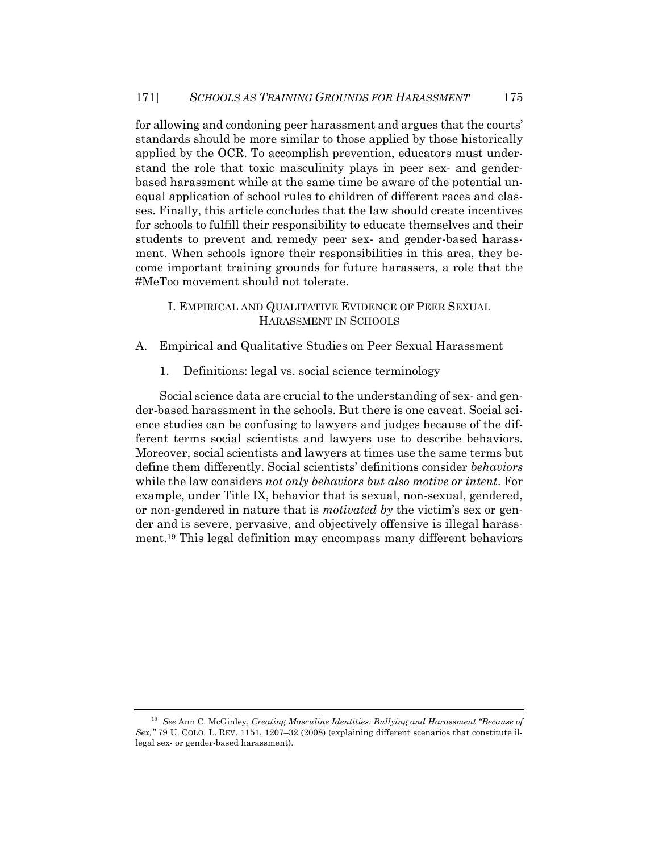for allowing and condoning peer harassment and argues that the courts' standards should be more similar to those applied by those historically applied by the OCR. To accomplish prevention, educators must understand the role that toxic masculinity plays in peer sex- and genderbased harassment while at the same time be aware of the potential unequal application of school rules to children of different races and classes. Finally, this article concludes that the law should create incentives for schools to fulfill their responsibility to educate themselves and their students to prevent and remedy peer sex- and gender-based harassment. When schools ignore their responsibilities in this area, they become important training grounds for future harassers, a role that the #MeToo movement should not tolerate.

## I. EMPIRICAL AND QUALITATIVE EVIDENCE OF PEER SEXUAL HARASSMENT IN SCHOOLS

- A. Empirical and Qualitative Studies on Peer Sexual Harassment
	- 1. Definitions: legal vs. social science terminology

Social science data are crucial to the understanding of sex- and gender-based harassment in the schools. But there is one caveat. Social science studies can be confusing to lawyers and judges because of the different terms social scientists and lawyers use to describe behaviors. Moreover, social scientists and lawyers at times use the same terms but define them differently. Social scientists' definitions consider *behaviors* while the law considers *not only behaviors but also motive or intent*. For example, under Title IX, behavior that is sexual, non-sexual, gendered, or non-gendered in nature that is *motivated by* the victim's sex or gender and is severe, pervasive, and objectively offensive is illegal harassment.19 This legal definition may encompass many different behaviors

<sup>19</sup> *See* Ann C. McGinley, *Creating Masculine Identities: Bullying and Harassment "Because of Sex,"* 79 U. COLO. L. REV. 1151, 1207–32 (2008) (explaining different scenarios that constitute illegal sex- or gender-based harassment).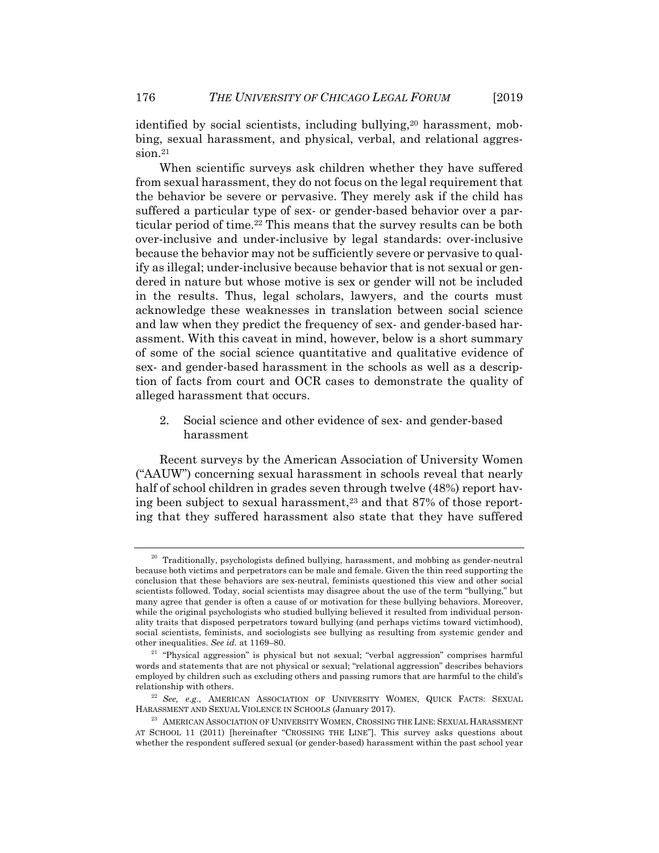identified by social scientists, including bullying,<sup>20</sup> harassment, mobbing, sexual harassment, and physical, verbal, and relational aggression.<sup>21</sup>

When scientific surveys ask children whether they have suffered from sexual harassment, they do not focus on the legal requirement that the behavior be severe or pervasive. They merely ask if the child has suffered a particular type of sex- or gender-based behavior over a particular period of time.22 This means that the survey results can be both over-inclusive and under-inclusive by legal standards: over-inclusive because the behavior may not be sufficiently severe or pervasive to qualify as illegal; under-inclusive because behavior that is not sexual or gendered in nature but whose motive is sex or gender will not be included in the results. Thus, legal scholars, lawyers, and the courts must acknowledge these weaknesses in translation between social science and law when they predict the frequency of sex- and gender-based harassment. With this caveat in mind, however, below is a short summary of some of the social science quantitative and qualitative evidence of sex- and gender-based harassment in the schools as well as a description of facts from court and OCR cases to demonstrate the quality of alleged harassment that occurs.

2. Social science and other evidence of sex- and gender-based harassment

Recent surveys by the American Association of University Women ("AAUW") concerning sexual harassment in schools reveal that nearly half of school children in grades seven through twelve (48%) report having been subject to sexual harassment,<sup>23</sup> and that 87% of those reporting that they suffered harassment also state that they have suffered

 $20$  Traditionally, psychologists defined bullying, harassment, and mobbing as gender-neutral because both victims and perpetrators can be male and female. Given the thin reed supporting the conclusion that these behaviors are sex-neutral, feminists questioned this view and other social scientists followed. Today, social scientists may disagree about the use of the term "bullying," but many agree that gender is often a cause of or motivation for these bullying behaviors. Moreover, while the original psychologists who studied bullying believed it resulted from individual personality traits that disposed perpetrators toward bullying (and perhaps victims toward victimhood), social scientists, feminists, and sociologists see bullying as resulting from systemic gender and other inequalities. *See id.* at 1169–80. 21 "Physical aggression" is physical but not sexual; "verbal aggression" comprises harmful

words and statements that are not physical or sexual; "relational aggression" describes behaviors employed by children such as excluding others and passing rumors that are harmful to the child's

relationship with others.<br><sup>22</sup> *See, e.g.*, AMERICAN ASSOCIATION OF UNIVERSITY WOMEN, QUICK FACTS: SEXUAL HARASSMENT AND SEXUAL VIOLENCE IN SCHOOLS (January 2017).

 $^\mathrm{23}$ AMERICAN ASSOCIATION OF UNIVERSITY WOMEN, CROSSING THE LINE: SEXUAL HARASSMENT AT SCHOOL 11 (2011) [hereinafter "CROSSING THE LINE"]. This survey asks questions about whether the respondent suffered sexual (or gender-based) harassment within the past school year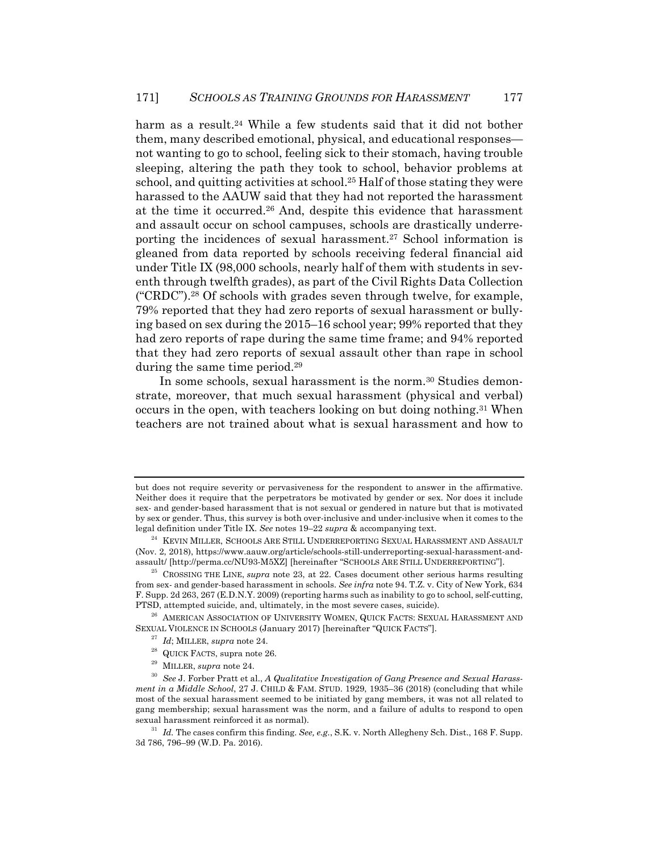harm as a result.<sup>24</sup> While a few students said that it did not bother them, many described emotional, physical, and educational responses not wanting to go to school, feeling sick to their stomach, having trouble sleeping, altering the path they took to school, behavior problems at school, and quitting activities at school.25 Half of those stating they were harassed to the AAUW said that they had not reported the harassment at the time it occurred.26 And, despite this evidence that harassment and assault occur on school campuses, schools are drastically underreporting the incidences of sexual harassment.<sup>27</sup> School information is gleaned from data reported by schools receiving federal financial aid under Title IX (98,000 schools, nearly half of them with students in seventh through twelfth grades), as part of the Civil Rights Data Collection ("CRDC").28 Of schools with grades seven through twelve, for example, 79% reported that they had zero reports of sexual harassment or bullying based on sex during the 2015–16 school year; 99% reported that they had zero reports of rape during the same time frame; and 94% reported that they had zero reports of sexual assault other than rape in school during the same time period.<sup>29</sup>

In some schools, sexual harassment is the norm.<sup>30</sup> Studies demonstrate, moreover, that much sexual harassment (physical and verbal) occurs in the open, with teachers looking on but doing nothing.31 When teachers are not trained about what is sexual harassment and how to

- 
- 
- 

but does not require severity or pervasiveness for the respondent to answer in the affirmative. Neither does it require that the perpetrators be motivated by gender or sex. Nor does it include sex- and gender-based harassment that is not sexual or gendered in nature but that is motivated by sex or gender. Thus, this survey is both over-inclusive and under-inclusive when it comes to the legal definition under Title IX. See notes  $19-22 \, \text{supra}$  & accompanying text.

<sup>&</sup>lt;sup>24</sup> KEVIN MILLER, SCHOOLS ARE STILL UNDERREPORTING SEXUAL HARASSMENT AND ASSAULT (Nov. 2, 2018), https://www.aauw.org/article/schools-still-underreporting-sexual-harassment-and-

<sup>&</sup>lt;sup>25</sup> CROSSING THE LINE, *supra* note 23, at 22. Cases document other serious harms resulting from sex- and gender-based harassment in schools. *See infra* note 94. T.Z. v. City of New York, 634 F. Supp. 2d 263, 267 (E.D.N.Y. 2009) (reporting harms such as inability to go to school, self-cutting,

PTSD, attempted suicide, and, ultimately, in the most severe cases, suicide).<br><sup>26</sup> AMERICAN ASSOCIATION OF UNIVERSITY WOMEN, QUICK FACTS: SEXUAL HARASSMENT AND<br>SEXUAL VIOLENCE IN SCHOOLS (January 2017) [hereinafter "QUICK

<sup>&</sup>lt;sup>27</sup> *Id*; MILLER, *supra* note 24.<br><sup>28</sup> QUICK FACTS, supra note 26.<br><sup>29</sup> MILLER, *supra* note 24.<br><sup>30</sup> See J. Forber Pratt et al., *A Qualitative Investigation of Gang Presence and Sexual Harassment in a Middle School*, 27 J. CHILD & FAM. STUD. 1929, 1935–36 (2018) (concluding that while most of the sexual harassment seemed to be initiated by gang members, it was not all related to gang membership; sexual harassment was the norm, and a failure of adults to respond to open sexual harassment reinforced it as normal). 31 *Id.* The cases confirm this finding. *See, e.g.*, S.K. v. North Allegheny Sch. Dist., 168 F. Supp.

<sup>3</sup>d 786, 796–99 (W.D. Pa. 2016).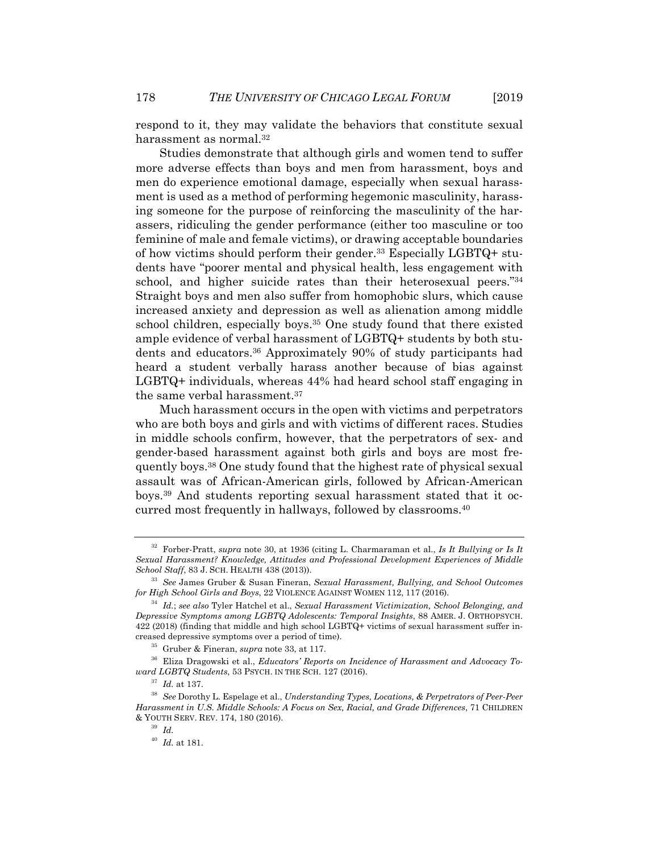respond to it, they may validate the behaviors that constitute sexual harassment as normal.<sup>32</sup>

Studies demonstrate that although girls and women tend to suffer more adverse effects than boys and men from harassment, boys and men do experience emotional damage, especially when sexual harassment is used as a method of performing hegemonic masculinity, harassing someone for the purpose of reinforcing the masculinity of the harassers, ridiculing the gender performance (either too masculine or too feminine of male and female victims), or drawing acceptable boundaries of how victims should perform their gender.33 Especially LGBTQ+ students have "poorer mental and physical health, less engagement with school, and higher suicide rates than their heterosexual peers."34 Straight boys and men also suffer from homophobic slurs, which cause increased anxiety and depression as well as alienation among middle school children, especially boys.<sup>35</sup> One study found that there existed ample evidence of verbal harassment of LGBTQ+ students by both students and educators.36 Approximately 90% of study participants had heard a student verbally harass another because of bias against LGBTQ+ individuals, whereas 44% had heard school staff engaging in the same verbal harassment.<sup>37</sup>

Much harassment occurs in the open with victims and perpetrators who are both boys and girls and with victims of different races. Studies in middle schools confirm, however, that the perpetrators of sex- and gender-based harassment against both girls and boys are most frequently boys.38 One study found that the highest rate of physical sexual assault was of African-American girls, followed by African-American boys.39 And students reporting sexual harassment stated that it occurred most frequently in hallways, followed by classrooms.40

<sup>32</sup> Forber-Pratt, *supra* note 30, at 1936 (citing L. Charmaraman et al., *Is It Bullying or Is It Sexual Harassment? Knowledge, Attitudes and Professional Development Experiences of Middle* 

<sup>&</sup>lt;sup>33</sup> See James Gruber & Susan Fineran, *Sexual Harassment, Bullying, and School Outcomes* for High School Girls and Boys, 22 VIOLENCE AGAINST WOMEN 112, 117 (2016).

<sup>&</sup>lt;sup>34</sup> Id.; see also Tyler Hatchel et al., *Sexual Harassment Victimization, School Belonging, and Depressive Symptoms among LGBTQ Adolescents: Temporal Insights*, 88 AMER. J. ORTHOPSYCH. 422 (2018) (finding that middle and high school LGBTQ+ victims of sexual harassment suffer in-

creased depressive symptoms over a period of time). 35 Gruber & Fineran, *supra* note 33, at 117. 36 Eliza Dragowski et al., *Educators' Reports on Incidence of Harassment and Advocacy Toward LGBTQ Students*, 53 PSYCH. IN THE SCH. 127 (2016). 37 *Id.* at 137. 38 *See* Dorothy L. Espelage et al., *Understanding Types, Locations, & Perpetrators of Peer-Peer* 

*Harassment in U.S. Middle Schools: A Focus on Sex, Racial, and Grade Differences*, 71 CHILDREN & YOUTH SERV. REV. 174, 180 (2016). 39 *Id.*

<sup>40</sup> *Id.* at 181.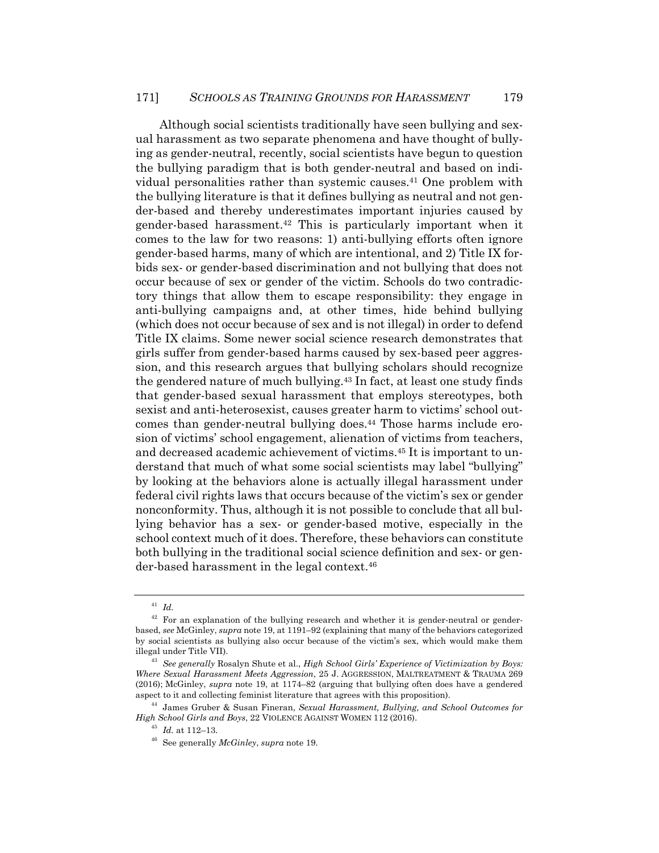Although social scientists traditionally have seen bullying and sexual harassment as two separate phenomena and have thought of bullying as gender-neutral, recently, social scientists have begun to question the bullying paradigm that is both gender-neutral and based on individual personalities rather than systemic causes.41 One problem with the bullying literature is that it defines bullying as neutral and not gender-based and thereby underestimates important injuries caused by gender-based harassment.42 This is particularly important when it comes to the law for two reasons: 1) anti-bullying efforts often ignore gender-based harms, many of which are intentional, and 2) Title IX forbids sex- or gender-based discrimination and not bullying that does not occur because of sex or gender of the victim. Schools do two contradictory things that allow them to escape responsibility: they engage in anti-bullying campaigns and, at other times, hide behind bullying (which does not occur because of sex and is not illegal) in order to defend Title IX claims. Some newer social science research demonstrates that girls suffer from gender-based harms caused by sex-based peer aggression, and this research argues that bullying scholars should recognize the gendered nature of much bullying.43 In fact, at least one study finds that gender-based sexual harassment that employs stereotypes, both sexist and anti-heterosexist, causes greater harm to victims' school outcomes than gender-neutral bullying does.<sup>44</sup> Those harms include erosion of victims' school engagement, alienation of victims from teachers, and decreased academic achievement of victims.45 It is important to understand that much of what some social scientists may label "bullying" by looking at the behaviors alone is actually illegal harassment under federal civil rights laws that occurs because of the victim's sex or gender nonconformity. Thus, although it is not possible to conclude that all bullying behavior has a sex- or gender-based motive, especially in the school context much of it does. Therefore, these behaviors can constitute both bullying in the traditional social science definition and sex- or gender-based harassment in the legal context.46

<sup>41</sup> *Id.*

 $42$  For an explanation of the bullying research and whether it is gender-neutral or genderbased, *see* McGinley, *supra* note 19, at 1191–92 (explaining that many of the behaviors categorized by social scientists as bullying also occur because of the victim's sex, which would make them illegal under Title VII). 43 *See generally* Rosalyn Shute et al., *High School Girls' Experience of Victimization by Boys:* 

*Where Sexual Harassment Meets Aggression*, 25 J. AGGRESSION, MALTREATMENT & TRAUMA 269 (2016); McGinley, *supra* note 19, at 1174–82 (arguing that bullying often does have a gendered aspect to it and collecting feminist literature that agrees with this proposition). 44 James Gruber & Susan Fineran, *Sexual Harassment, Bullying, and School Outcomes for* 

*High School Girls and Boys*, 22 VIOLENCE AGAINST WOMEN 112 (2016). 45 *Id.* at 112–13. 46 See generally *McGinley*, *supra* note 19.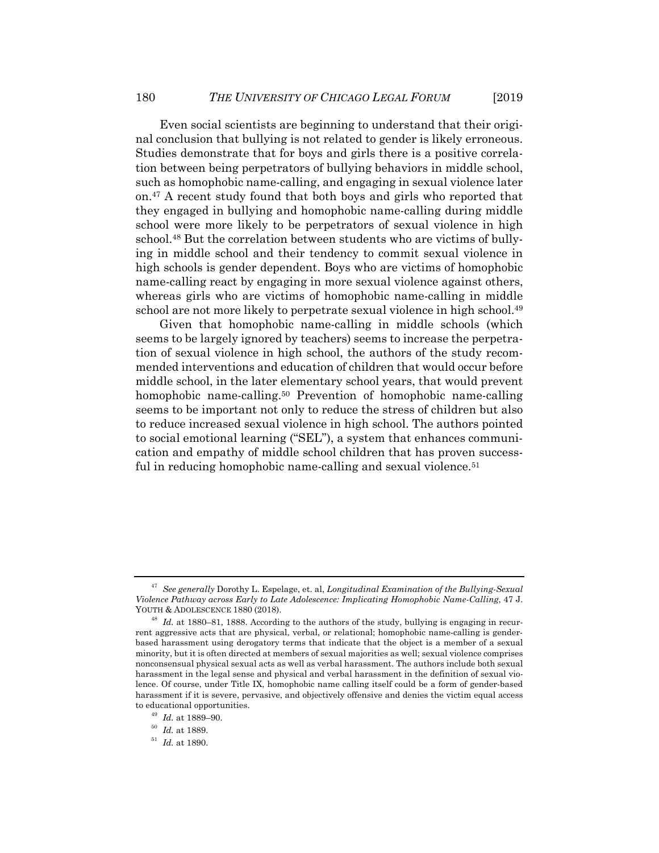Even social scientists are beginning to understand that their original conclusion that bullying is not related to gender is likely erroneous. Studies demonstrate that for boys and girls there is a positive correlation between being perpetrators of bullying behaviors in middle school, such as homophobic name-calling, and engaging in sexual violence later on.47 A recent study found that both boys and girls who reported that they engaged in bullying and homophobic name-calling during middle school were more likely to be perpetrators of sexual violence in high school.48 But the correlation between students who are victims of bullying in middle school and their tendency to commit sexual violence in high schools is gender dependent. Boys who are victims of homophobic name-calling react by engaging in more sexual violence against others, whereas girls who are victims of homophobic name-calling in middle school are not more likely to perpetrate sexual violence in high school.49

Given that homophobic name-calling in middle schools (which seems to be largely ignored by teachers) seems to increase the perpetration of sexual violence in high school, the authors of the study recommended interventions and education of children that would occur before middle school, in the later elementary school years, that would prevent homophobic name-calling.<sup>50</sup> Prevention of homophobic name-calling seems to be important not only to reduce the stress of children but also to reduce increased sexual violence in high school. The authors pointed to social emotional learning ("SEL"), a system that enhances communication and empathy of middle school children that has proven successful in reducing homophobic name-calling and sexual violence.<sup>51</sup>

<sup>47</sup> *See generally* Dorothy L. Espelage, et. al, *Longitudinal Examination of the Bullying-Sexual Violence Pathway across Early to Late Adolescence: Implicating Homophobic Name-Calling*, 47 J. YOUTH & ADOLESCENCE 1880 (2018). 48 *Id.* at 1880–81, 1888. According to the authors of the study, bullying is engaging in recur-

rent aggressive acts that are physical, verbal, or relational; homophobic name-calling is genderbased harassment using derogatory terms that indicate that the object is a member of a sexual minority, but it is often directed at members of sexual majorities as well; sexual violence comprises nonconsensual physical sexual acts as well as verbal harassment. The authors include both sexual harassment in the legal sense and physical and verbal harassment in the definition of sexual violence. Of course, under Title IX, homophobic name calling itself could be a form of gender-based harassment if it is severe, pervasive, and objectively offensive and denies the victim equal access to educational opportunities. 49 *Id.* at 1889–90. 50 *Id.* at 1889. 51 *Id.* at 1890.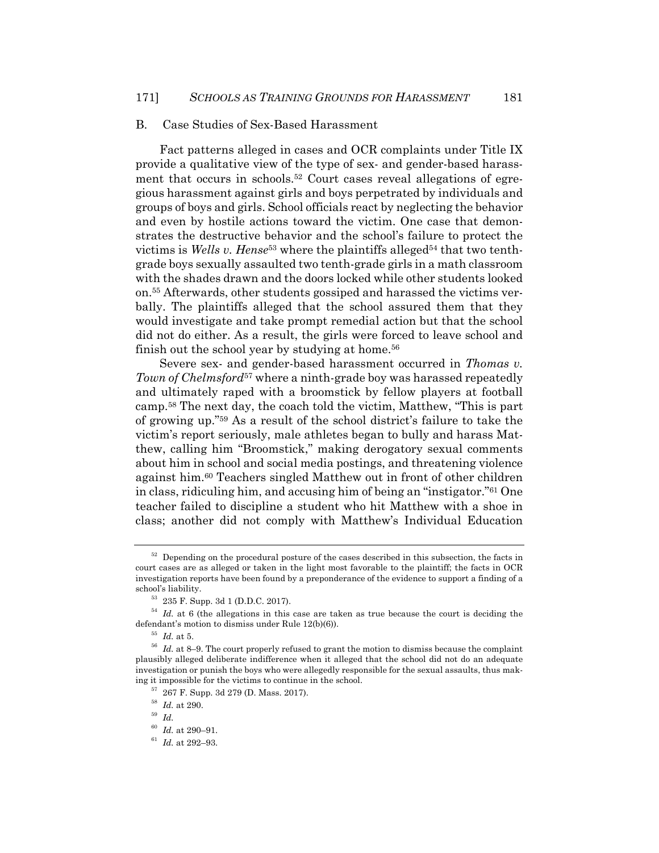#### B. Case Studies of Sex-Based Harassment

Fact patterns alleged in cases and OCR complaints under Title IX provide a qualitative view of the type of sex- and gender-based harassment that occurs in schools.52 Court cases reveal allegations of egregious harassment against girls and boys perpetrated by individuals and groups of boys and girls. School officials react by neglecting the behavior and even by hostile actions toward the victim. One case that demonstrates the destructive behavior and the school's failure to protect the victims is *Wells v. Hense*<sup>53</sup> where the plaintiffs alleged<sup>54</sup> that two tenthgrade boys sexually assaulted two tenth-grade girls in a math classroom with the shades drawn and the doors locked while other students looked on.55 Afterwards, other students gossiped and harassed the victims verbally. The plaintiffs alleged that the school assured them that they would investigate and take prompt remedial action but that the school did not do either. As a result, the girls were forced to leave school and finish out the school year by studying at home.<sup>56</sup>

Severe sex- and gender-based harassment occurred in *Thomas v. Town of Chelmsford*<sup>57</sup> where a ninth-grade boy was harassed repeatedly and ultimately raped with a broomstick by fellow players at football camp.58 The next day, the coach told the victim, Matthew, "This is part of growing up."59 As a result of the school district's failure to take the victim's report seriously, male athletes began to bully and harass Matthew, calling him "Broomstick," making derogatory sexual comments about him in school and social media postings, and threatening violence against him.60 Teachers singled Matthew out in front of other children in class, ridiculing him, and accusing him of being an "instigator."61 One teacher failed to discipline a student who hit Matthew with a shoe in class; another did not comply with Matthew's Individual Education

 $52$  Depending on the procedural posture of the cases described in this subsection, the facts in court cases are as alleged or taken in the light most favorable to the plaintiff; the facts in OCR investigation reports have been found by a preponderance of the evidence to support a finding of a school's liability. 53 235 F. Supp. 3d 1 (D.D.C. 2017).

<sup>54</sup> *Id.* at 6 (the allegations in this case are taken as true because the court is deciding the defendant's motion to dismiss under Rule 12(b)(6)). 55 *Id.* at 5.

<sup>56</sup> *Id.* at 8–9. The court properly refused to grant the motion to dismiss because the complaint plausibly alleged deliberate indifference when it alleged that the school did not do an adequate investigation or punish the boys who were allegedly responsible for the sexual assaults, thus making it impossible for the victims to continue in the school. 57 267 F. Supp. 3d 279 (D. Mass. 2017).

 $\begin{array}{c} 58 \text{ } \text{ } Id. \text{ at } 290. \end{array}$ <br>  $\begin{array}{c} 59 \text{ } \text{ } Id. \end{array}$ <br>  $\begin{array}{c} 60 \text{ } \text{ } Id. \text{ at } 290 - 91. \end{array}$ 

<sup>&</sup>lt;sup>61</sup> *Id.* at 292–93.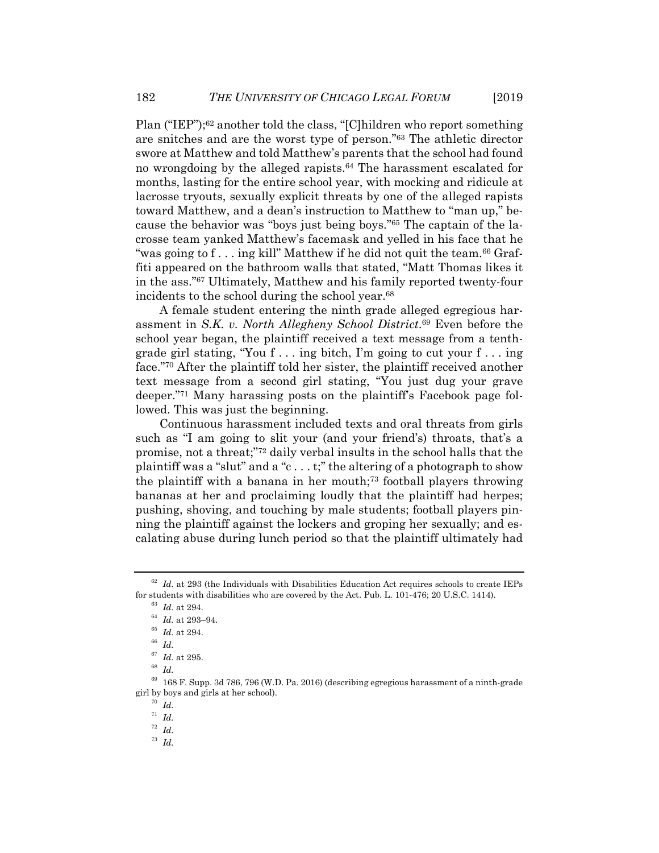Plan ("IEP");<sup>62</sup> another told the class, "[C]hildren who report something are snitches and are the worst type of person."63 The athletic director swore at Matthew and told Matthew's parents that the school had found no wrongdoing by the alleged rapists.<sup>64</sup> The harassment escalated for months, lasting for the entire school year, with mocking and ridicule at lacrosse tryouts, sexually explicit threats by one of the alleged rapists toward Matthew, and a dean's instruction to Matthew to "man up," because the behavior was "boys just being boys."65 The captain of the lacrosse team yanked Matthew's facemask and yelled in his face that he "was going to  $f \dots$  ing kill" Matthew if he did not quit the team.<sup>66</sup> Graffiti appeared on the bathroom walls that stated, "Matt Thomas likes it in the ass."67 Ultimately, Matthew and his family reported twenty-four incidents to the school during the school year.<sup>68</sup>

A female student entering the ninth grade alleged egregious harassment in *S.K. v. North Allegheny School District*.69 Even before the school year began, the plaintiff received a text message from a tenthgrade girl stating, "You f . . . ing bitch, I'm going to cut your f . . . ing face."70 After the plaintiff told her sister, the plaintiff received another text message from a second girl stating, "You just dug your grave deeper."71 Many harassing posts on the plaintiff's Facebook page followed. This was just the beginning.

Continuous harassment included texts and oral threats from girls such as "I am going to slit your (and your friend's) throats, that's a promise, not a threat;"72 daily verbal insults in the school halls that the plaintiff was a "slut" and a "c . . . t;" the altering of a photograph to show the plaintiff with a banana in her mouth;73 football players throwing bananas at her and proclaiming loudly that the plaintiff had herpes; pushing, shoving, and touching by male students; football players pinning the plaintiff against the lockers and groping her sexually; and escalating abuse during lunch period so that the plaintiff ultimately had

 $62$  Id. at 293 (the Individuals with Disabilities Education Act requires schools to create IEPs for students with disabilities who are covered by the Act. Pub. L. 101-476; 20 U.S.C. 1414). <sup>63</sup> *Id.* at 294. <sup>64</sup> *Id.* at 294. <sup>65</sup> *Id.* at 294.

 $\frac{67}{68}$  *Id.* at 295.<br> $\frac{68}{Id}$ .

 $69$  168 F. Supp. 3d 786, 796 (W.D. Pa. 2016) (describing egregious harassment of a ninth-grade girl by boys and girls at her school). 70 *Id.*

<sup>71</sup> *Id.*

<sup>72</sup> *Id.*

<sup>73</sup> *Id.*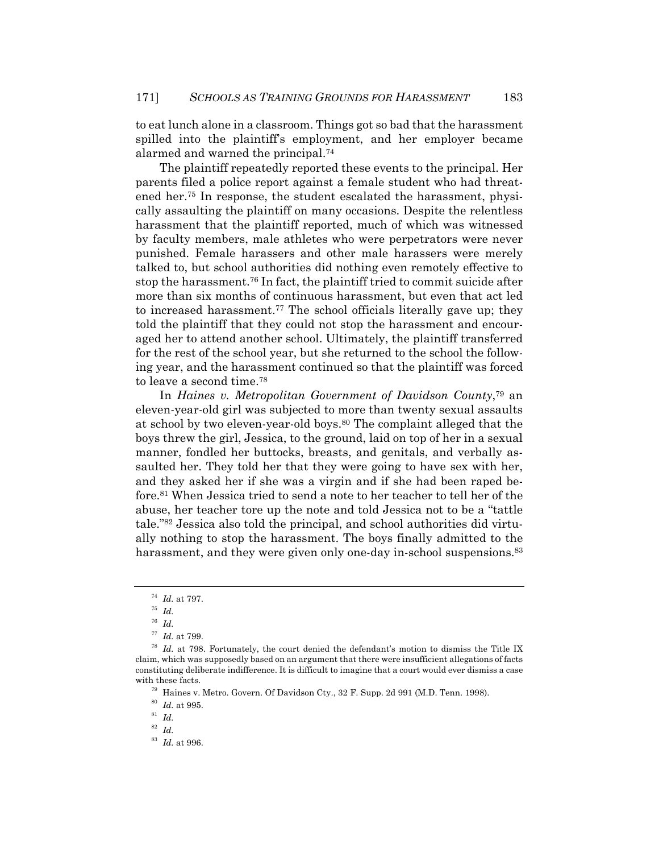to eat lunch alone in a classroom. Things got so bad that the harassment spilled into the plaintiff's employment, and her employer became alarmed and warned the principal.74

The plaintiff repeatedly reported these events to the principal. Her parents filed a police report against a female student who had threatened her.75 In response, the student escalated the harassment, physically assaulting the plaintiff on many occasions. Despite the relentless harassment that the plaintiff reported, much of which was witnessed by faculty members, male athletes who were perpetrators were never punished. Female harassers and other male harassers were merely talked to, but school authorities did nothing even remotely effective to stop the harassment.76 In fact, the plaintiff tried to commit suicide after more than six months of continuous harassment, but even that act led to increased harassment.77 The school officials literally gave up; they told the plaintiff that they could not stop the harassment and encouraged her to attend another school. Ultimately, the plaintiff transferred for the rest of the school year, but she returned to the school the following year, and the harassment continued so that the plaintiff was forced to leave a second time.78

In *Haines v. Metropolitan Government of Davidson County*,79 an eleven-year-old girl was subjected to more than twenty sexual assaults at school by two eleven-year-old boys.<sup>80</sup> The complaint alleged that the boys threw the girl, Jessica, to the ground, laid on top of her in a sexual manner, fondled her buttocks, breasts, and genitals, and verbally assaulted her. They told her that they were going to have sex with her, and they asked her if she was a virgin and if she had been raped before.81 When Jessica tried to send a note to her teacher to tell her of the abuse, her teacher tore up the note and told Jessica not to be a "tattle tale."82 Jessica also told the principal, and school authorities did virtually nothing to stop the harassment. The boys finally admitted to the harassment, and they were given only one-day in-school suspensions.<sup>83</sup>

<sup>74</sup> *Id.* at 797. 75 *Id.*

 $\frac{76}{77}$  *Id.* at 799.

<sup>&</sup>lt;sup>78</sup> Id. at 798. Fortunately, the court denied the defendant's motion to dismiss the Title IX claim, which was supposedly based on an argument that there were insufficient allegations of facts constituting deliberate indifference. It is difficult to imagine that a court would ever dismiss a case with these facts.<br><sup>79</sup> Haines v. Metro. Govern. Of Davidson Cty., 32 F. Supp. 2d 991 (M.D. Tenn. 1998).<br><sup>80</sup> *Id.* at 995.<br><sup>81</sup> *Id.* 

<sup>82</sup> *Id.* 

<sup>83</sup> *Id.* at 996.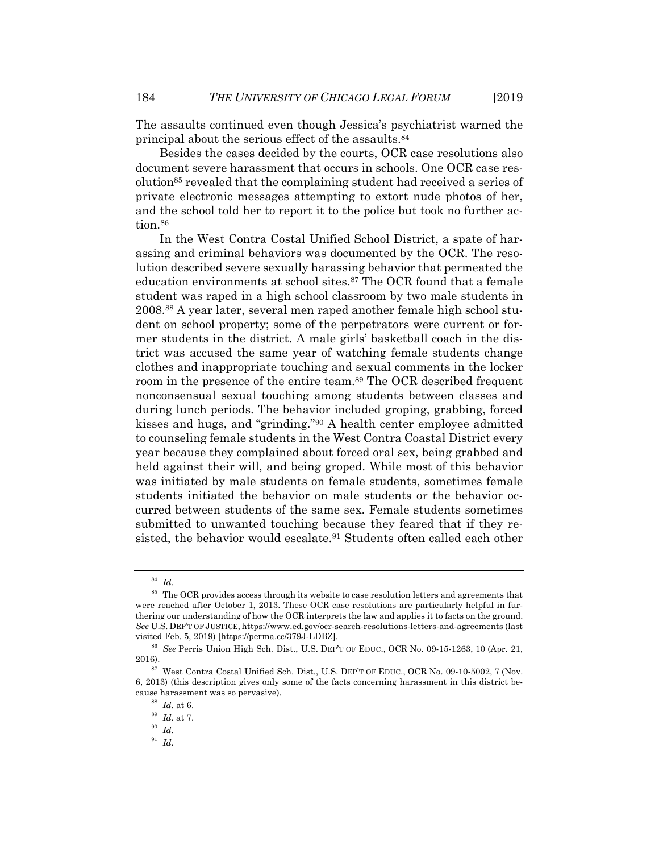The assaults continued even though Jessica's psychiatrist warned the principal about the serious effect of the assaults.84

Besides the cases decided by the courts, OCR case resolutions also document severe harassment that occurs in schools. One OCR case resolution85 revealed that the complaining student had received a series of private electronic messages attempting to extort nude photos of her, and the school told her to report it to the police but took no further action.<sup>86</sup>

In the West Contra Costal Unified School District, a spate of harassing and criminal behaviors was documented by the OCR. The resolution described severe sexually harassing behavior that permeated the education environments at school sites.87 The OCR found that a female student was raped in a high school classroom by two male students in 2008.88 A year later, several men raped another female high school student on school property; some of the perpetrators were current or former students in the district. A male girls' basketball coach in the district was accused the same year of watching female students change clothes and inappropriate touching and sexual comments in the locker room in the presence of the entire team.<sup>89</sup> The OCR described frequent nonconsensual sexual touching among students between classes and during lunch periods. The behavior included groping, grabbing, forced kisses and hugs, and "grinding."90 A health center employee admitted to counseling female students in the West Contra Coastal District every year because they complained about forced oral sex, being grabbed and held against their will, and being groped. While most of this behavior was initiated by male students on female students, sometimes female students initiated the behavior on male students or the behavior occurred between students of the same sex. Female students sometimes submitted to unwanted touching because they feared that if they resisted, the behavior would escalate.<sup>91</sup> Students often called each other

<sup>84</sup> *Id.*

<sup>&</sup>lt;sup>85</sup> The OCR provides access through its website to case resolution letters and agreements that were reached after October 1, 2013. These OCR case resolutions are particularly helpful in furthering our understanding of how the OCR interprets the law and applies it to facts on the ground. *See* U.S. DEP'T OF JUSTICE, https://www.ed.gov/ocr-search-resolutions-letters-and-agreements (last visited Feb. 5, 2019) [https://perma.cc/379J-LDBZ]. 86 *See* Perris Union High Sch. Dist., U.S. DEP'T OF EDUC., OCR No. 09-15-1263, <sup>10</sup> (Apr. 21,

 $^{87}$  West Contra Costal Unified Sch. Dist., U.S. DEPT OF EDUC., OCR No. 09-10-5002, 7 (Nov.  $\,$ 

<sup>6, 2013) (</sup>this description gives only some of the facts concerning harassment in this district because harassment was so pervasive).<br><sup>88</sup> *Id.* at 6.<br><sup>89</sup> *Id.* at 7.<br><sup>90</sup> *Id.* 

<sup>91</sup> *Id.*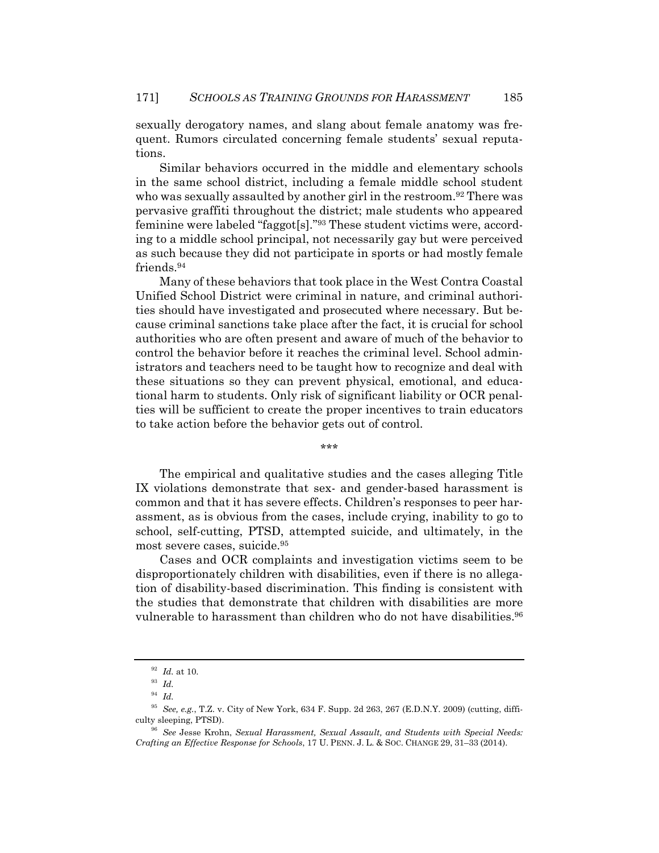sexually derogatory names, and slang about female anatomy was frequent. Rumors circulated concerning female students' sexual reputations.

Similar behaviors occurred in the middle and elementary schools in the same school district, including a female middle school student who was sexually assaulted by another girl in the restroom.<sup>92</sup> There was pervasive graffiti throughout the district; male students who appeared feminine were labeled "faggot[s]."93 These student victims were, according to a middle school principal, not necessarily gay but were perceived as such because they did not participate in sports or had mostly female friends.94

Many of these behaviors that took place in the West Contra Coastal Unified School District were criminal in nature, and criminal authorities should have investigated and prosecuted where necessary. But because criminal sanctions take place after the fact, it is crucial for school authorities who are often present and aware of much of the behavior to control the behavior before it reaches the criminal level. School administrators and teachers need to be taught how to recognize and deal with these situations so they can prevent physical, emotional, and educational harm to students. Only risk of significant liability or OCR penalties will be sufficient to create the proper incentives to train educators to take action before the behavior gets out of control.

\*\*\*

The empirical and qualitative studies and the cases alleging Title IX violations demonstrate that sex- and gender-based harassment is common and that it has severe effects. Children's responses to peer harassment, as is obvious from the cases, include crying, inability to go to school, self-cutting, PTSD, attempted suicide, and ultimately, in the most severe cases, suicide.95

Cases and OCR complaints and investigation victims seem to be disproportionately children with disabilities, even if there is no allegation of disability-based discrimination. This finding is consistent with the studies that demonstrate that children with disabilities are more vulnerable to harassment than children who do not have disabilities.<sup>96</sup>

<sup>92</sup> *Id.* at 10. 93 *Id.*

<sup>94</sup> *Id.*

<sup>95</sup> *See, e.g.*, T.Z. v. City of New York, 634 F. Supp. 2d 263, 267 (E.D.N.Y. 2009) (cutting, difficulty sleeping, PTSD). 96 *See* Jesse Krohn, *Sexual Harassment, Sexual Assault, and Students with Special Needs:* 

*Crafting an Effective Response for Schools*, 17 U. PENN. J. L. & SOC. CHANGE 29, 31–33 (2014).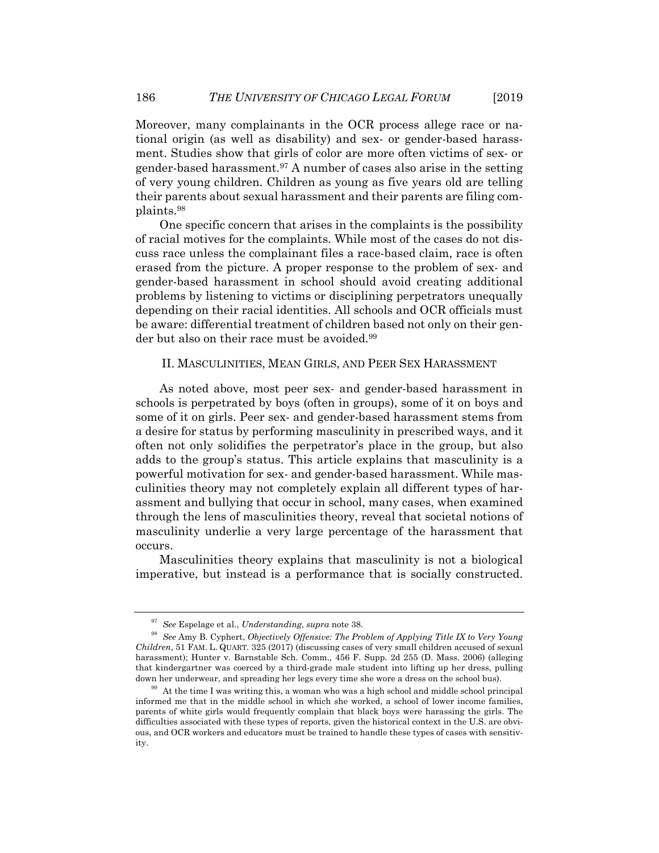Moreover, many complainants in the OCR process allege race or national origin (as well as disability) and sex- or gender-based harassment. Studies show that girls of color are more often victims of sex- or gender-based harassment.97 A number of cases also arise in the setting of very young children. Children as young as five years old are telling their parents about sexual harassment and their parents are filing complaints.98

One specific concern that arises in the complaints is the possibility of racial motives for the complaints. While most of the cases do not discuss race unless the complainant files a race-based claim, race is often erased from the picture. A proper response to the problem of sex- and gender-based harassment in school should avoid creating additional problems by listening to victims or disciplining perpetrators unequally depending on their racial identities. All schools and OCR officials must be aware: differential treatment of children based not only on their gender but also on their race must be avoided.<sup>99</sup>

### II. MASCULINITIES, MEAN GIRLS, AND PEER SEX HARASSMENT

As noted above, most peer sex- and gender-based harassment in schools is perpetrated by boys (often in groups), some of it on boys and some of it on girls. Peer sex- and gender-based harassment stems from a desire for status by performing masculinity in prescribed ways, and it often not only solidifies the perpetrator's place in the group, but also adds to the group's status. This article explains that masculinity is a powerful motivation for sex- and gender-based harassment. While masculinities theory may not completely explain all different types of harassment and bullying that occur in school, many cases, when examined through the lens of masculinities theory, reveal that societal notions of masculinity underlie a very large percentage of the harassment that occurs.

Masculinities theory explains that masculinity is not a biological imperative, but instead is a performance that is socially constructed.

<sup>97</sup> *See* Espelage et al., *Understanding*, *supra* note 38.

<sup>98</sup> *See* Amy B. Cyphert, *Objectively Offensive: The Problem of Applying Title IX to Very Young Children*, 51 FAM. L. QUART. 325 (2017) (discussing cases of very small children accused of sexual harassment); Hunter v. Barnstable Sch. Comm*.,* 456 F. Supp. 2d 255 (D. Mass. 2006) (alleging that kindergartner was coerced by a third-grade male student into lifting up her dress, pulling down her underwear, and spreading her legs every time she wore a dress on the school bus).<br><sup>99</sup> At the time I was writing this, a woman who was a high school and middle school principal

informed me that in the middle school in which she worked, a school of lower income families, parents of white girls would frequently complain that black boys were harassing the girls. The difficulties associated with these types of reports, given the historical context in the U.S. are obvious, and OCR workers and educators must be trained to handle these types of cases with sensitivity.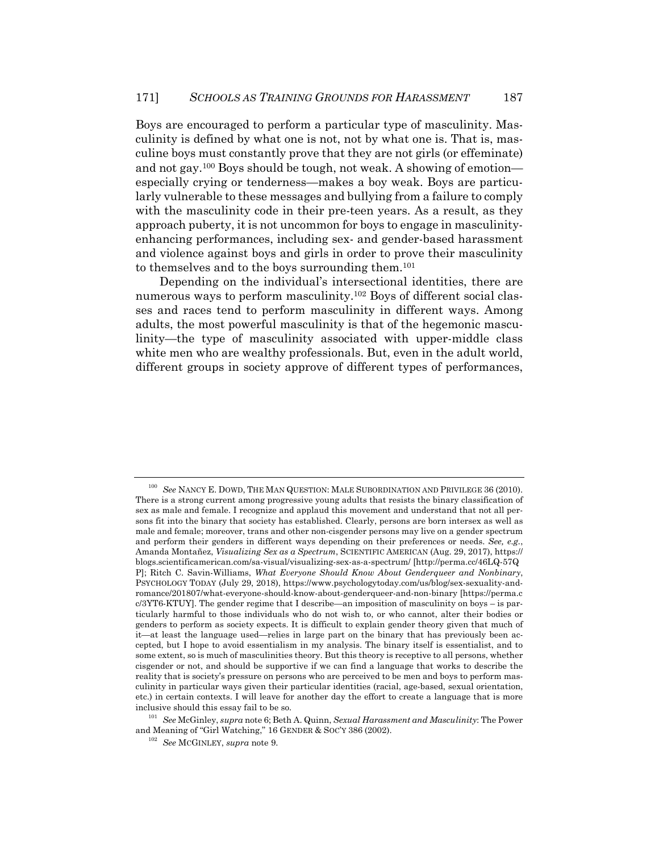Boys are encouraged to perform a particular type of masculinity. Masculinity is defined by what one is not, not by what one is. That is, masculine boys must constantly prove that they are not girls (or effeminate) and not gay.100 Boys should be tough, not weak. A showing of emotion especially crying or tenderness—makes a boy weak. Boys are particularly vulnerable to these messages and bullying from a failure to comply with the masculinity code in their pre-teen years. As a result, as they approach puberty, it is not uncommon for boys to engage in masculinityenhancing performances, including sex- and gender-based harassment and violence against boys and girls in order to prove their masculinity to themselves and to the boys surrounding them.101

Depending on the individual's intersectional identities, there are numerous ways to perform masculinity.102 Boys of different social classes and races tend to perform masculinity in different ways. Among adults, the most powerful masculinity is that of the hegemonic masculinity—the type of masculinity associated with upper-middle class white men who are wealthy professionals. But, even in the adult world, different groups in society approve of different types of performances,

<sup>100</sup> *See* NANCY E. DOWD, THE MAN QUESTION: MALE SUBORDINATION AND PRIVILEGE 36 (2010). There is a strong current among progressive young adults that resists the binary classification of sex as male and female. I recognize and applaud this movement and understand that not all persons fit into the binary that society has established. Clearly, persons are born intersex as well as male and female; moreover, trans and other non-cisgender persons may live on a gender spectrum and perform their genders in different ways depending on their preferences or needs. *See, e.g.*, Amanda Montañez, *Visualizing Sex as a Spectrum*, SCIENTIFIC AMERICAN (Aug. 29, 2017), https:// blogs.scientificamerican.com/sa-visual/visualizing-sex-as-a-spectrum/ [http://perma.cc/46LQ-57Q P]; Ritch C. Savin-Williams, *What Everyone Should Know About Genderqueer and Nonbinary*, PSYCHOLOGY TODAY (July 29, 2018), https://www.psychologytoday.com/us/blog/sex-sexuality-andromance/201807/what-everyone-should-know-about-genderqueer-and-non-binary [https://perma.c  $c/3$  $YT6-KTUY$ ]. The gender regime that I describe—an imposition of masculinity on boys – is particularly harmful to those individuals who do not wish to, or who cannot, alter their bodies or genders to perform as society expects. It is difficult to explain gender theory given that much of it—at least the language used—relies in large part on the binary that has previously been accepted, but I hope to avoid essentialism in my analysis. The binary itself is essentialist, and to some extent, so is much of masculinities theory. But this theory is receptive to all persons, whether cisgender or not, and should be supportive if we can find a language that works to describe the reality that is society's pressure on persons who are perceived to be men and boys to perform masculinity in particular ways given their particular identities (racial, age-based, sexual orientation, etc.) in certain contexts. I will leave for another day the effort to create a language that is more

inclusive should this essay fail to be so. 101 *See* McGinley, *supra* note 6; Beth A. Quinn, *Sexual Harassment and Masculinity*: The Power and Meaning of "Girl Watching," 16 GENDER & SOC'Y 386 (2002). 102 *See* MCGINLEY, *supra* note 9.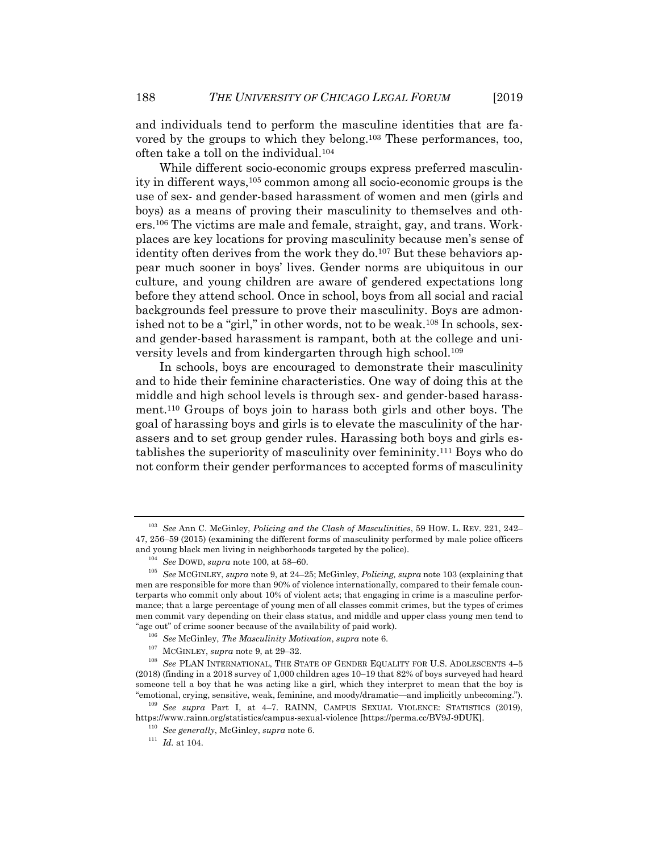and individuals tend to perform the masculine identities that are favored by the groups to which they belong.103 These performances, too, often take a toll on the individual.104

While different socio-economic groups express preferred masculinity in different ways,105 common among all socio-economic groups is the use of sex- and gender-based harassment of women and men (girls and boys) as a means of proving their masculinity to themselves and others.106 The victims are male and female, straight, gay, and trans. Workplaces are key locations for proving masculinity because men's sense of identity often derives from the work they do.<sup>107</sup> But these behaviors appear much sooner in boys' lives. Gender norms are ubiquitous in our culture, and young children are aware of gendered expectations long before they attend school. Once in school, boys from all social and racial backgrounds feel pressure to prove their masculinity. Boys are admonished not to be a "girl," in other words, not to be weak.<sup>108</sup> In schools, sexand gender-based harassment is rampant, both at the college and university levels and from kindergarten through high school.109

In schools, boys are encouraged to demonstrate their masculinity and to hide their feminine characteristics. One way of doing this at the middle and high school levels is through sex- and gender-based harassment.110 Groups of boys join to harass both girls and other boys. The goal of harassing boys and girls is to elevate the masculinity of the harassers and to set group gender rules. Harassing both boys and girls establishes the superiority of masculinity over femininity.111 Boys who do not conform their gender performances to accepted forms of masculinity

"emotional, crying, sensitive, weak, feminine, and moody/dramatic—and implicitly unbecoming."). 109 *See supra* Part I, at 4–7. RAINN, CAMPUS SEXUAL VIOLENCE: STATISTICS (2019), https://www.rainn.org/statistics/campus-sexual-violence [https://perma.cc/BV9J-9DUK]. 110 *See generally*, McGinley, *supra* note 6. 111 *Id.* at 104.

<sup>103</sup> *See* Ann C. McGinley, *Policing and the Clash of Masculinities*, 59 HOW. L. REV. 221, 242– 47, 256–59 (2015) (examining the different forms of masculinity performed by male police officers and young black men living in neighborhoods targeted by the police).<br>  $^{104}$  See DOWD, supra note 100, at 58–60.<br>  $^{105}$  See MCGINLEY, supra note 9, at 24–25; McGinley, Policing, supra note 103 (explaining that

men are responsible for more than 90% of violence internationally, compared to their female counterparts who commit only about 10% of violent acts; that engaging in crime is a masculine performance; that a large percentage of young men of all classes commit crimes, but the types of crimes men commit vary depending on their class status, and middle and upper class young men tend to "age out" of crime sooner because of the availability of paid work).<br><sup>106</sup> See McGinley, *The Masculinity Motivation*, *supra* note 6.<br><sup>107</sup> MCGINLEY, *supra* note 9, at 29–32.<br><sup>108</sup> See PLAN INTERNATIONAL. THE STATE OF GE

<sup>(2018) (</sup>finding in a 2018 survey of 1,000 children ages 10–19 that 82% of boys surveyed had heard someone tell a boy that he was acting like a girl, which they interpret to mean that the boy is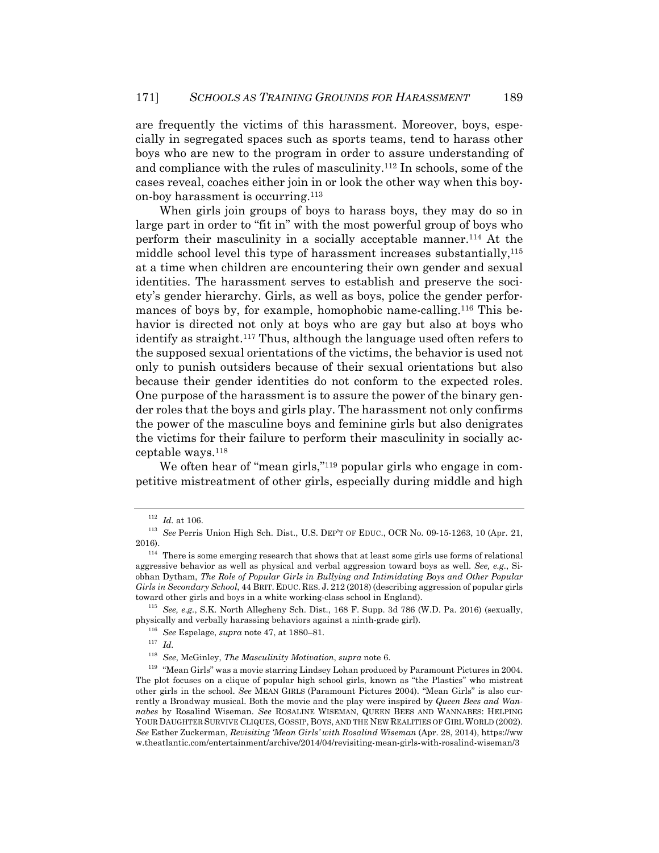are frequently the victims of this harassment. Moreover, boys, especially in segregated spaces such as sports teams, tend to harass other boys who are new to the program in order to assure understanding of and compliance with the rules of masculinity.112 In schools, some of the cases reveal, coaches either join in or look the other way when this boyon-boy harassment is occurring.113

When girls join groups of boys to harass boys, they may do so in large part in order to "fit in" with the most powerful group of boys who perform their masculinity in a socially acceptable manner.114 At the middle school level this type of harassment increases substantially,<sup>115</sup> at a time when children are encountering their own gender and sexual identities. The harassment serves to establish and preserve the society's gender hierarchy. Girls, as well as boys, police the gender performances of boys by, for example, homophobic name-calling.<sup>116</sup> This behavior is directed not only at boys who are gay but also at boys who identify as straight.117 Thus, although the language used often refers to the supposed sexual orientations of the victims, the behavior is used not only to punish outsiders because of their sexual orientations but also because their gender identities do not conform to the expected roles. One purpose of the harassment is to assure the power of the binary gender roles that the boys and girls play. The harassment not only confirms the power of the masculine boys and feminine girls but also denigrates the victims for their failure to perform their masculinity in socially acceptable ways.118

We often hear of "mean girls,"<sup>119</sup> popular girls who engage in competitive mistreatment of other girls, especially during middle and high

<sup>112</sup> *Id.* at 106. 113 *See* Perris Union High Sch. Dist., U.S. DEP'T OF EDUC., OCR No. 09-15-1263, <sup>10</sup> (Apr. 21, 2016).  $114$  There is some emerging research that shows that at least some girls use forms of relational

aggressive behavior as well as physical and verbal aggression toward boys as well. *See, e.g.*, Siobhan Dytham, *The Role of Popular Girls in Bullying and Intimidating Boys and Other Popular Girls in Secondary School*, 44 BRIT. EDUC. RES. J. 212 (2018) (describing aggression of popular girls

<sup>&</sup>lt;sup>115</sup> See, e.g., S.K. North Allegheny Sch. Dist., 168 F. Supp. 3d 786 (W.D. Pa. 2016) (sexually, physically and verbally harassing behaviors against a ninth-grade girl).<br><sup>116</sup> *See* Espelage, *supra* note 47, at 1880–81.<br><sup>117</sup> *Id.*<br><sup>118</sup> *See*, McGinley, *The Masculinity Motivation, supra* note 6.

<sup>&</sup>lt;sup>119</sup> "Mean Girls" was a movie starring Lindsey Lohan produced by Paramount Pictures in 2004. The plot focuses on a clique of popular high school girls, known as "the Plastics" who mistreat other girls in the school. *See* MEAN GIRLS (Paramount Pictures 2004). "Mean Girls" is also currently a Broadway musical. Both the movie and the play were inspired by *Queen Bees and Wannabes* by Rosalind Wiseman. *See* ROSALINE WISEMAN, QUEEN BEES AND WANNABES: HELPING YOUR DAUGHTER SURVIVE CLIQUES, GOSSIP, BOYS, AND THE NEW REALITIES OF GIRL WORLD (2002). *See* Esther Zuckerman, *Revisiting 'Mean Girls' with Rosalind Wiseman* (Apr. 28, 2014), https://ww w.theatlantic.com/entertainment/archive/2014/04/revisiting-mean-girls-with-rosalind-wiseman/3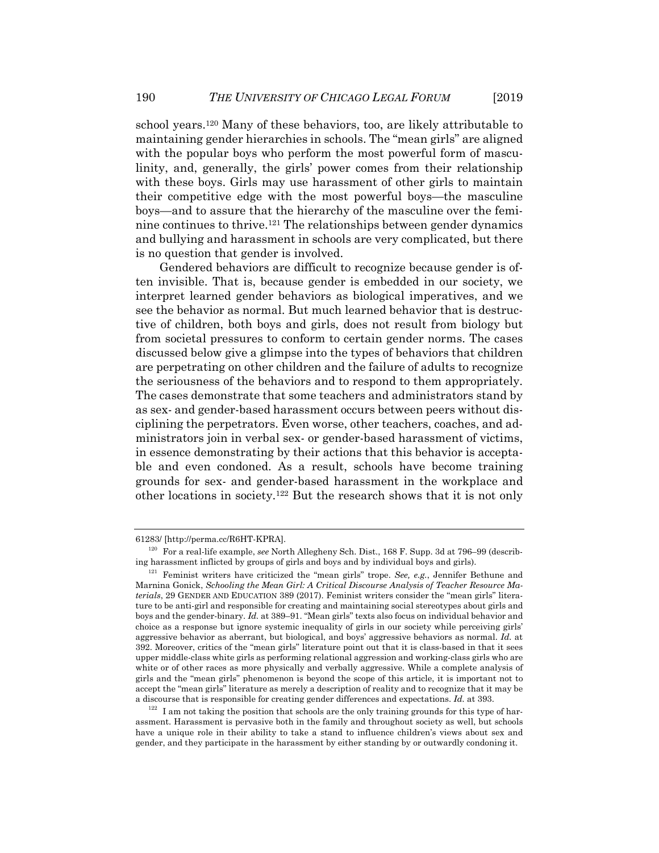school years.120 Many of these behaviors, too, are likely attributable to maintaining gender hierarchies in schools. The "mean girls" are aligned with the popular boys who perform the most powerful form of masculinity, and, generally, the girls' power comes from their relationship with these boys. Girls may use harassment of other girls to maintain their competitive edge with the most powerful boys—the masculine boys—and to assure that the hierarchy of the masculine over the feminine continues to thrive.121 The relationships between gender dynamics and bullying and harassment in schools are very complicated, but there is no question that gender is involved.

Gendered behaviors are difficult to recognize because gender is often invisible. That is, because gender is embedded in our society, we interpret learned gender behaviors as biological imperatives, and we see the behavior as normal. But much learned behavior that is destructive of children, both boys and girls, does not result from biology but from societal pressures to conform to certain gender norms. The cases discussed below give a glimpse into the types of behaviors that children are perpetrating on other children and the failure of adults to recognize the seriousness of the behaviors and to respond to them appropriately. The cases demonstrate that some teachers and administrators stand by as sex- and gender-based harassment occurs between peers without disciplining the perpetrators. Even worse, other teachers, coaches, and administrators join in verbal sex- or gender-based harassment of victims, in essence demonstrating by their actions that this behavior is acceptable and even condoned. As a result, schools have become training grounds for sex- and gender-based harassment in the workplace and other locations in society.122 But the research shows that it is not only

<sup>61283/ [</sup>http://perma.cc/R6HT-KPRA]. 120 For a real-life example, *see* North Allegheny Sch. Dist., 168 F. Supp. 3d at 796–99 (describing harassment inflicted by groups of girls and boys and by individual boys and girls). 121 Feminist writers have criticized the "mean girls" trope. *See, e.g.*, Jennifer Bethune and

Marnina Gonick, *Schooling the Mean Girl: A Critical Discourse Analysis of Teacher Resource Materials*, 29 GENDER AND EDUCATION 389 (2017). Feminist writers consider the "mean girls" literature to be anti-girl and responsible for creating and maintaining social stereotypes about girls and boys and the gender-binary. *Id.* at 389–91. "Mean girls" texts also focus on individual behavior and choice as a response but ignore systemic inequality of girls in our society while perceiving girls' aggressive behavior as aberrant, but biological, and boys' aggressive behaviors as normal. *Id.* at 392. Moreover, critics of the "mean girls" literature point out that it is class-based in that it sees upper middle-class white girls as performing relational aggression and working-class girls who are white or of other races as more physically and verbally aggressive. While a complete analysis of girls and the "mean girls" phenomenon is beyond the scope of this article, it is important not to accept the "mean girls" literature as merely a description of reality and to recognize that it may be a discourse that is responsible for creating gender differences and expectations. *Id.* at 393.<br><sup>122</sup> I am not taking the position that schools are the only training grounds for this type of har-

assment. Harassment is pervasive both in the family and throughout society as well, but schools have a unique role in their ability to take a stand to influence children's views about sex and gender, and they participate in the harassment by either standing by or outwardly condoning it.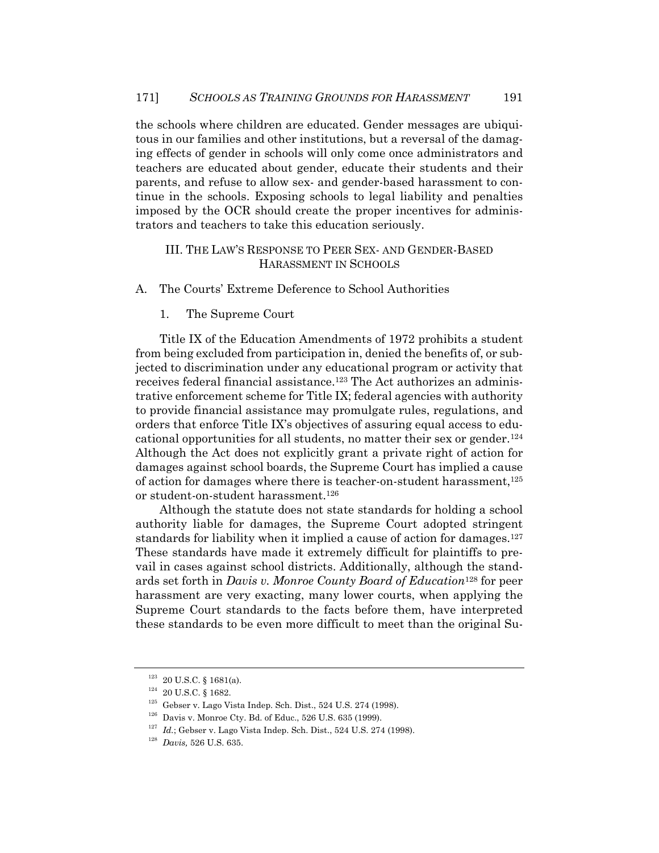the schools where children are educated. Gender messages are ubiquitous in our families and other institutions, but a reversal of the damaging effects of gender in schools will only come once administrators and teachers are educated about gender, educate their students and their parents, and refuse to allow sex- and gender-based harassment to continue in the schools. Exposing schools to legal liability and penalties imposed by the OCR should create the proper incentives for administrators and teachers to take this education seriously.

## III. THE LAW'S RESPONSE TO PEER SEX- AND GENDER-BASED HARASSMENT IN SCHOOLS

A. The Courts' Extreme Deference to School Authorities

1. The Supreme Court

Title IX of the Education Amendments of 1972 prohibits a student from being excluded from participation in, denied the benefits of, or subjected to discrimination under any educational program or activity that receives federal financial assistance.<sup>123</sup> The Act authorizes an administrative enforcement scheme for Title IX; federal agencies with authority to provide financial assistance may promulgate rules, regulations, and orders that enforce Title IX's objectives of assuring equal access to educational opportunities for all students, no matter their sex or gender.124 Although the Act does not explicitly grant a private right of action for damages against school boards, the Supreme Court has implied a cause of action for damages where there is teacher-on-student harassment, $125$ or student-on-student harassment.126

Although the statute does not state standards for holding a school authority liable for damages, the Supreme Court adopted stringent standards for liability when it implied a cause of action for damages.<sup>127</sup> These standards have made it extremely difficult for plaintiffs to prevail in cases against school districts. Additionally, although the standards set forth in *Davis v. Monroe County Board of Education*<sup>128</sup> for peer harassment are very exacting, many lower courts, when applying the Supreme Court standards to the facts before them, have interpreted these standards to be even more difficult to meet than the original Su-

<sup>&</sup>lt;sup>123</sup> 20 U.S.C. § 1681(a).<br><sup>124</sup> 20 U.S.C. § 1682.<br><sup>125</sup> Gebser v. Lago Vista Indep. Sch. Dist., 524 U.S. 274 (1998).<br><sup>126</sup> Davis v. Monroe Cty. Bd. of Educ., 526 U.S. 635 (1999).<br><sup>127</sup> Id.; Gebser v. Lago Vista Indep. Sc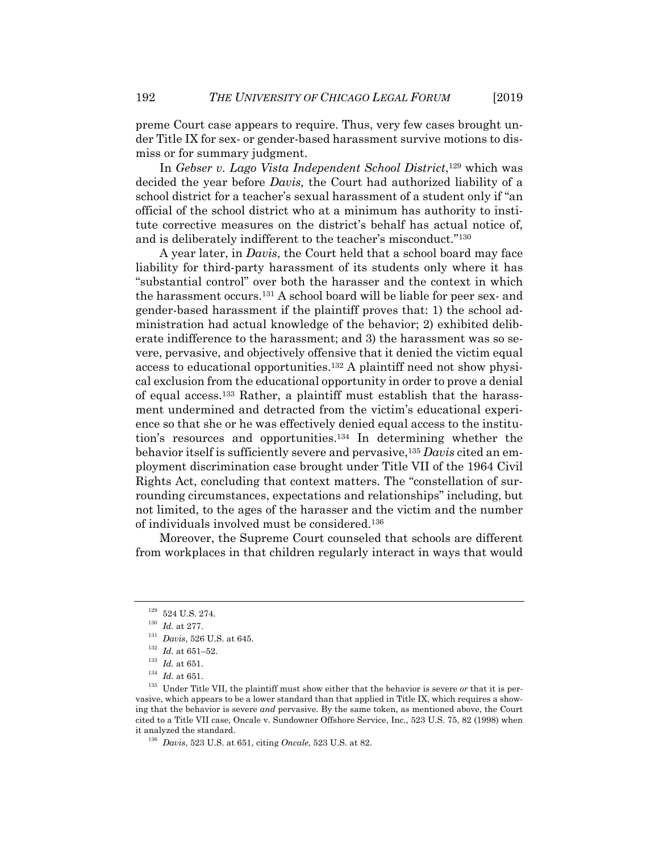preme Court case appears to require. Thus, very few cases brought under Title IX for sex- or gender-based harassment survive motions to dismiss or for summary judgment.

In *Gebser v. Lago Vista Independent School District*,129 which was decided the year before *Davis,* the Court had authorized liability of a school district for a teacher's sexual harassment of a student only if "an official of the school district who at a minimum has authority to institute corrective measures on the district's behalf has actual notice of, and is deliberately indifferent to the teacher's misconduct."130

A year later, in *Davis*, the Court held that a school board may face liability for third-party harassment of its students only where it has "substantial control" over both the harasser and the context in which the harassment occurs.131 A school board will be liable for peer sex- and gender-based harassment if the plaintiff proves that: 1) the school administration had actual knowledge of the behavior; 2) exhibited deliberate indifference to the harassment; and 3) the harassment was so severe, pervasive, and objectively offensive that it denied the victim equal access to educational opportunities.132 A plaintiff need not show physical exclusion from the educational opportunity in order to prove a denial of equal access.133 Rather, a plaintiff must establish that the harassment undermined and detracted from the victim's educational experience so that she or he was effectively denied equal access to the institution's resources and opportunities.134 In determining whether the behavior itself is sufficiently severe and pervasive,135 *Davis* cited an employment discrimination case brought under Title VII of the 1964 Civil Rights Act, concluding that context matters. The "constellation of surrounding circumstances, expectations and relationships" including, but not limited, to the ages of the harasser and the victim and the number of individuals involved must be considered.136

Moreover, the Supreme Court counseled that schools are different from workplaces in that children regularly interact in ways that would

<sup>&</sup>lt;sup>129</sup> 524 U.S. 274.<br>
<sup>130</sup> *Id.* at 277.<br>
<sup>131</sup> *Davis*, 526 U.S. at 645.<br>
<sup>132</sup> *Id.* at 651-52.<br>
<sup>133</sup> *Id.* at 651.<br>
<sup>134</sup> *Id.* at 651.<br>
<sup>134</sup> *Id.* at 651.<br>
<sup>134</sup> *Id.* at 651. vasive, which appears to be a lower standard than that applied in Title IX, which requires a showing that the behavior is severe *and* pervasive. By the same token, as mentioned above, the Court cited to a Title VII case, Oncale v. Sundowner Offshore Service, Inc.*,* 523 U.S. 75, 82 (1998) when it analyzed the standard. 136 *Davis*, 523 U.S. at 651, citing *Oncale*, 523 U.S. at 82.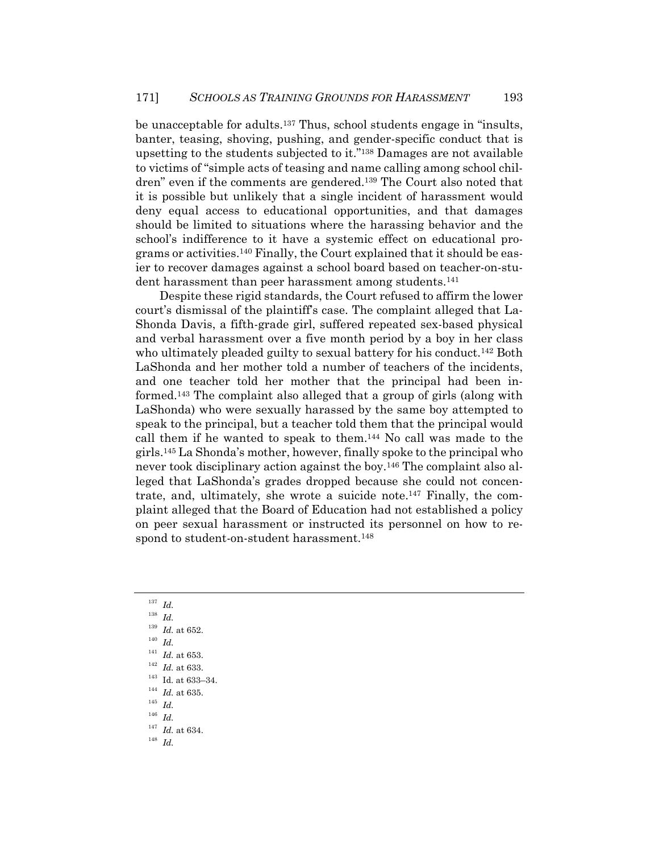be unacceptable for adults.137 Thus, school students engage in "insults, banter, teasing, shoving, pushing, and gender-specific conduct that is upsetting to the students subjected to it."138 Damages are not available to victims of "simple acts of teasing and name calling among school children" even if the comments are gendered.139 The Court also noted that it is possible but unlikely that a single incident of harassment would deny equal access to educational opportunities, and that damages should be limited to situations where the harassing behavior and the school's indifference to it have a systemic effect on educational programs or activities.140 Finally, the Court explained that it should be easier to recover damages against a school board based on teacher-on-student harassment than peer harassment among students.<sup>141</sup>

Despite these rigid standards, the Court refused to affirm the lower court's dismissal of the plaintiff's case. The complaint alleged that La-Shonda Davis, a fifth-grade girl, suffered repeated sex-based physical and verbal harassment over a five month period by a boy in her class who ultimately pleaded guilty to sexual battery for his conduct.<sup>142</sup> Both LaShonda and her mother told a number of teachers of the incidents, and one teacher told her mother that the principal had been informed.143 The complaint also alleged that a group of girls (along with LaShonda) who were sexually harassed by the same boy attempted to speak to the principal, but a teacher told them that the principal would call them if he wanted to speak to them.144 No call was made to the girls.145 La Shonda's mother, however, finally spoke to the principal who never took disciplinary action against the boy.146 The complaint also alleged that LaShonda's grades dropped because she could not concentrate, and, ultimately, she wrote a suicide note.147 Finally, the complaint alleged that the Board of Education had not established a policy on peer sexual harassment or instructed its personnel on how to respond to student-on-student harassment.<sup>148</sup>

<sup>137</sup> *Id.*

- <sup>139</sup> *Id.* at 652.<br><sup>140</sup> *Id.*<br><sup>141</sup> *Id.* at 653.
- 
- 
- 
- <sup>141</sup> *Id.* at 653. 142 *Id.* at 633. 143 Id. at 633–34. 144 *Id.* at 635. 145 *Id.*
- 
- 
- <sup>146</sup> *Id.*
- <sup>147</sup> *Id.* at 634. 148 *Id.*
- 

<sup>138</sup> *Id.*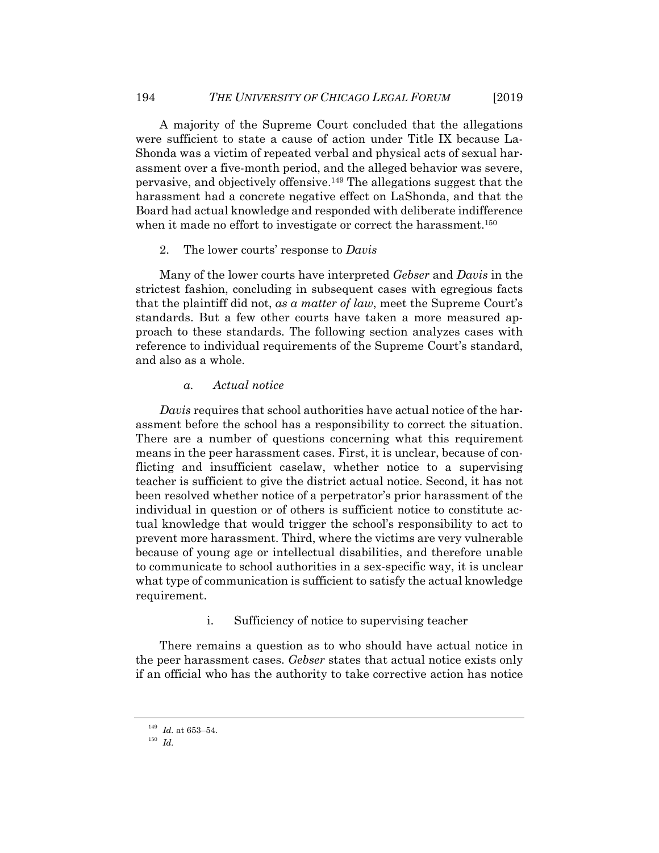A majority of the Supreme Court concluded that the allegations were sufficient to state a cause of action under Title IX because La-Shonda was a victim of repeated verbal and physical acts of sexual harassment over a five-month period, and the alleged behavior was severe, pervasive, and objectively offensive.149 The allegations suggest that the harassment had a concrete negative effect on LaShonda, and that the Board had actual knowledge and responded with deliberate indifference when it made no effort to investigate or correct the harassment.<sup>150</sup>

#### 2. The lower courts' response to *Davis*

Many of the lower courts have interpreted *Gebser* and *Davis* in the strictest fashion, concluding in subsequent cases with egregious facts that the plaintiff did not, *as a matter of law*, meet the Supreme Court's standards. But a few other courts have taken a more measured approach to these standards. The following section analyzes cases with reference to individual requirements of the Supreme Court's standard, and also as a whole.

## *a. Actual notice*

*Davis* requires that school authorities have actual notice of the harassment before the school has a responsibility to correct the situation. There are a number of questions concerning what this requirement means in the peer harassment cases. First, it is unclear, because of conflicting and insufficient caselaw, whether notice to a supervising teacher is sufficient to give the district actual notice. Second, it has not been resolved whether notice of a perpetrator's prior harassment of the individual in question or of others is sufficient notice to constitute actual knowledge that would trigger the school's responsibility to act to prevent more harassment. Third, where the victims are very vulnerable because of young age or intellectual disabilities, and therefore unable to communicate to school authorities in a sex-specific way, it is unclear what type of communication is sufficient to satisfy the actual knowledge requirement.

i. Sufficiency of notice to supervising teacher

There remains a question as to who should have actual notice in the peer harassment cases. *Gebser* states that actual notice exists only if an official who has the authority to take corrective action has notice

<sup>149</sup> *Id.* at 653–54. 150 *Id.*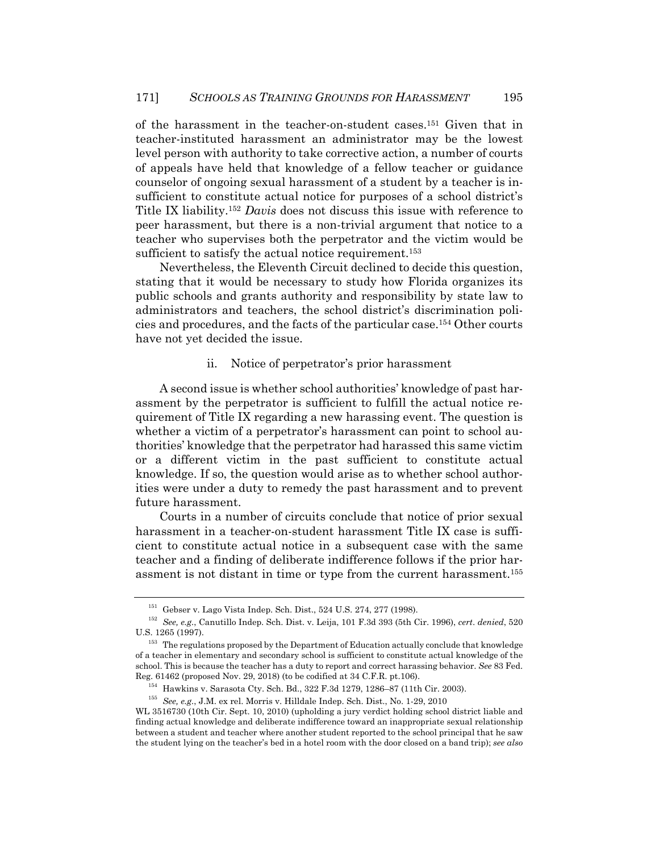of the harassment in the teacher-on-student cases.151 Given that in teacher-instituted harassment an administrator may be the lowest level person with authority to take corrective action, a number of courts of appeals have held that knowledge of a fellow teacher or guidance counselor of ongoing sexual harassment of a student by a teacher is insufficient to constitute actual notice for purposes of a school district's Title IX liability.152 *Davis* does not discuss this issue with reference to peer harassment, but there is a non-trivial argument that notice to a teacher who supervises both the perpetrator and the victim would be sufficient to satisfy the actual notice requirement.<sup>153</sup>

Nevertheless, the Eleventh Circuit declined to decide this question, stating that it would be necessary to study how Florida organizes its public schools and grants authority and responsibility by state law to administrators and teachers, the school district's discrimination policies and procedures, and the facts of the particular case.154 Other courts have not yet decided the issue.

### ii. Notice of perpetrator's prior harassment

A second issue is whether school authorities' knowledge of past harassment by the perpetrator is sufficient to fulfill the actual notice requirement of Title IX regarding a new harassing event. The question is whether a victim of a perpetrator's harassment can point to school authorities' knowledge that the perpetrator had harassed this same victim or a different victim in the past sufficient to constitute actual knowledge. If so, the question would arise as to whether school authorities were under a duty to remedy the past harassment and to prevent future harassment.

Courts in a number of circuits conclude that notice of prior sexual harassment in a teacher-on-student harassment Title IX case is sufficient to constitute actual notice in a subsequent case with the same teacher and a finding of deliberate indifference follows if the prior harassment is not distant in time or type from the current harassment.155

<sup>151</sup> Gebser v. Lago Vista Indep. Sch. Dist., 524 U.S. 274, 277 (1998). 152 *See, e.g.*, Canutillo Indep. Sch. Dist. v. Leija, 101 F.3d 393 (5th Cir. 1996), *cert*. *denied*, 520 U.S. 1265 (1997). 153 The regulations proposed by the Department of Education actually conclude that knowledge

of a teacher in elementary and secondary school is sufficient to constitute actual knowledge of the school. This is because the teacher has a duty to report and correct harassing behavior. *See* 83 Fed. Reg. 61462 (proposed Nov. 29, 2018) (to be codified at 34 C.F.R. pt.106).<br><sup>154</sup> Hawkins v. Sarasota Cty. Sch. Bd., 322 F.3d 1279, 1286–87 (11th Cir. 2003).<br><sup>155</sup> *See, e.g., J.M.* ex rel. Morris v. Hilldale Indep. Sch. Dis

WL 3516730 (10th Cir. Sept. 10, 2010) (upholding a jury verdict holding school district liable and finding actual knowledge and deliberate indifference toward an inappropriate sexual relationship between a student and teacher where another student reported to the school principal that he saw the student lying on the teacher's bed in a hotel room with the door closed on a band trip); *see also*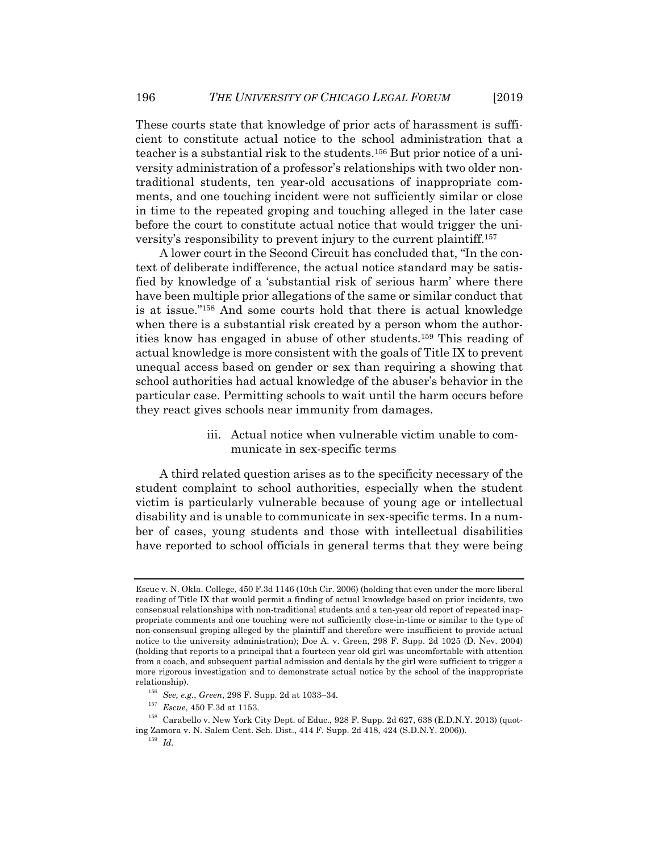These courts state that knowledge of prior acts of harassment is sufficient to constitute actual notice to the school administration that a teacher is a substantial risk to the students.156 But prior notice of a university administration of a professor's relationships with two older nontraditional students, ten year-old accusations of inappropriate comments, and one touching incident were not sufficiently similar or close in time to the repeated groping and touching alleged in the later case before the court to constitute actual notice that would trigger the university's responsibility to prevent injury to the current plaintiff.157

A lower court in the Second Circuit has concluded that, "In the context of deliberate indifference, the actual notice standard may be satisfied by knowledge of a 'substantial risk of serious harm' where there have been multiple prior allegations of the same or similar conduct that is at issue."158 And some courts hold that there is actual knowledge when there is a substantial risk created by a person whom the authorities know has engaged in abuse of other students.159 This reading of actual knowledge is more consistent with the goals of Title IX to prevent unequal access based on gender or sex than requiring a showing that school authorities had actual knowledge of the abuser's behavior in the particular case. Permitting schools to wait until the harm occurs before they react gives schools near immunity from damages.

> iii. Actual notice when vulnerable victim unable to communicate in sex-specific terms

A third related question arises as to the specificity necessary of the student complaint to school authorities, especially when the student victim is particularly vulnerable because of young age or intellectual disability and is unable to communicate in sex-specific terms. In a number of cases, young students and those with intellectual disabilities have reported to school officials in general terms that they were being

Escue v. N. Okla. College, 450 F.3d 1146 (10th Cir. 2006) (holding that even under the more liberal reading of Title IX that would permit a finding of actual knowledge based on prior incidents, two consensual relationships with non-traditional students and a ten-year old report of repeated inappropriate comments and one touching were not sufficiently close-in-time or similar to the type of non-consensual groping alleged by the plaintiff and therefore were insufficient to provide actual notice to the university administration); Doe A. v. Green, 298 F. Supp. 2d 1025 (D. Nev. 2004) (holding that reports to a principal that a fourteen year old girl was uncomfortable with attention from a coach, and subsequent partial admission and denials by the girl were sufficient to trigger a more rigorous investigation and to demonstrate actual notice by the school of the inappropriate

relationship). 156 *See, e.g.*, *Green*, 298 F. Supp. 2d at 1033–34. 157 *Escue*, 450 F.3d at 1153. 158 Carabello v. New York City Dept. of Educ., 928 F. Supp. 2d 627, 638 (E.D.N.Y. 2013) (quoting Zamora v. N. Salem Cent. Sch. Dist., 414 F. Supp. 2d 418, 424 (S.D.N.Y. 2006)). 159 *Id.*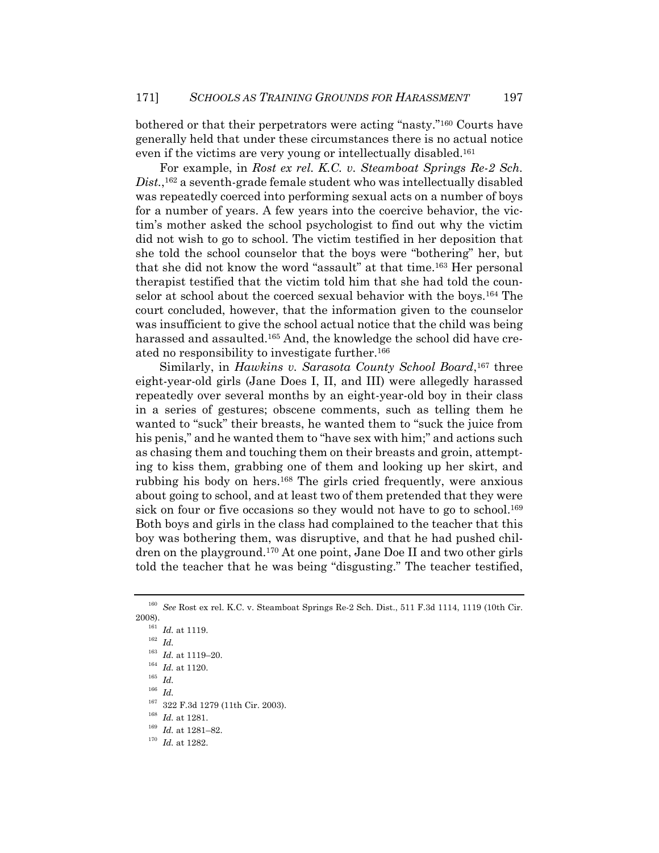bothered or that their perpetrators were acting "nasty."160 Courts have generally held that under these circumstances there is no actual notice even if the victims are very young or intellectually disabled.161

For example, in *Rost ex rel. K.C. v. Steamboat Springs Re-2 Sch. Dist.*,162 a seventh-grade female student who was intellectually disabled was repeatedly coerced into performing sexual acts on a number of boys for a number of years. A few years into the coercive behavior, the victim's mother asked the school psychologist to find out why the victim did not wish to go to school. The victim testified in her deposition that she told the school counselor that the boys were "bothering" her, but that she did not know the word "assault" at that time.163 Her personal therapist testified that the victim told him that she had told the counselor at school about the coerced sexual behavior with the boys.164 The court concluded, however, that the information given to the counselor was insufficient to give the school actual notice that the child was being harassed and assaulted.<sup>165</sup> And, the knowledge the school did have created no responsibility to investigate further.166

Similarly, in *Hawkins v. Sarasota County School Board*,<sup>167</sup> three eight-year-old girls (Jane Does I, II, and III) were allegedly harassed repeatedly over several months by an eight-year-old boy in their class in a series of gestures; obscene comments, such as telling them he wanted to "suck" their breasts, he wanted them to "suck the juice from his penis," and he wanted them to "have sex with him;" and actions such as chasing them and touching them on their breasts and groin, attempting to kiss them, grabbing one of them and looking up her skirt, and rubbing his body on hers.168 The girls cried frequently, were anxious about going to school, and at least two of them pretended that they were sick on four or five occasions so they would not have to go to school.<sup>169</sup> Both boys and girls in the class had complained to the teacher that this boy was bothering them, was disruptive, and that he had pushed children on the playground.170 At one point, Jane Doe II and two other girls told the teacher that he was being "disgusting." The teacher testified,

<sup>166</sup> *Id.* 

<sup>160</sup> *See* Rost ex rel. K.C. v. Steamboat Springs Re-2 Sch. Dist., 511 F.3d 1114, 1119 (10th Cir. 2008). 161 *Id.* at 1119. 162 *Id.* 

<sup>163</sup> *Id.* at 1119–20.

<sup>164</sup> *Id.* at 1120.

<sup>165</sup> *Id.*

<sup>167 322</sup> F.3d 1279 (11th Cir. 2003). 168 *Id.* at 1281. 169 *Id.* at 1281–82. 170 *Id.* at 1282.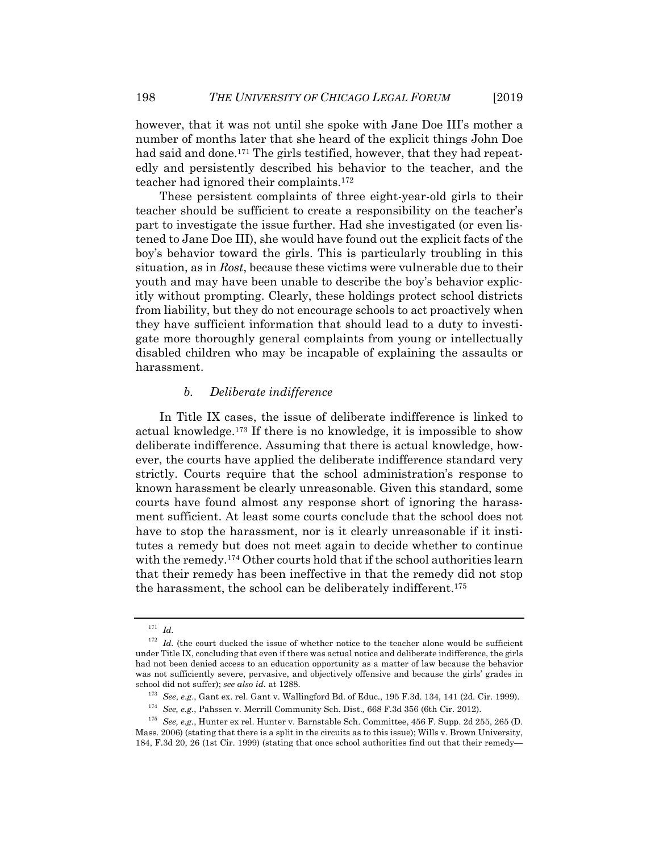however, that it was not until she spoke with Jane Doe III's mother a number of months later that she heard of the explicit things John Doe had said and done.<sup>171</sup> The girls testified, however, that they had repeatedly and persistently described his behavior to the teacher, and the teacher had ignored their complaints.172

These persistent complaints of three eight-year-old girls to their teacher should be sufficient to create a responsibility on the teacher's part to investigate the issue further. Had she investigated (or even listened to Jane Doe III), she would have found out the explicit facts of the boy's behavior toward the girls. This is particularly troubling in this situation, as in *Rost*, because these victims were vulnerable due to their youth and may have been unable to describe the boy's behavior explicitly without prompting. Clearly, these holdings protect school districts from liability, but they do not encourage schools to act proactively when they have sufficient information that should lead to a duty to investigate more thoroughly general complaints from young or intellectually disabled children who may be incapable of explaining the assaults or harassment.

## *b. Deliberate indifference*

In Title IX cases, the issue of deliberate indifference is linked to actual knowledge.<sup>173</sup> If there is no knowledge, it is impossible to show deliberate indifference. Assuming that there is actual knowledge, however, the courts have applied the deliberate indifference standard very strictly. Courts require that the school administration's response to known harassment be clearly unreasonable. Given this standard, some courts have found almost any response short of ignoring the harassment sufficient. At least some courts conclude that the school does not have to stop the harassment, nor is it clearly unreasonable if it institutes a remedy but does not meet again to decide whether to continue with the remedy.<sup>174</sup> Other courts hold that if the school authorities learn that their remedy has been ineffective in that the remedy did not stop the harassment, the school can be deliberately indifferent.175

<sup>171</sup> *Id.*

<sup>&</sup>lt;sup>172</sup> Id. (the court ducked the issue of whether notice to the teacher alone would be sufficient under Title IX, concluding that even if there was actual notice and deliberate indifference, the girls had not been denied access to an education opportunity as a matter of law because the behavior was not sufficiently severe, pervasive, and objectively offensive and because the girls' grades in

school did not suffer); see also id. at 1288.<br>
<sup>173</sup> See, e.g., Gant ex. rel. Gant v. Wallingford Bd. of Educ., 195 F.3d. 134, 141 (2d. Cir. 1999).<br>
<sup>174</sup> See, e.g., Pahssen v. Merrill Community Sch. Dist., 668 F.3d 356 ( Mass. 2006) (stating that there is a split in the circuits as to this issue); Wills v. Brown University, 184, F.3d 20, 26 (1st Cir. 1999) (stating that once school authorities find out that their remedy—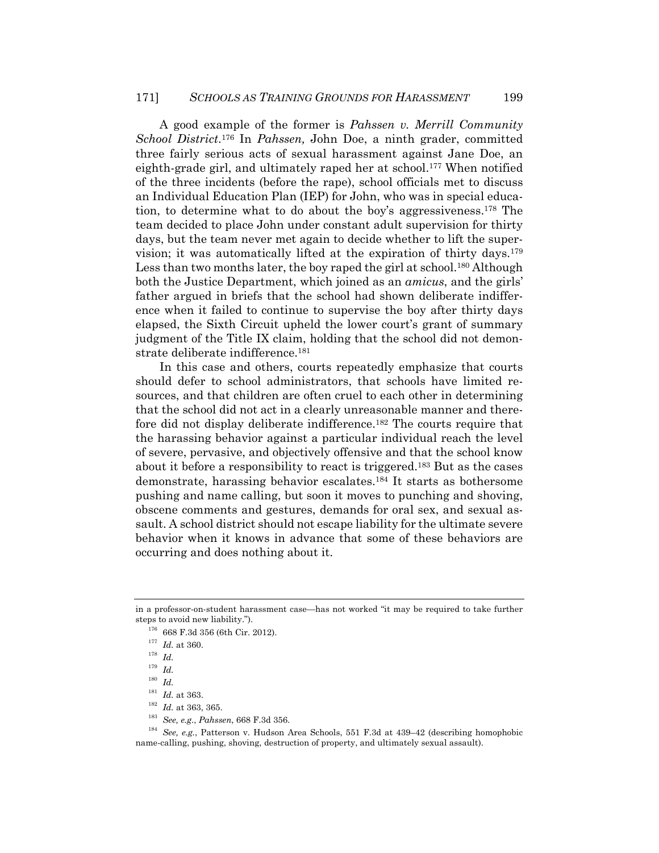A good example of the former is *Pahssen v. Merrill Community School District*.176 In *Pahssen,* John Doe, a ninth grader, committed three fairly serious acts of sexual harassment against Jane Doe, an eighth-grade girl, and ultimately raped her at school.177 When notified of the three incidents (before the rape), school officials met to discuss an Individual Education Plan (IEP) for John, who was in special education, to determine what to do about the boy's aggressiveness.178 The team decided to place John under constant adult supervision for thirty days, but the team never met again to decide whether to lift the supervision; it was automatically lifted at the expiration of thirty days.179 Less than two months later, the boy raped the girl at school.<sup>180</sup> Although both the Justice Department, which joined as an *amicus*, and the girls' father argued in briefs that the school had shown deliberate indifference when it failed to continue to supervise the boy after thirty days elapsed, the Sixth Circuit upheld the lower court's grant of summary judgment of the Title IX claim, holding that the school did not demonstrate deliberate indifference.<sup>181</sup>

In this case and others, courts repeatedly emphasize that courts should defer to school administrators, that schools have limited resources, and that children are often cruel to each other in determining that the school did not act in a clearly unreasonable manner and therefore did not display deliberate indifference.<sup>182</sup> The courts require that the harassing behavior against a particular individual reach the level of severe, pervasive, and objectively offensive and that the school know about it before a responsibility to react is triggered.183 But as the cases demonstrate, harassing behavior escalates.184 It starts as bothersome pushing and name calling, but soon it moves to punching and shoving, obscene comments and gestures, demands for oral sex, and sexual assault. A school district should not escape liability for the ultimate severe behavior when it knows in advance that some of these behaviors are occurring and does nothing about it.

<sup>181</sup> *Id.* at 363. 182 *Id.* at 363, 365. 183 *See, e.g.*, *Pahssen*, 668 F.3d 356. 184 *See, e.g.*, Patterson v. Hudson Area Schools, 551 F.3d at 439–42 (describing homophobic name-calling, pushing, shoving, destruction of property, and ultimately sexual assault).

in a professor-on-student harassment case—has not worked "it may be required to take further steps to avoid new liability.").<br><sup>176</sup> 668 F.3d 356 (6th Cir. 2012).<br><sup>177</sup> *Id.* at 360.<br>*I*<sup>8</sup> *Id.* 

 $^{179}\,$   $Id.$ 

 $\begin{array}{ll} 180 & Id. \\ 181 & Id. \text{ at } 363. \end{array}$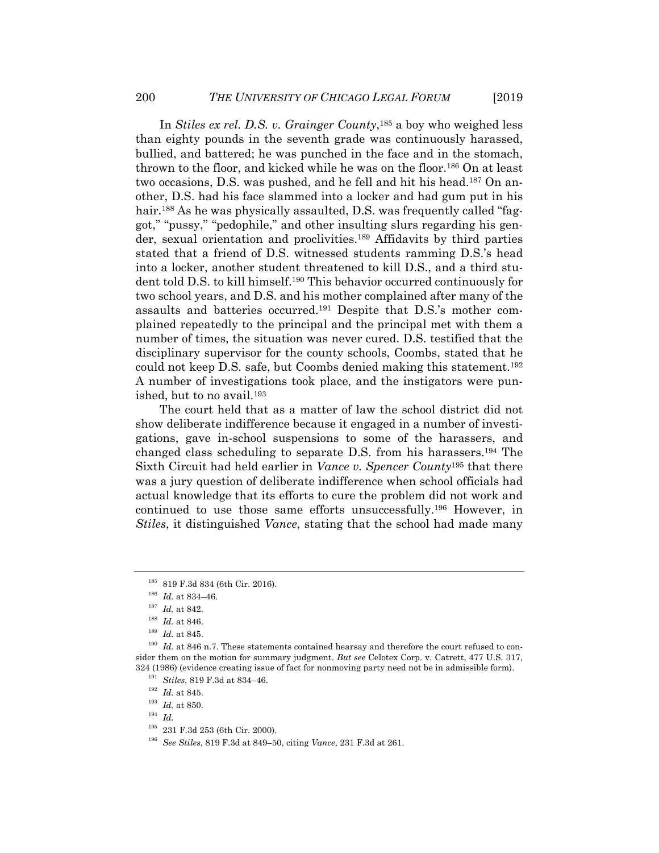In *Stiles ex rel. D.S. v. Grainger County*,185 a boy who weighed less than eighty pounds in the seventh grade was continuously harassed, bullied, and battered; he was punched in the face and in the stomach, thrown to the floor, and kicked while he was on the floor.186 On at least two occasions, D.S. was pushed, and he fell and hit his head.187 On another, D.S. had his face slammed into a locker and had gum put in his hair.<sup>188</sup> As he was physically assaulted, D.S. was frequently called "faggot," "pussy," "pedophile," and other insulting slurs regarding his gender, sexual orientation and proclivities.189 Affidavits by third parties stated that a friend of D.S. witnessed students ramming D.S.'s head into a locker, another student threatened to kill D.S., and a third student told D.S. to kill himself.190 This behavior occurred continuously for two school years, and D.S. and his mother complained after many of the assaults and batteries occurred.191 Despite that D.S.'s mother complained repeatedly to the principal and the principal met with them a number of times, the situation was never cured. D.S. testified that the disciplinary supervisor for the county schools, Coombs, stated that he could not keep D.S. safe, but Coombs denied making this statement.192 A number of investigations took place, and the instigators were punished, but to no avail.193

The court held that as a matter of law the school district did not show deliberate indifference because it engaged in a number of investigations, gave in-school suspensions to some of the harassers, and changed class scheduling to separate D.S. from his harassers.194 The Sixth Circuit had held earlier in *Vance v. Spencer County*195 that there was a jury question of deliberate indifference when school officials had actual knowledge that its efforts to cure the problem did not work and continued to use those same efforts unsuccessfully.196 However, in *Stiles*, it distinguished *Vance*, stating that the school had made many

<sup>&</sup>lt;sup>185</sup> 819 F.3d 834 (6th Cir. 2016).<br><sup>186</sup> *Id.* at 834–46.<br><sup>187</sup> *Id.* at 842.<br><sup>188</sup> *Id.* at 846.<br><sup>188</sup> *Id.* at 846.<br><sup>189</sup> *Id.* at 846.<br><sup>189</sup> *Id.* at 846.<br><sup>189</sup> *Id.* at 846.<br><sup>189</sup> *Id.* at 846. sider them on the motion for summary judgment. *But see* Celotex Corp. v. Catrett, 477 U.S. 317, 324 (1986) (evidence creating issue of fact for nonmoving party need not be in admissible form).<br><sup>191</sup> *Stiles*, 819 F.3d at 834–46.<br><sup>192</sup> *Id.* at 845.<br><sup>193</sup> *Id.* at 850.<br><sup>194</sup> *Id.*<br>231 F.3d 253 (6th Cir. 2000).

<sup>&</sup>lt;sup>196</sup> See Stiles, 819 F.3d at 849–50, citing *Vance*, 231 F.3d at 261.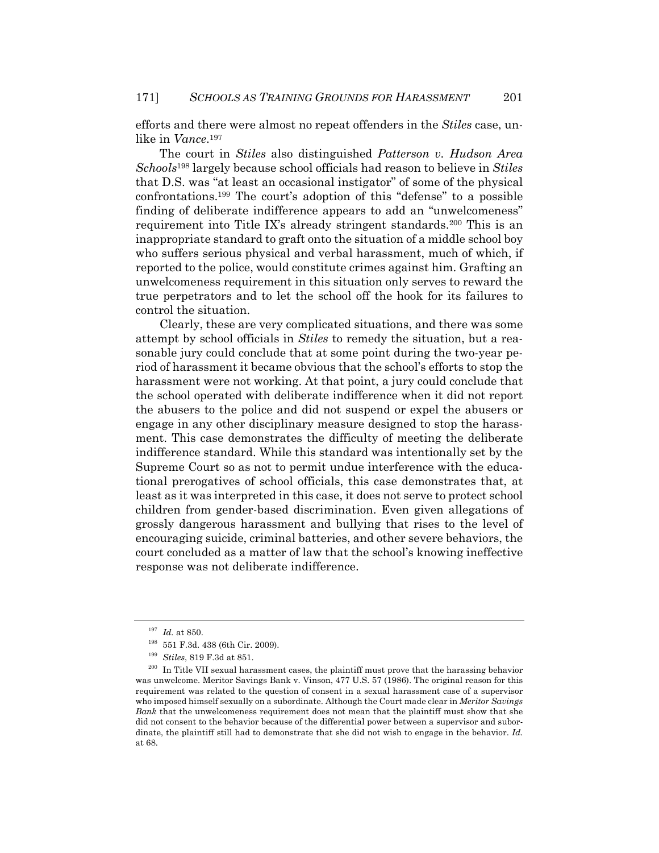efforts and there were almost no repeat offenders in the *Stiles* case, unlike in *Vance*.197

The court in *Stiles* also distinguished *Patterson v. Hudson Area Schools*198 largely because school officials had reason to believe in *Stiles* that D.S. was "at least an occasional instigator" of some of the physical confrontations.199 The court's adoption of this "defense" to a possible finding of deliberate indifference appears to add an "unwelcomeness" requirement into Title IX's already stringent standards.200 This is an inappropriate standard to graft onto the situation of a middle school boy who suffers serious physical and verbal harassment, much of which, if reported to the police, would constitute crimes against him. Grafting an unwelcomeness requirement in this situation only serves to reward the true perpetrators and to let the school off the hook for its failures to control the situation.

Clearly, these are very complicated situations, and there was some attempt by school officials in *Stiles* to remedy the situation, but a reasonable jury could conclude that at some point during the two-year period of harassment it became obvious that the school's efforts to stop the harassment were not working. At that point, a jury could conclude that the school operated with deliberate indifference when it did not report the abusers to the police and did not suspend or expel the abusers or engage in any other disciplinary measure designed to stop the harassment. This case demonstrates the difficulty of meeting the deliberate indifference standard. While this standard was intentionally set by the Supreme Court so as not to permit undue interference with the educational prerogatives of school officials, this case demonstrates that, at least as it was interpreted in this case, it does not serve to protect school children from gender-based discrimination. Even given allegations of grossly dangerous harassment and bullying that rises to the level of encouraging suicide, criminal batteries, and other severe behaviors, the court concluded as a matter of law that the school's knowing ineffective response was not deliberate indifference.

<sup>&</sup>lt;sup>197</sup> Id. at 850.<br><sup>198</sup> 551 F.3d. 438 (6th Cir. 2009).<br><sup>199</sup> *Stiles*, 819 F.3d at 851.<br><sup>200</sup> In Title VII sexual harassment cases, the plaintiff must prove that the harassing behavior was unwelcome. Meritor Savings Bank v. Vinson, 477 U.S. 57 (1986). The original reason for this requirement was related to the question of consent in a sexual harassment case of a supervisor who imposed himself sexually on a subordinate. Although the Court made clear in *Meritor Savings Bank* that the unwelcomeness requirement does not mean that the plaintiff must show that she did not consent to the behavior because of the differential power between a supervisor and subordinate, the plaintiff still had to demonstrate that she did not wish to engage in the behavior. *Id.* at 68.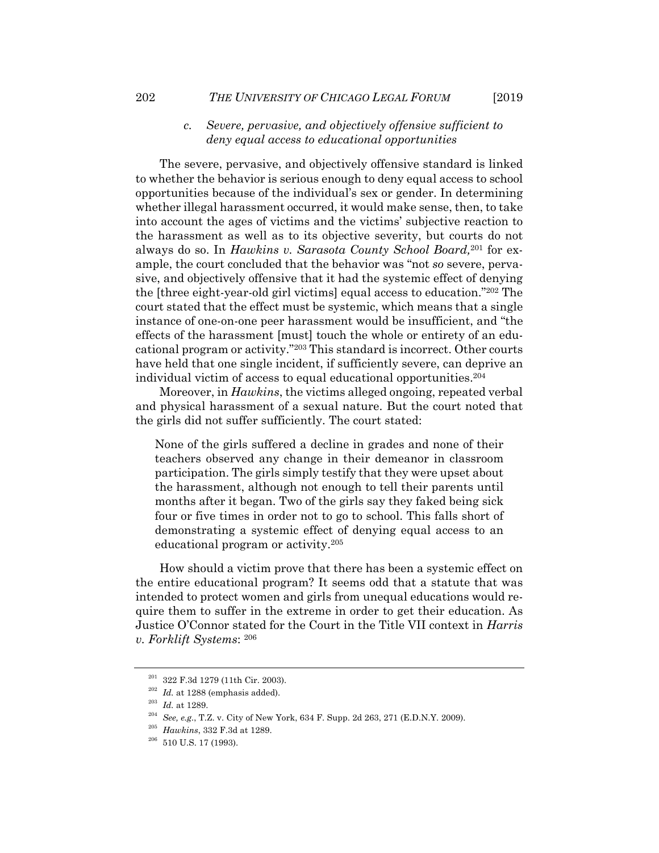## *c. Severe, pervasive, and objectively offensive sufficient to deny equal access to educational opportunities*

The severe, pervasive, and objectively offensive standard is linked to whether the behavior is serious enough to deny equal access to school opportunities because of the individual's sex or gender. In determining whether illegal harassment occurred, it would make sense, then, to take into account the ages of victims and the victims' subjective reaction to the harassment as well as to its objective severity, but courts do not always do so. In *Hawkins v. Sarasota County School Board,*201 for example, the court concluded that the behavior was "not *so* severe, pervasive, and objectively offensive that it had the systemic effect of denying the [three eight-year-old girl victims] equal access to education."202 The court stated that the effect must be systemic, which means that a single instance of one-on-one peer harassment would be insufficient, and "the effects of the harassment [must] touch the whole or entirety of an educational program or activity."203 This standard is incorrect. Other courts have held that one single incident, if sufficiently severe, can deprive an individual victim of access to equal educational opportunities.204

Moreover, in *Hawkins*, the victims alleged ongoing, repeated verbal and physical harassment of a sexual nature. But the court noted that the girls did not suffer sufficiently. The court stated:

None of the girls suffered a decline in grades and none of their teachers observed any change in their demeanor in classroom participation. The girls simply testify that they were upset about the harassment, although not enough to tell their parents until months after it began. Two of the girls say they faked being sick four or five times in order not to go to school. This falls short of demonstrating a systemic effect of denying equal access to an educational program or activity.205

How should a victim prove that there has been a systemic effect on the entire educational program? It seems odd that a statute that was intended to protect women and girls from unequal educations would require them to suffer in the extreme in order to get their education. As Justice O'Connor stated for the Court in the Title VII context in *Harris v. Forklift Systems*: 206

<sup>&</sup>lt;sup>201</sup> 322 F.3d 1279 (11th Cir. 2003).<br><sup>202</sup> *Id.* at 1288 (emphasis added).<br><sup>203</sup> *Id.* at 1289.<br><sup>203</sup> *See, e.g.*, T.Z. v. City of New York, 634 F. Supp. 2d 263, 271 (E.D.N.Y. 2009).<br><sup>205</sup> *Hawkins*, 332 F.3d at 1289.<br><sup>2</sup>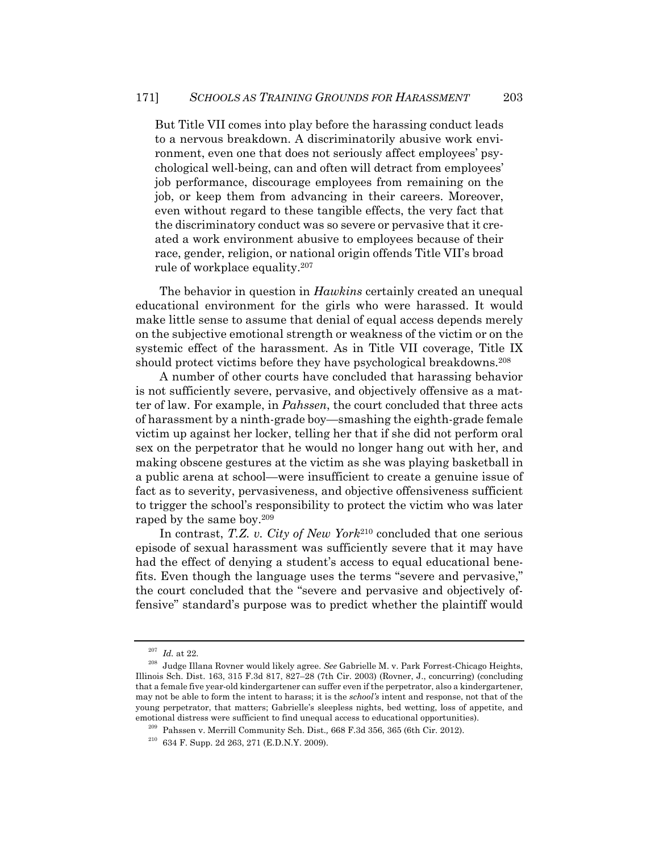But Title VII comes into play before the harassing conduct leads to a nervous breakdown. A discriminatorily abusive work environment, even one that does not seriously affect employees' psychological well-being, can and often will detract from employees' job performance, discourage employees from remaining on the job, or keep them from advancing in their careers. Moreover, even without regard to these tangible effects, the very fact that the discriminatory conduct was so severe or pervasive that it created a work environment abusive to employees because of their race, gender, religion, or national origin offends Title VII's broad rule of workplace equality.207

The behavior in question in *Hawkins* certainly created an unequal educational environment for the girls who were harassed. It would make little sense to assume that denial of equal access depends merely on the subjective emotional strength or weakness of the victim or on the systemic effect of the harassment. As in Title VII coverage, Title IX should protect victims before they have psychological breakdowns.<sup>208</sup>

A number of other courts have concluded that harassing behavior is not sufficiently severe, pervasive, and objectively offensive as a matter of law. For example, in *Pahssen*, the court concluded that three acts of harassment by a ninth-grade boy—smashing the eighth-grade female victim up against her locker, telling her that if she did not perform oral sex on the perpetrator that he would no longer hang out with her, and making obscene gestures at the victim as she was playing basketball in a public arena at school—were insufficient to create a genuine issue of fact as to severity, pervasiveness, and objective offensiveness sufficient to trigger the school's responsibility to protect the victim who was later raped by the same boy.209

In contrast, *T.Z. v. City of New York*210 concluded that one serious episode of sexual harassment was sufficiently severe that it may have had the effect of denying a student's access to equal educational benefits. Even though the language uses the terms "severe and pervasive," the court concluded that the "severe and pervasive and objectively offensive" standard's purpose was to predict whether the plaintiff would

<sup>207</sup> *Id.* at 22. 208 Judge Illana Rovner would likely agree. *See* Gabrielle M. v. Park Forrest-Chicago Heights, Illinois Sch. Dist. 163, 315 F.3d 817, 827–28 (7th Cir. 2003) (Rovner, J., concurring) (concluding that a female five year-old kindergartener can suffer even if the perpetrator, also a kindergartener, may not be able to form the intent to harass; it is the *school's* intent and response, not that of the young perpetrator, that matters; Gabrielle's sleepless nights, bed wetting, loss of appetite, and emotional distress were sufficient to find unequal access to educational opportunities).<br><sup>209</sup> Pahssen v. Merrill Community Sch. Dist., 668 F.3d 356, 365 (6th Cir. 2012).<br><sup>210</sup> 634 F. Supp. 2d 263, 271 (E.D.N.Y. 2009).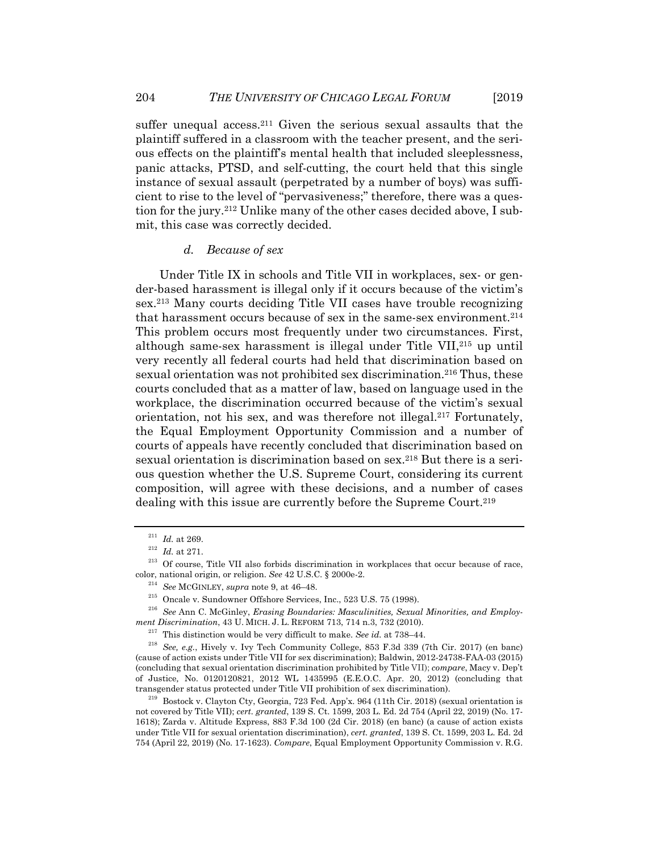suffer unequal access.<sup>211</sup> Given the serious sexual assaults that the plaintiff suffered in a classroom with the teacher present, and the serious effects on the plaintiff's mental health that included sleeplessness, panic attacks, PTSD, and self-cutting, the court held that this single instance of sexual assault (perpetrated by a number of boys) was sufficient to rise to the level of "pervasiveness;" therefore, there was a question for the jury.212 Unlike many of the other cases decided above, I submit, this case was correctly decided.

### *d. Because of sex*

Under Title IX in schools and Title VII in workplaces, sex- or gender-based harassment is illegal only if it occurs because of the victim's sex.213 Many courts deciding Title VII cases have trouble recognizing that harassment occurs because of sex in the same-sex environment.<sup>214</sup> This problem occurs most frequently under two circumstances. First, although same-sex harassment is illegal under Title VII,215 up until very recently all federal courts had held that discrimination based on sexual orientation was not prohibited sex discrimination.<sup>216</sup> Thus, these courts concluded that as a matter of law, based on language used in the workplace, the discrimination occurred because of the victim's sexual orientation, not his sex, and was therefore not illegal.217 Fortunately, the Equal Employment Opportunity Commission and a number of courts of appeals have recently concluded that discrimination based on sexual orientation is discrimination based on sex.<sup>218</sup> But there is a serious question whether the U.S. Supreme Court, considering its current composition, will agree with these decisions, and a number of cases dealing with this issue are currently before the Supreme Court.<sup>219</sup>

<sup>&</sup>lt;sup>211</sup> *Id.* at 269.<br><sup>212</sup> *Id.* at 271.<br><sup>213</sup> Of course, Title VII also forbids discrimination in workplaces that occur because of race, color, national origin, or religion. See 42 U.S.C. § 2000e-2.<br><sup>214</sup> See MCGINLEY, *supra* note 9, at 46–48.<br><sup>215</sup> Oncale v. Sundowner Offshore Services, Inc., 523 U.S. 75 (1998).<br><sup>216</sup> See Ann C. McGinley. *Erasing Boundar* 

ment Discrimination, 43 U. MICH. J. L. REFORM 713, 714 n.3, 732 (2010).<br><sup>217</sup> This distinction would be very difficult to make. *See id.* at 738–44.<br><sup>218</sup> *See, e.g.*, Hively v. Ivy Tech Community College, 853 F.3d 339 (7

<sup>(</sup>cause of action exists under Title VII for sex discrimination); Baldwin, 2012-24738-FAA-03 (2015) (concluding that sexual orientation discrimination prohibited by Title VII); *compare*, Macy v. Dep't of Justice*,* No. 0120120821, 2012 WL 1435995 (E.E.O.C. Apr. 20, 2012) (concluding that

 $t^{219}$  Bostock v. Clayton Cty, Georgia, 723 Fed. App'x. 964 (11th Cir. 2018) (sexual orientation is not covered by Title VII); *cert. granted*, 139 S. Ct. 1599, 203 L. Ed. 2d 754 (April 22, 2019) (No. 17- 1618); Zarda v. Altitude Express, 883 F.3d 100 (2d Cir. 2018) (en banc) (a cause of action exists under Title VII for sexual orientation discrimination), *cert. granted*, 139 S. Ct. 1599, 203 L. Ed. 2d 754 (April 22, 2019) (No. 17-1623). *Compare*, Equal Employment Opportunity Commission v. R.G.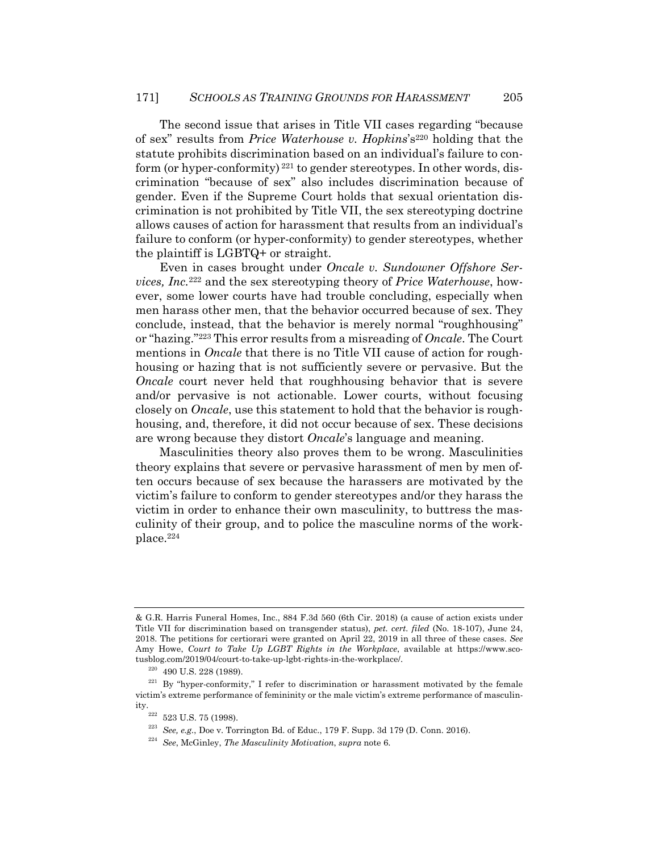The second issue that arises in Title VII cases regarding "because of sex" results from *Price Waterhouse v. Hopkins*'s220 holding that the statute prohibits discrimination based on an individual's failure to conform (or hyper-conformity)  $^{221}$  to gender stereotypes. In other words, discrimination "because of sex" also includes discrimination because of gender. Even if the Supreme Court holds that sexual orientation discrimination is not prohibited by Title VII, the sex stereotyping doctrine allows causes of action for harassment that results from an individual's failure to conform (or hyper-conformity) to gender stereotypes, whether the plaintiff is LGBTQ+ or straight.

Even in cases brought under *Oncale v. Sundowner Offshore Services, Inc.*222 and the sex stereotyping theory of *Price Waterhouse*, however, some lower courts have had trouble concluding, especially when men harass other men, that the behavior occurred because of sex. They conclude, instead, that the behavior is merely normal "roughhousing" or "hazing."223 This error results from a misreading of *Oncale*. The Court mentions in *Oncale* that there is no Title VII cause of action for roughhousing or hazing that is not sufficiently severe or pervasive. But the *Oncale* court never held that roughhousing behavior that is severe and/or pervasive is not actionable. Lower courts, without focusing closely on *Oncale*, use this statement to hold that the behavior is roughhousing, and, therefore, it did not occur because of sex. These decisions are wrong because they distort *Oncale*'s language and meaning.

Masculinities theory also proves them to be wrong. Masculinities theory explains that severe or pervasive harassment of men by men often occurs because of sex because the harassers are motivated by the victim's failure to conform to gender stereotypes and/or they harass the victim in order to enhance their own masculinity, to buttress the masculinity of their group, and to police the masculine norms of the workplace.224

<sup>&</sup>amp; G.R. Harris Funeral Homes, Inc., 884 F.3d 560 (6th Cir. 2018) (a cause of action exists under Title VII for discrimination based on transgender status), *pet. cert. filed* (No. 18-107), June 24, 2018. The petitions for certiorari were granted on April 22, 2019 in all three of these cases. *See* Amy Howe, *Court to Take Up LGBT Rights in the Workplace*, available at https://www.sco-

tusblog.com/2019/04/court-to-take-up-lgbt-rights-in-the-workplace/.<br><sup>220</sup> 490 U.S. 228 (1989).<br><sup>221</sup> By "hyper-conformity," I refer to discrimination or harassment motivated by the female victim's extreme performance of femininity or the male victim's extreme performance of masculin-

ity. 222 523 U.S. 75 (1998). 223 *See, e.g.*, Doe v. Torrington Bd. of Educ., 179 F. Supp. 3d 179 (D. Conn. 2016). 224 *See*, McGinley, *The Masculinity Motivation*, *supra* note 6.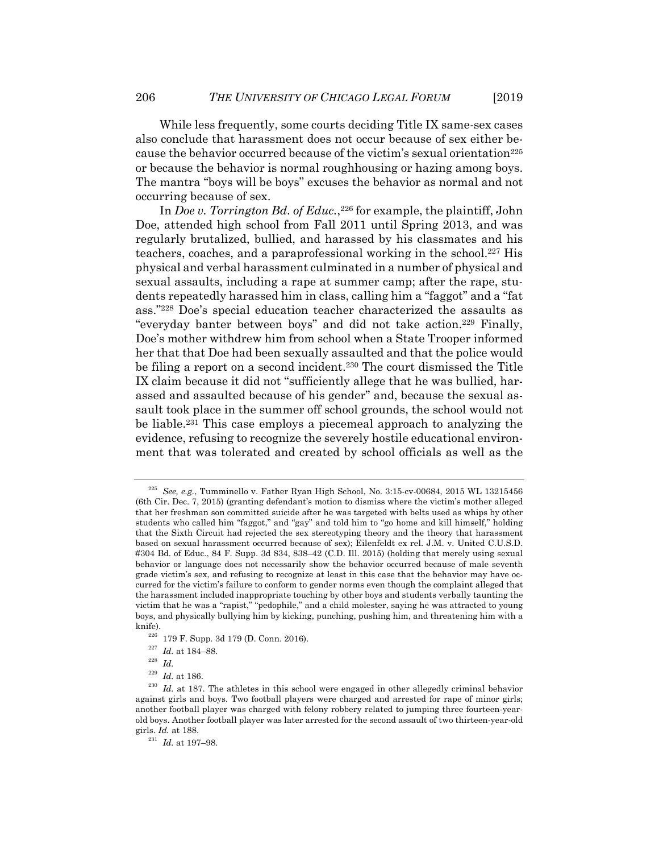While less frequently, some courts deciding Title IX same-sex cases also conclude that harassment does not occur because of sex either because the behavior occurred because of the victim's sexual orientation<sup>225</sup> or because the behavior is normal roughhousing or hazing among boys. The mantra "boys will be boys" excuses the behavior as normal and not occurring because of sex.

In *Doe v. Torrington Bd. of Educ.*,<sup>226</sup> for example, the plaintiff, John Doe, attended high school from Fall 2011 until Spring 2013, and was regularly brutalized, bullied, and harassed by his classmates and his teachers, coaches, and a paraprofessional working in the school.227 His physical and verbal harassment culminated in a number of physical and sexual assaults, including a rape at summer camp; after the rape, students repeatedly harassed him in class, calling him a "faggot" and a "fat ass."228 Doe's special education teacher characterized the assaults as "everyday banter between boys" and did not take action.229 Finally, Doe's mother withdrew him from school when a State Trooper informed her that that Doe had been sexually assaulted and that the police would be filing a report on a second incident.230 The court dismissed the Title IX claim because it did not "sufficiently allege that he was bullied, harassed and assaulted because of his gender" and, because the sexual assault took place in the summer off school grounds, the school would not be liable.231 This case employs a piecemeal approach to analyzing the evidence, refusing to recognize the severely hostile educational environment that was tolerated and created by school officials as well as the

<sup>225</sup> *See, e.g.*, Tumminello v. Father Ryan High School, No. 3:15-cv-00684, 2015 WL 13215456 (6th Cir. Dec. 7, 2015) (granting defendant's motion to dismiss where the victim's mother alleged that her freshman son committed suicide after he was targeted with belts used as whips by other students who called him "faggot," and "gay" and told him to "go home and kill himself," holding that the Sixth Circuit had rejected the sex stereotyping theory and the theory that harassment based on sexual harassment occurred because of sex); Eilenfeldt ex rel. J.M. v. United C.U.S.D. #304 Bd. of Educ., 84 F. Supp. 3d 834, 838–42 (C.D. Ill. 2015) (holding that merely using sexual behavior or language does not necessarily show the behavior occurred because of male seventh grade victim's sex, and refusing to recognize at least in this case that the behavior may have occurred for the victim's failure to conform to gender norms even though the complaint alleged that the harassment included inappropriate touching by other boys and students verbally taunting the victim that he was a "rapist," "pedophile," and a child molester, saying he was attracted to young boys, and physically bullying him by kicking, punching, pushing him, and threatening him with a knife). 226 179 F. Supp. 3d 179 (D. Conn. 2016). 227 *Id.* at 184–88. 228 *Id.*

<sup>&</sup>lt;sup>229</sup> *Id.* at 186.<br><sup>230</sup> *Id.* at 187. The athletes in this school were engaged in other allegedly criminal behavior against girls and boys. Two football players were charged and arrested for rape of minor girls; another football player was charged with felony robbery related to jumping three fourteen-yearold boys. Another football player was later arrested for the second assault of two thirteen-year-old girls. *Id.* at 188. 231 *Id.* at 197–98.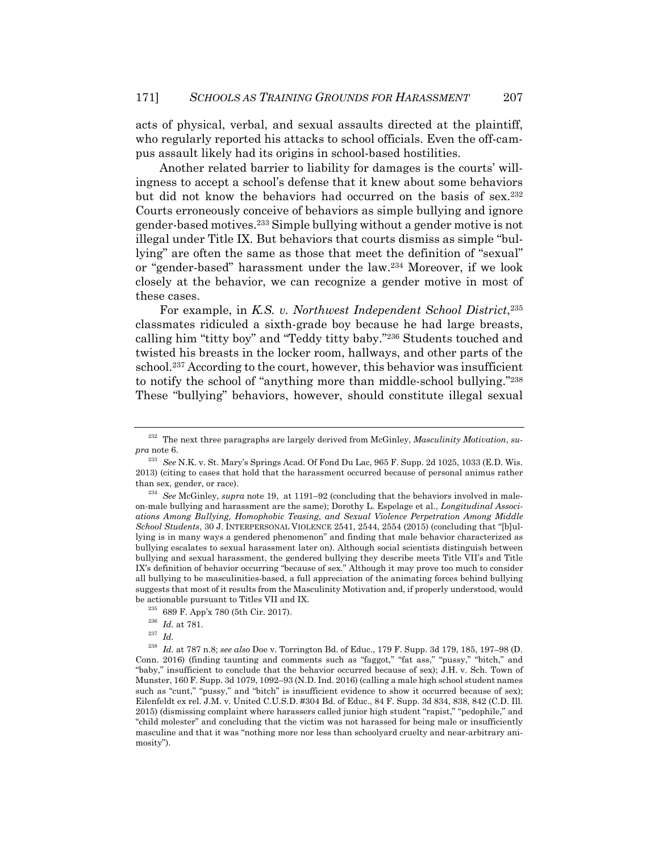acts of physical, verbal, and sexual assaults directed at the plaintiff, who regularly reported his attacks to school officials. Even the off-campus assault likely had its origins in school-based hostilities.

Another related barrier to liability for damages is the courts' willingness to accept a school's defense that it knew about some behaviors but did not know the behaviors had occurred on the basis of sex.232 Courts erroneously conceive of behaviors as simple bullying and ignore gender-based motives.233 Simple bullying without a gender motive is not illegal under Title IX. But behaviors that courts dismiss as simple "bullying" are often the same as those that meet the definition of "sexual" or "gender-based" harassment under the law.234 Moreover, if we look closely at the behavior, we can recognize a gender motive in most of these cases.

For example, in *K.S. v. Northwest Independent School District*,<sup>235</sup> classmates ridiculed a sixth-grade boy because he had large breasts, calling him "titty boy" and "Teddy titty baby."236 Students touched and twisted his breasts in the locker room, hallways, and other parts of the school.237 According to the court, however, this behavior was insufficient to notify the school of "anything more than middle-school bullying."238 These "bullying" behaviors, however, should constitute illegal sexual

<sup>232</sup> The next three paragraphs are largely derived from McGinley, *Masculinity Motivation*, *supra* note 6.

<sup>233</sup> *See* N.K. v. St. Mary's Springs Acad. Of Fond Du Lac, 965 F. Supp. 2d 1025, 1033 (E.D. Wis. 2013) (citing to cases that hold that the harassment occurred because of personal animus rather than sex, gender, or race). 234 *See* McGinley, *supra* note 19, at 1191–92 (concluding that the behaviors involved in male-

on-male bullying and harassment are the same); Dorothy L. Espelage et al., *Longitudinal Associations Among Bullying, Homophobic Teasing, and Sexual Violence Perpetration Among Middle School Students*, 30 J. INTERPERSONAL VIOLENCE 2541, 2544, 2554 (2015) (concluding that "[b]ullying is in many ways a gendered phenomenon" and finding that male behavior characterized as bullying escalates to sexual harassment later on). Although social scientists distinguish between bullying and sexual harassment, the gendered bullying they describe meets Title VII's and Title IX's definition of behavior occurring "because of sex." Although it may prove too much to consider all bullying to be masculinities-based, a full appreciation of the animating forces behind bullying suggests that most of it results from the Masculinity Motivation and, if properly understood, would be actionable pursuant to Titles VII and IX. 235 689 F. App'x 780 (5th Cir. 2017). 236 *Id.* at 781. 237 *Id.* 

<sup>238</sup> *Id.* at 787 n.8; *see also* Doe v. Torrington Bd. of Educ., 179 F. Supp. 3d 179, 185, 197–98 (D. Conn. 2016) (finding taunting and comments such as "faggot," "fat ass," "pussy," "bitch," and "baby," insufficient to conclude that the behavior occurred because of sex); J.H. v. Sch. Town of Munster, 160 F. Supp. 3d 1079, 1092–93 (N.D. Ind. 2016) (calling a male high school student names such as "cunt," "pussy," and "bitch" is insufficient evidence to show it occurred because of sex); Eilenfeldt ex rel*.* J.M. v. United C.U.S.D. #304 Bd. of Educ., 84 F. Supp. 3d 834, 838, 842 (C.D. Ill. 2015) (dismissing complaint where harassers called junior high student "rapist," "pedophile," and "child molester" and concluding that the victim was not harassed for being male or insufficiently masculine and that it was "nothing more nor less than schoolyard cruelty and near-arbitrary animosity").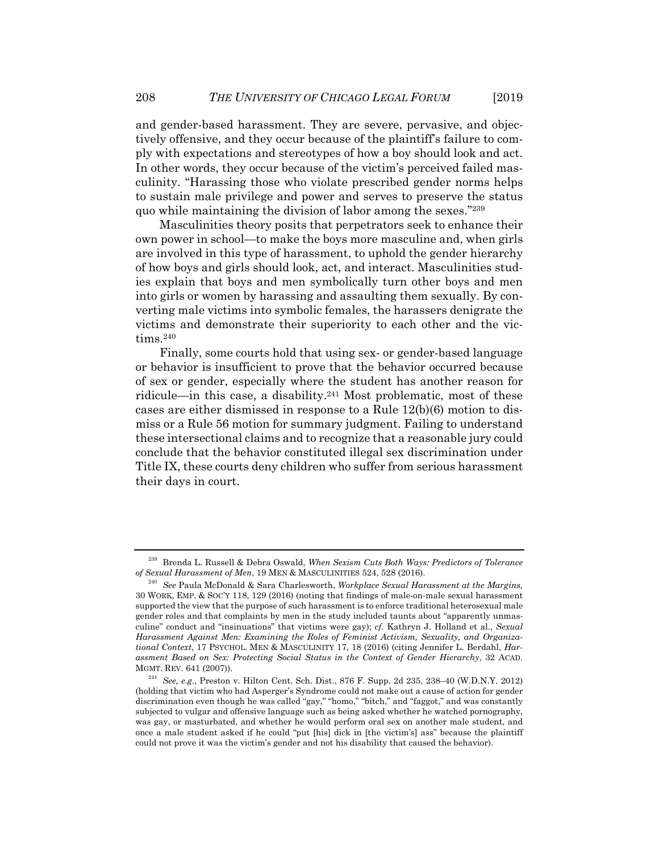and gender-based harassment. They are severe, pervasive, and objectively offensive, and they occur because of the plaintiff's failure to comply with expectations and stereotypes of how a boy should look and act. In other words, they occur because of the victim's perceived failed masculinity. "Harassing those who violate prescribed gender norms helps to sustain male privilege and power and serves to preserve the status quo while maintaining the division of labor among the sexes."239

Masculinities theory posits that perpetrators seek to enhance their own power in school—to make the boys more masculine and, when girls are involved in this type of harassment, to uphold the gender hierarchy of how boys and girls should look, act, and interact. Masculinities studies explain that boys and men symbolically turn other boys and men into girls or women by harassing and assaulting them sexually. By converting male victims into symbolic females, the harassers denigrate the victims and demonstrate their superiority to each other and the victims.<sup>240</sup>

Finally, some courts hold that using sex- or gender-based language or behavior is insufficient to prove that the behavior occurred because of sex or gender, especially where the student has another reason for ridicule—in this case, a disability.241 Most problematic, most of these cases are either dismissed in response to a Rule 12(b)(6) motion to dismiss or a Rule 56 motion for summary judgment. Failing to understand these intersectional claims and to recognize that a reasonable jury could conclude that the behavior constituted illegal sex discrimination under Title IX, these courts deny children who suffer from serious harassment their days in court.

<sup>239</sup> Brenda L. Russell & Debra Oswald, *When Sexism Cuts Both Ways: Predictors of Tolerance of Sexual Harassment of Men*, 19 MEN & MASCULINITIES 524, 528 (2016). 240 *See* Paula McDonald & Sara Charlesworth, *Workplace Sexual Harassment at the Margins,*

<sup>30</sup> WORK, EMP. & SOC'Y 118, 129 (2016) (noting that findings of male-on-male sexual harassment supported the view that the purpose of such harassment is to enforce traditional heterosexual male gender roles and that complaints by men in the study included taunts about "apparently unmasculine" conduct and "insinuations" that victims were gay); *cf.* Kathryn J. Holland et al., *Sexual Harassment Against Men: Examining the Roles of Feminist Activism, Sexuality, and Organizational Context*, 17 PSYCHOL. MEN & MASCULINITY 17, 18 (2016) (citing Jennifer L. Berdahl, *Harassment Based on Sex: Protecting Social Status in the Context of Gender Hierarchy*, 32 ACAD. MGMT. REV. 641 (2007)). 241 *See, e.g.*, Preston v. Hilton Cent. Sch. Dist., 876 F. Supp. 2d 235, 238–40 (W.D.N.Y. 2012)

<sup>(</sup>holding that victim who had Asperger's Syndrome could not make out a cause of action for gender discrimination even though he was called "gay," "homo," "bitch," and "faggot," and was constantly subjected to vulgar and offensive language such as being asked whether he watched pornography, was gay, or masturbated, and whether he would perform oral sex on another male student, and once a male student asked if he could "put [his] dick in [the victim's] ass" because the plaintiff could not prove it was the victim's gender and not his disability that caused the behavior).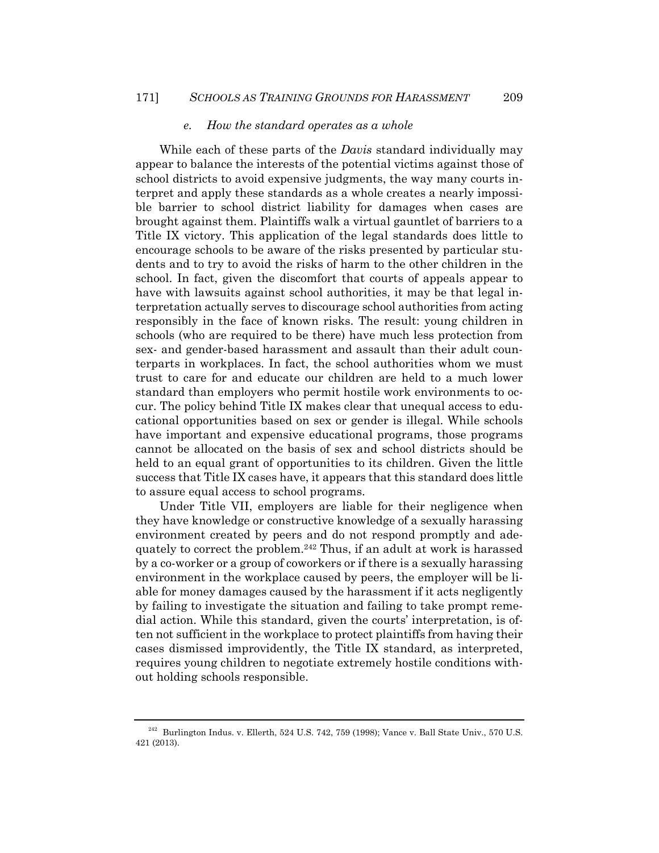#### *e. How the standard operates as a whole*

While each of these parts of the *Davis* standard individually may appear to balance the interests of the potential victims against those of school districts to avoid expensive judgments, the way many courts interpret and apply these standards as a whole creates a nearly impossible barrier to school district liability for damages when cases are brought against them. Plaintiffs walk a virtual gauntlet of barriers to a Title IX victory. This application of the legal standards does little to encourage schools to be aware of the risks presented by particular students and to try to avoid the risks of harm to the other children in the school. In fact, given the discomfort that courts of appeals appear to have with lawsuits against school authorities, it may be that legal interpretation actually serves to discourage school authorities from acting responsibly in the face of known risks. The result: young children in schools (who are required to be there) have much less protection from sex- and gender-based harassment and assault than their adult counterparts in workplaces. In fact, the school authorities whom we must trust to care for and educate our children are held to a much lower standard than employers who permit hostile work environments to occur. The policy behind Title IX makes clear that unequal access to educational opportunities based on sex or gender is illegal. While schools have important and expensive educational programs, those programs cannot be allocated on the basis of sex and school districts should be held to an equal grant of opportunities to its children. Given the little success that Title IX cases have, it appears that this standard does little to assure equal access to school programs.

Under Title VII, employers are liable for their negligence when they have knowledge or constructive knowledge of a sexually harassing environment created by peers and do not respond promptly and adequately to correct the problem.242 Thus, if an adult at work is harassed by a co-worker or a group of coworkers or if there is a sexually harassing environment in the workplace caused by peers, the employer will be liable for money damages caused by the harassment if it acts negligently by failing to investigate the situation and failing to take prompt remedial action. While this standard, given the courts' interpretation, is often not sufficient in the workplace to protect plaintiffs from having their cases dismissed improvidently, the Title IX standard, as interpreted, requires young children to negotiate extremely hostile conditions without holding schools responsible.

 $^{242}$  Burlington Indus. v. Ellerth, 524 U.S. 742, 759 (1998); Vance v. Ball State Univ., 570 U.S. 421 (2013).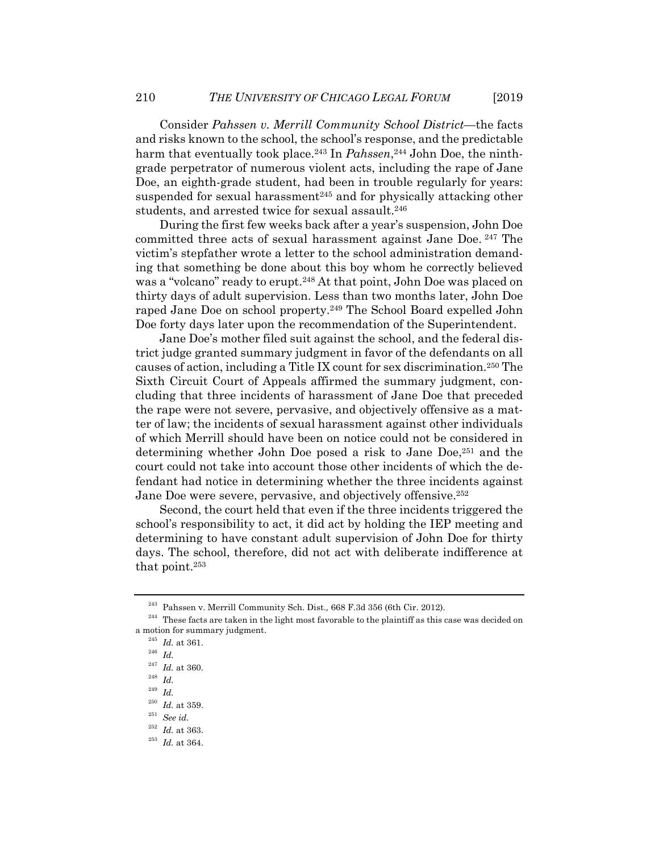Consider *Pahssen v. Merrill Community School District*—the facts and risks known to the school, the school's response, and the predictable harm that eventually took place.<sup>243</sup> In *Pahssen*,<sup>244</sup> John Doe, the ninthgrade perpetrator of numerous violent acts, including the rape of Jane Doe, an eighth-grade student, had been in trouble regularly for years: suspended for sexual harassment<sup>245</sup> and for physically attacking other students, and arrested twice for sexual assault.<sup>246</sup>

During the first few weeks back after a year's suspension, John Doe committed three acts of sexual harassment against Jane Doe. 247 The victim's stepfather wrote a letter to the school administration demanding that something be done about this boy whom he correctly believed was a "volcano" ready to erupt.248 At that point, John Doe was placed on thirty days of adult supervision. Less than two months later, John Doe raped Jane Doe on school property.249 The School Board expelled John Doe forty days later upon the recommendation of the Superintendent.

Jane Doe's mother filed suit against the school, and the federal district judge granted summary judgment in favor of the defendants on all causes of action, including a Title IX count for sex discrimination.250 The Sixth Circuit Court of Appeals affirmed the summary judgment, concluding that three incidents of harassment of Jane Doe that preceded the rape were not severe, pervasive, and objectively offensive as a matter of law; the incidents of sexual harassment against other individuals of which Merrill should have been on notice could not be considered in determining whether John Doe posed a risk to Jane Doe,251 and the court could not take into account those other incidents of which the defendant had notice in determining whether the three incidents against Jane Doe were severe, pervasive, and objectively offensive.252

Second, the court held that even if the three incidents triggered the school's responsibility to act, it did act by holding the IEP meeting and determining to have constant adult supervision of John Doe for thirty days. The school, therefore, did not act with deliberate indifference at that point.253

<sup>&</sup>lt;sup>243</sup> Pahssen v. Merrill Community Sch. Dist., 668 F.3d 356 (6th Cir. 2012).<br><sup>244</sup> These facts are taken in the light most favorable to the plaintiff as this case was decided on a motion for summary judgment. 245 *Id.* at 361. 246 *Id.* 

<sup>247</sup> *Id.* at 360. 248 *Id.* 

 $^{249}\,$   $Id.$ 

<sup>250</sup> *Id.* at 359. 251 *See id.* 

<sup>252</sup> *Id.* at 363. 253 *Id.* at 364.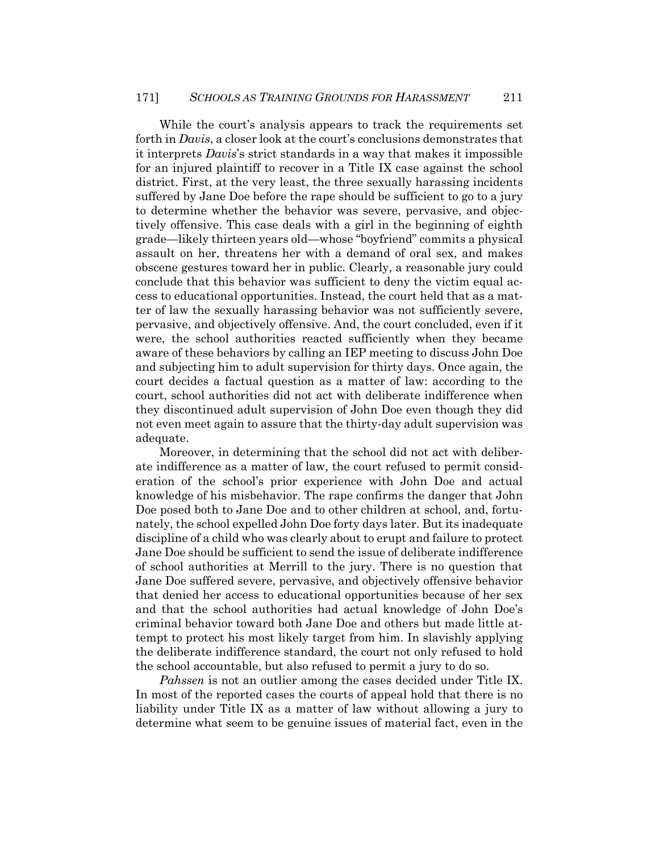While the court's analysis appears to track the requirements set forth in *Davis*, a closer look at the court's conclusions demonstrates that it interprets *Davis*'s strict standards in a way that makes it impossible for an injured plaintiff to recover in a Title IX case against the school district. First, at the very least, the three sexually harassing incidents suffered by Jane Doe before the rape should be sufficient to go to a jury to determine whether the behavior was severe, pervasive, and objectively offensive. This case deals with a girl in the beginning of eighth grade—likely thirteen years old—whose "boyfriend" commits a physical assault on her, threatens her with a demand of oral sex, and makes obscene gestures toward her in public. Clearly, a reasonable jury could conclude that this behavior was sufficient to deny the victim equal access to educational opportunities. Instead, the court held that as a matter of law the sexually harassing behavior was not sufficiently severe, pervasive, and objectively offensive. And, the court concluded, even if it were, the school authorities reacted sufficiently when they became aware of these behaviors by calling an IEP meeting to discuss John Doe and subjecting him to adult supervision for thirty days. Once again, the court decides a factual question as a matter of law: according to the court, school authorities did not act with deliberate indifference when they discontinued adult supervision of John Doe even though they did not even meet again to assure that the thirty-day adult supervision was adequate.

Moreover, in determining that the school did not act with deliberate indifference as a matter of law, the court refused to permit consideration of the school's prior experience with John Doe and actual knowledge of his misbehavior. The rape confirms the danger that John Doe posed both to Jane Doe and to other children at school, and, fortunately, the school expelled John Doe forty days later. But its inadequate discipline of a child who was clearly about to erupt and failure to protect Jane Doe should be sufficient to send the issue of deliberate indifference of school authorities at Merrill to the jury. There is no question that Jane Doe suffered severe, pervasive, and objectively offensive behavior that denied her access to educational opportunities because of her sex and that the school authorities had actual knowledge of John Doe's criminal behavior toward both Jane Doe and others but made little attempt to protect his most likely target from him. In slavishly applying the deliberate indifference standard, the court not only refused to hold the school accountable, but also refused to permit a jury to do so.

*Pahssen* is not an outlier among the cases decided under Title IX. In most of the reported cases the courts of appeal hold that there is no liability under Title IX as a matter of law without allowing a jury to determine what seem to be genuine issues of material fact, even in the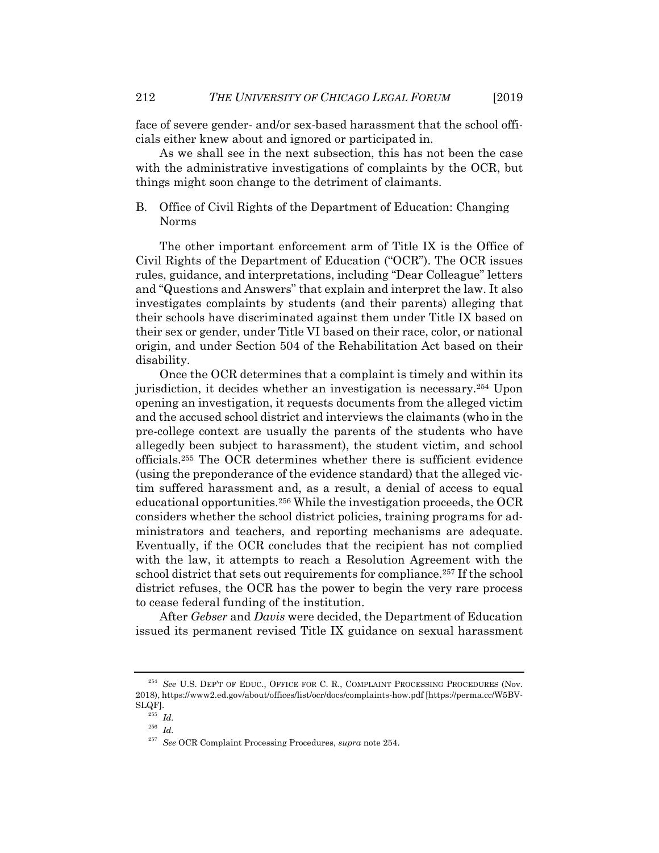face of severe gender- and/or sex-based harassment that the school officials either knew about and ignored or participated in.

As we shall see in the next subsection, this has not been the case with the administrative investigations of complaints by the OCR, but things might soon change to the detriment of claimants.

## B. Office of Civil Rights of the Department of Education: Changing Norms

The other important enforcement arm of Title IX is the Office of Civil Rights of the Department of Education ("OCR"). The OCR issues rules, guidance, and interpretations, including "Dear Colleague" letters and "Questions and Answers" that explain and interpret the law. It also investigates complaints by students (and their parents) alleging that their schools have discriminated against them under Title IX based on their sex or gender, under Title VI based on their race, color, or national origin, and under Section 504 of the Rehabilitation Act based on their disability.

Once the OCR determines that a complaint is timely and within its jurisdiction, it decides whether an investigation is necessary.254 Upon opening an investigation, it requests documents from the alleged victim and the accused school district and interviews the claimants (who in the pre-college context are usually the parents of the students who have allegedly been subject to harassment), the student victim, and school officials.255 The OCR determines whether there is sufficient evidence (using the preponderance of the evidence standard) that the alleged victim suffered harassment and, as a result, a denial of access to equal educational opportunities.256 While the investigation proceeds, the OCR considers whether the school district policies, training programs for administrators and teachers, and reporting mechanisms are adequate. Eventually, if the OCR concludes that the recipient has not complied with the law, it attempts to reach a Resolution Agreement with the school district that sets out requirements for compliance.<sup>257</sup> If the school district refuses, the OCR has the power to begin the very rare process to cease federal funding of the institution.

After *Gebser* and *Davis* were decided, the Department of Education issued its permanent revised Title IX guidance on sexual harassment

<sup>&</sup>lt;sup>254</sup> See U.S. DEP'T OF EDUC., OFFICE FOR C. R., COMPLAINT PROCESSING PROCEDURES (Nov. 2018), https://www2.ed.gov/about/offices/list/ocr/docs/complaints-how.pdf [https://perma.cc/W5BV- $\label{eq:SLQF} \overset{\text{SLQF}}{\rightharpoonup} \overset{\text{255}}{Id}.$ 

<sup>256</sup> *Id.*

<sup>257</sup> *See* OCR Complaint Processing Procedures, *supra* note 254.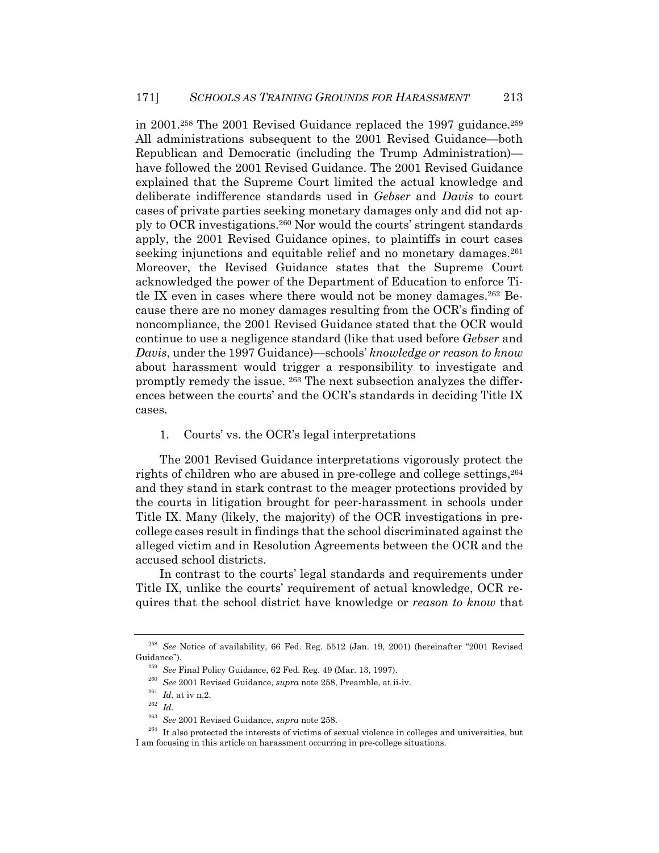in 2001.<sup>258</sup> The 2001 Revised Guidance replaced the 1997 guidance.<sup>259</sup> All administrations subsequent to the 2001 Revised Guidance—both Republican and Democratic (including the Trump Administration) have followed the 2001 Revised Guidance. The 2001 Revised Guidance explained that the Supreme Court limited the actual knowledge and deliberate indifference standards used in *Gebser* and *Davis* to court cases of private parties seeking monetary damages only and did not apply to OCR investigations.260 Nor would the courts' stringent standards apply, the 2001 Revised Guidance opines, to plaintiffs in court cases seeking injunctions and equitable relief and no monetary damages.<sup>261</sup> Moreover, the Revised Guidance states that the Supreme Court acknowledged the power of the Department of Education to enforce Title IX even in cases where there would not be money damages.262 Because there are no money damages resulting from the OCR's finding of noncompliance, the 2001 Revised Guidance stated that the OCR would continue to use a negligence standard (like that used before *Gebser* and *Davis*, under the 1997 Guidance)—schools' *knowledge or reason to know* about harassment would trigger a responsibility to investigate and promptly remedy the issue. 263 The next subsection analyzes the differences between the courts' and the OCR's standards in deciding Title IX cases.

#### 1. Courts' vs. the OCR's legal interpretations

The 2001 Revised Guidance interpretations vigorously protect the rights of children who are abused in pre-college and college settings,  $264$ and they stand in stark contrast to the meager protections provided by the courts in litigation brought for peer-harassment in schools under Title IX. Many (likely, the majority) of the OCR investigations in precollege cases result in findings that the school discriminated against the alleged victim and in Resolution Agreements between the OCR and the accused school districts.

In contrast to the courts' legal standards and requirements under Title IX, unlike the courts' requirement of actual knowledge, OCR requires that the school district have knowledge or *reason to know* that

<sup>258</sup> *See* Notice of availability, 66 Fed. Reg. 5512 (Jan. 19, 2001) (hereinafter "2001 Revised Guidance").<br><sup>259</sup> See Final Policy Guidance, 62 Fed. Reg. 49 (Mar. 13, 1997).<br><sup>260</sup> See 2001 Revised Guidance, *supra* note 258, Preamble, at ii-iv.<br><sup>261</sup> Id.<br><sup>262</sup> See 2001 Revised Guidance, *supra* note 258.

<sup>&</sup>lt;sup>264</sup> It also protected the interests of victims of sexual violence in colleges and universities, but I am focusing in this article on harassment occurring in pre-college situations.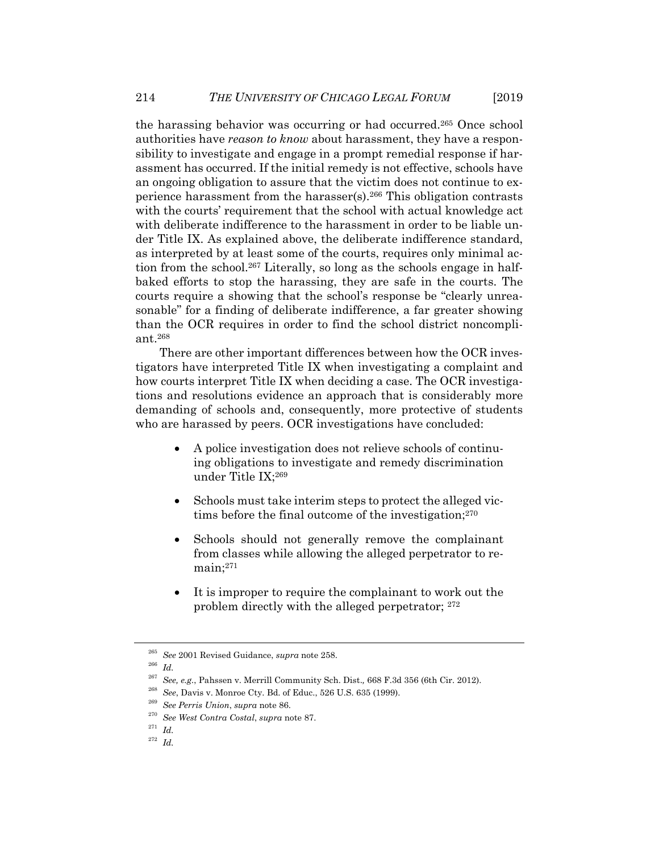the harassing behavior was occurring or had occurred.265 Once school authorities have *reason to know* about harassment, they have a responsibility to investigate and engage in a prompt remedial response if harassment has occurred. If the initial remedy is not effective, schools have an ongoing obligation to assure that the victim does not continue to experience harassment from the harasser(s).266 This obligation contrasts with the courts' requirement that the school with actual knowledge act with deliberate indifference to the harassment in order to be liable under Title IX. As explained above, the deliberate indifference standard, as interpreted by at least some of the courts, requires only minimal action from the school.267 Literally, so long as the schools engage in halfbaked efforts to stop the harassing, they are safe in the courts. The courts require a showing that the school's response be "clearly unreasonable" for a finding of deliberate indifference, a far greater showing than the OCR requires in order to find the school district noncompliant.268

There are other important differences between how the OCR investigators have interpreted Title IX when investigating a complaint and how courts interpret Title IX when deciding a case. The OCR investigations and resolutions evidence an approach that is considerably more demanding of schools and, consequently, more protective of students who are harassed by peers. OCR investigations have concluded:

- A police investigation does not relieve schools of continuing obligations to investigate and remedy discrimination under Title IX;269
- Schools must take interim steps to protect the alleged victims before the final outcome of the investigation;270
- Schools should not generally remove the complainant from classes while allowing the alleged perpetrator to remain;271
- It is improper to require the complainant to work out the problem directly with the alleged perpetrator; 272

<sup>265</sup> *See* 2001 Revised Guidance, *supra* note 258. 266 *Id.* 

<sup>&</sup>lt;sup>267</sup> See, e.g., Pahssen v. Merrill Community Sch. Dist., 668 F.3d 356 (6th Cir. 2012).<br><sup>268</sup> See, Davis v. Monroe Cty. Bd. of Educ., 526 U.S. 635 (1999).<br><sup>269</sup> See Perris Union, supra note 86.<br><sup>270</sup> See West Contra Costa

<sup>272</sup> *Id.*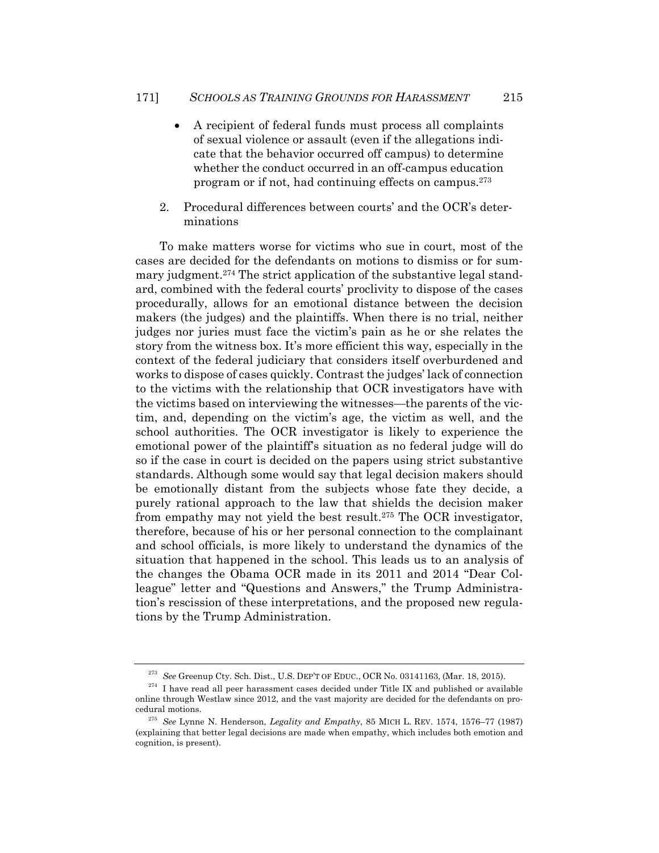- A recipient of federal funds must process all complaints of sexual violence or assault (even if the allegations indicate that the behavior occurred off campus) to determine whether the conduct occurred in an off-campus education program or if not, had continuing effects on campus.273
- 2. Procedural differences between courts' and the OCR's determinations

To make matters worse for victims who sue in court, most of the cases are decided for the defendants on motions to dismiss or for summary judgment.274 The strict application of the substantive legal standard, combined with the federal courts' proclivity to dispose of the cases procedurally, allows for an emotional distance between the decision makers (the judges) and the plaintiffs. When there is no trial, neither judges nor juries must face the victim's pain as he or she relates the story from the witness box. It's more efficient this way, especially in the context of the federal judiciary that considers itself overburdened and works to dispose of cases quickly. Contrast the judges' lack of connection to the victims with the relationship that OCR investigators have with the victims based on interviewing the witnesses—the parents of the victim, and, depending on the victim's age, the victim as well, and the school authorities. The OCR investigator is likely to experience the emotional power of the plaintiff's situation as no federal judge will do so if the case in court is decided on the papers using strict substantive standards. Although some would say that legal decision makers should be emotionally distant from the subjects whose fate they decide, a purely rational approach to the law that shields the decision maker from empathy may not yield the best result.275 The OCR investigator, therefore, because of his or her personal connection to the complainant and school officials, is more likely to understand the dynamics of the situation that happened in the school. This leads us to an analysis of the changes the Obama OCR made in its 2011 and 2014 "Dear Colleague" letter and "Questions and Answers," the Trump Administration's rescission of these interpretations, and the proposed new regulations by the Trump Administration.

<sup>&</sup>lt;sup>273</sup> See Greenup Cty. Sch. Dist., U.S. DEP'T OF EDUC., OCR No. 03141163, (Mar. 18, 2015).<br><sup>274</sup> I have read all peer harassment cases decided under Title IX and published or available

online through Westlaw since 2012, and the vast majority are decided for the defendants on pro-

cedural motions. 275 *See* Lynne N. Henderson, *Legality and Empathy*, 85 MICH L. REV. 1574, 1576–77 (1987) (explaining that better legal decisions are made when empathy, which includes both emotion and cognition, is present).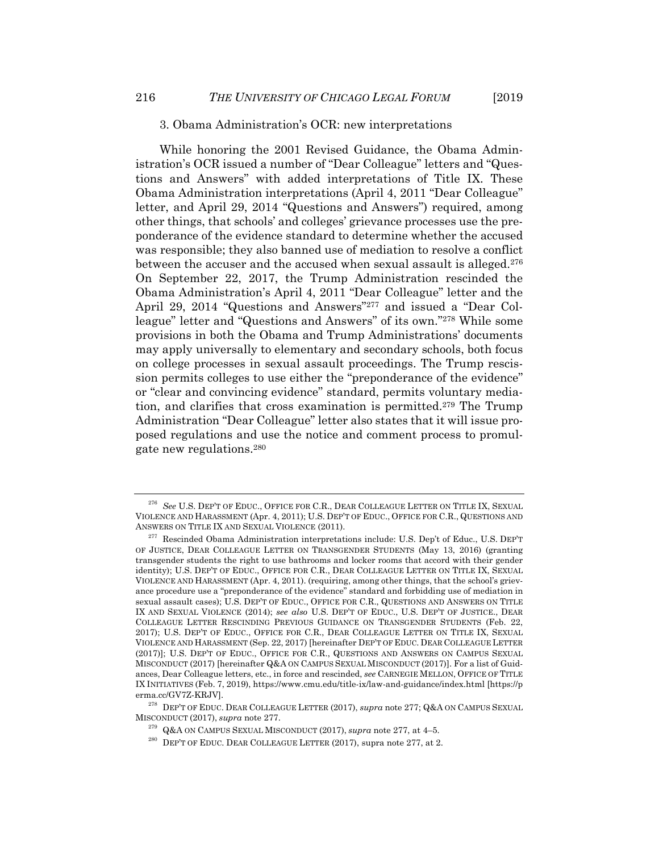#### 3. Obama Administration's OCR: new interpretations

While honoring the 2001 Revised Guidance, the Obama Administration's OCR issued a number of "Dear Colleague" letters and "Questions and Answers" with added interpretations of Title IX. These Obama Administration interpretations (April 4, 2011 "Dear Colleague" letter, and April 29, 2014 "Questions and Answers") required, among other things, that schools' and colleges' grievance processes use the preponderance of the evidence standard to determine whether the accused was responsible; they also banned use of mediation to resolve a conflict between the accuser and the accused when sexual assault is alleged.276 On September 22, 2017, the Trump Administration rescinded the Obama Administration's April 4, 2011 "Dear Colleague" letter and the April 29, 2014 "Questions and Answers"277 and issued a "Dear Colleague" letter and "Questions and Answers" of its own."278 While some provisions in both the Obama and Trump Administrations' documents may apply universally to elementary and secondary schools, both focus on college processes in sexual assault proceedings. The Trump rescission permits colleges to use either the "preponderance of the evidence" or "clear and convincing evidence" standard, permits voluntary mediation, and clarifies that cross examination is permitted.279 The Trump Administration "Dear Colleague" letter also states that it will issue proposed regulations and use the notice and comment process to promulgate new regulations.280

<sup>&</sup>lt;sup>276</sup> See U.S. DEP'T OF EDUC., OFFICE FOR C.R., DEAR COLLEAGUE LETTER ON TITLE IX, SEXUAL VIOLENCE AND HARASSMENT (Apr. 4, 2011); U.S. DEP'T OF EDUC., OFFICE FOR C.R., QUESTIONS AND

 $^{277}$  Rescinded Obama Administration interpretations include: U.S. Dep't of Educ., U.S. DEP'T OF JUSTICE, DEAR COLLEAGUE LETTER ON TRANSGENDER STUDENTS (May 13, 2016) (granting transgender students the right to use bathrooms and locker rooms that accord with their gender identity); U.S. DEP'T OF EDUC., OFFICE FOR C.R., DEAR COLLEAGUE LETTER ON TITLE IX, SEXUAL VIOLENCE AND HARASSMENT (Apr. 4, 2011). (requiring, among other things, that the school's grievance procedure use a "preponderance of the evidence" standard and forbidding use of mediation in sexual assault cases); U.S. DEP'T OF EDUC., OFFICE FOR C.R., QUESTIONS AND ANSWERS ON TITLE IX AND SEXUAL VIOLENCE (2014); *see also* U.S. DEP'T OF EDUC., U.S. DEP'T OF JUSTICE., DEAR COLLEAGUE LETTER RESCINDING PREVIOUS GUIDANCE ON TRANSGENDER STUDENTS (Feb. 22, 2017); U.S. DEP'T OF EDUC., OFFICE FOR C.R., DEAR COLLEAGUE LETTER ON TITLE IX, SEXUAL VIOLENCE AND HARASSMENT (Sep. 22, 2017) [hereinafter DEP'T OF EDUC. DEAR COLLEAGUE LETTER (2017)]; U.S. DEP'T OF EDUC., OFFICE FOR C.R., QUESTIONS AND ANSWERS ON CAMPUS SEXUAL MISCONDUCT (2017) [hereinafter Q&A ON CAMPUS SEXUAL MISCONDUCT (2017)]. For a list of Guidances, Dear Colleague letters, etc., in force and rescinded, *see* CARNEGIE MELLON, OFFICE OF TITLE IX INITIATIVES (Feb. 7, 2019), https://www.cmu.edu/title-ix/law-and-guidance/index.html [https://p

erma.cc/GV7Z-KRJV].<br><sup>278</sup> DEP'T OF EDUC. DEAR COLLEAGUE LETTER (2017), *supra* note 277; Q&A ON CAMPUS SEXUAL<br>MISCONDUCT (2017), *supra* note 277.

<sup>&</sup>lt;sup>279</sup> Q&A ON CAMPUS SEXUAL MISCONDUCT (2017), *supra* note 277, at 4–5.<br><sup>280</sup> DEP'T OF EDUC. DEAR COLLEAGUE LETTER (2017), supra note 277, at 2.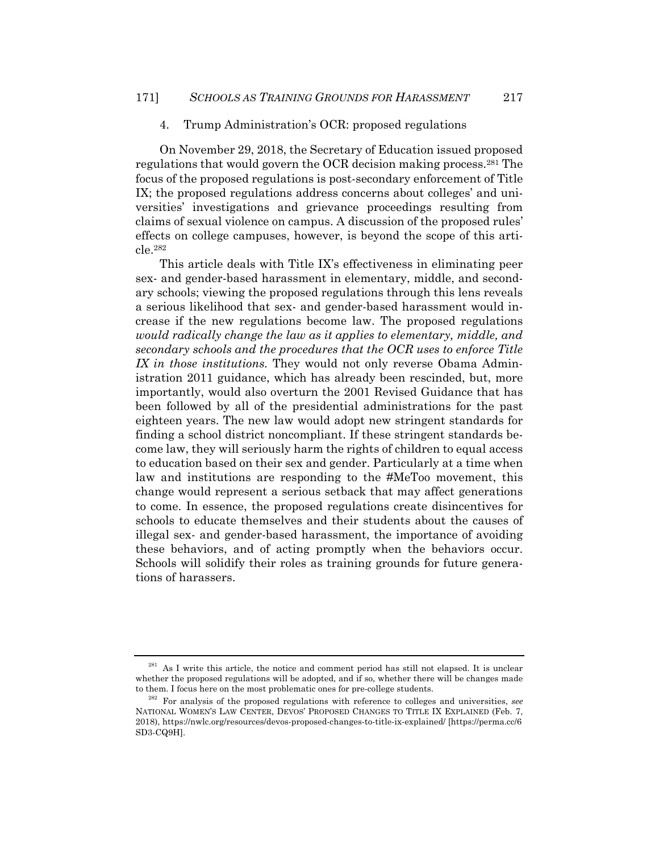#### 4. Trump Administration's OCR: proposed regulations

On November 29, 2018, the Secretary of Education issued proposed regulations that would govern the OCR decision making process.281 The focus of the proposed regulations is post-secondary enforcement of Title IX; the proposed regulations address concerns about colleges' and universities' investigations and grievance proceedings resulting from claims of sexual violence on campus. A discussion of the proposed rules' effects on college campuses, however, is beyond the scope of this article.282

This article deals with Title IX's effectiveness in eliminating peer sex- and gender-based harassment in elementary, middle, and secondary schools; viewing the proposed regulations through this lens reveals a serious likelihood that sex- and gender-based harassment would increase if the new regulations become law. The proposed regulations *would radically change the law as it applies to elementary, middle, and secondary schools and the procedures that the OCR uses to enforce Title IX in those institutions.* They would not only reverse Obama Administration 2011 guidance, which has already been rescinded, but, more importantly, would also overturn the 2001 Revised Guidance that has been followed by all of the presidential administrations for the past eighteen years. The new law would adopt new stringent standards for finding a school district noncompliant. If these stringent standards become law, they will seriously harm the rights of children to equal access to education based on their sex and gender. Particularly at a time when law and institutions are responding to the #MeToo movement, this change would represent a serious setback that may affect generations to come. In essence, the proposed regulations create disincentives for schools to educate themselves and their students about the causes of illegal sex- and gender-based harassment, the importance of avoiding these behaviors, and of acting promptly when the behaviors occur. Schools will solidify their roles as training grounds for future generations of harassers.

 $281$  As I write this article, the notice and comment period has still not elapsed. It is unclear whether the proposed regulations will be adopted, and if so, whether there will be changes made<br>to them. I focus here on the most problematic ones for pre-college students.

<sup>&</sup>lt;sup>282</sup> For analysis of the proposed regulations with reference to colleges and universities, *see* NATIONAL WOMEN'S LAW CENTER, DEVOS' PROPOSED CHANGES TO TITLE IX EXPLAINED (Feb. 7, 2018), https://nwlc.org/resources/devos-proposed-changes-to-title-ix-explained/ [https://perma.cc/6 SD3-CQ9H].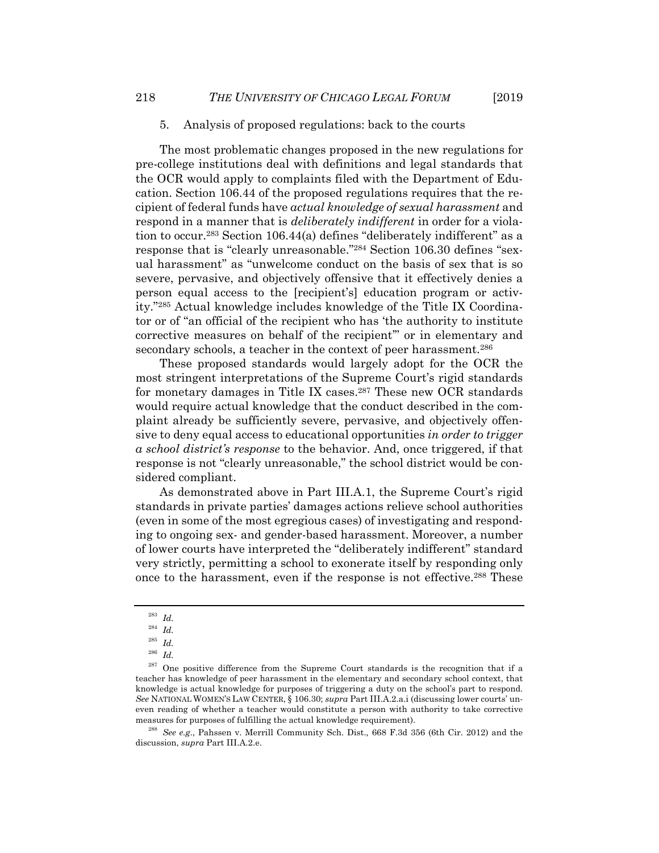The most problematic changes proposed in the new regulations for pre-college institutions deal with definitions and legal standards that the OCR would apply to complaints filed with the Department of Education. Section 106.44 of the proposed regulations requires that the recipient of federal funds have *actual knowledge of sexual harassment* and respond in a manner that is *deliberately indifferent* in order for a violation to occur.283 Section 106.44(a) defines "deliberately indifferent" as a response that is "clearly unreasonable."284 Section 106.30 defines "sexual harassment" as "unwelcome conduct on the basis of sex that is so severe, pervasive, and objectively offensive that it effectively denies a person equal access to the [recipient's] education program or activity."285 Actual knowledge includes knowledge of the Title IX Coordinator or of "an official of the recipient who has 'the authority to institute corrective measures on behalf of the recipient'" or in elementary and secondary schools, a teacher in the context of peer harassment.<sup>286</sup>

These proposed standards would largely adopt for the OCR the most stringent interpretations of the Supreme Court's rigid standards for monetary damages in Title IX cases.<sup>287</sup> These new OCR standards would require actual knowledge that the conduct described in the complaint already be sufficiently severe, pervasive, and objectively offensive to deny equal access to educational opportunities *in order to trigger a school district's response* to the behavior. And, once triggered, if that response is not "clearly unreasonable," the school district would be considered compliant.

As demonstrated above in Part III.A.1, the Supreme Court's rigid standards in private parties' damages actions relieve school authorities (even in some of the most egregious cases) of investigating and responding to ongoing sex- and gender-based harassment. Moreover, a number of lower courts have interpreted the "deliberately indifferent" standard very strictly, permitting a school to exonerate itself by responding only once to the harassment, even if the response is not effective.288 These

discussion, *supra* Part III.A.2.e.

<sup>283</sup> *Id.* 

<sup>284</sup> *Id.* 

<sup>285</sup> *Id.*

<sup>286</sup> *Id.* 

 $287$  One positive difference from the Supreme Court standards is the recognition that if a teacher has knowledge of peer harassment in the elementary and secondary school context, that knowledge is actual knowledge for purposes of triggering a duty on the school's part to respond. *See* NATIONAL WOMEN'S LAW CENTER, § 106.30; *supra* Part III.A.2.a.i (discussing lower courts' uneven reading of whether a teacher would constitute a person with authority to take corrective measures for purposes of fulfilling the actual knowledge requirement). 288 *See e.g*., Pahssen v. Merrill Community Sch. Dist.*,* 668 F.3d 356 (6th Cir. 2012) and the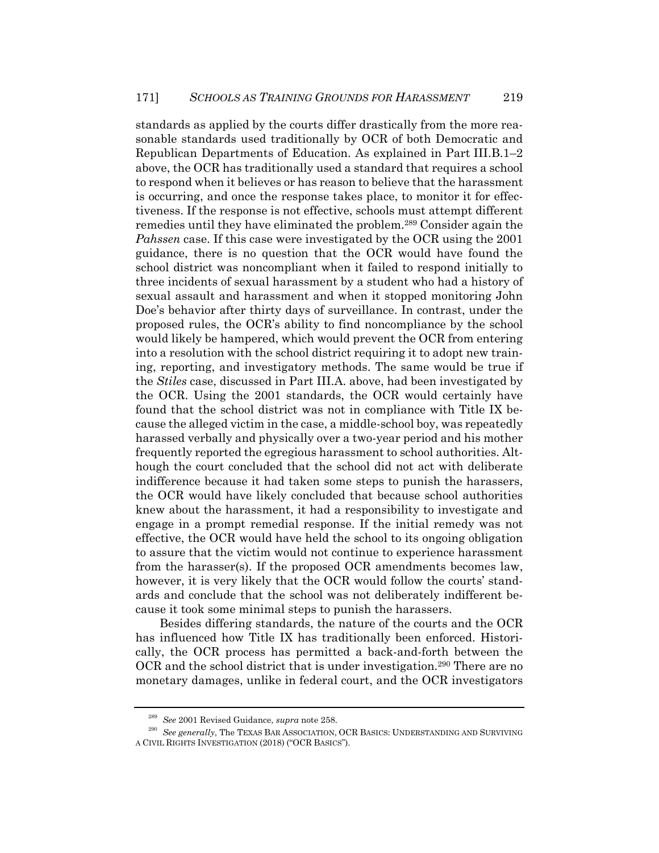standards as applied by the courts differ drastically from the more reasonable standards used traditionally by OCR of both Democratic and Republican Departments of Education. As explained in Part III.B.1–2 above, the OCR has traditionally used a standard that requires a school to respond when it believes or has reason to believe that the harassment is occurring, and once the response takes place, to monitor it for effectiveness. If the response is not effective, schools must attempt different remedies until they have eliminated the problem.289 Consider again the *Pahssen* case. If this case were investigated by the OCR using the 2001 guidance, there is no question that the OCR would have found the school district was noncompliant when it failed to respond initially to three incidents of sexual harassment by a student who had a history of sexual assault and harassment and when it stopped monitoring John Doe's behavior after thirty days of surveillance. In contrast, under the proposed rules, the OCR's ability to find noncompliance by the school would likely be hampered, which would prevent the OCR from entering into a resolution with the school district requiring it to adopt new training, reporting, and investigatory methods. The same would be true if the *Stiles* case, discussed in Part III.A. above, had been investigated by the OCR. Using the 2001 standards, the OCR would certainly have found that the school district was not in compliance with Title IX because the alleged victim in the case, a middle-school boy, was repeatedly harassed verbally and physically over a two-year period and his mother frequently reported the egregious harassment to school authorities. Although the court concluded that the school did not act with deliberate indifference because it had taken some steps to punish the harassers, the OCR would have likely concluded that because school authorities knew about the harassment, it had a responsibility to investigate and engage in a prompt remedial response. If the initial remedy was not effective, the OCR would have held the school to its ongoing obligation to assure that the victim would not continue to experience harassment from the harasser(s). If the proposed OCR amendments becomes law, however, it is very likely that the OCR would follow the courts' standards and conclude that the school was not deliberately indifferent because it took some minimal steps to punish the harassers.

Besides differing standards, the nature of the courts and the OCR has influenced how Title IX has traditionally been enforced. Historically, the OCR process has permitted a back-and-forth between the OCR and the school district that is under investigation.290 There are no monetary damages, unlike in federal court, and the OCR investigators

<sup>&</sup>lt;sup>289</sup> See 2001 Revised Guidance, *supra* note 258.<br><sup>290</sup> See generally, The TEXAS BAR ASSOCIATION, OCR BASICS: UNDERSTANDING AND SURVIVING A CIVIL RIGHTS INVESTIGATION (2018) ("OCR BASICS").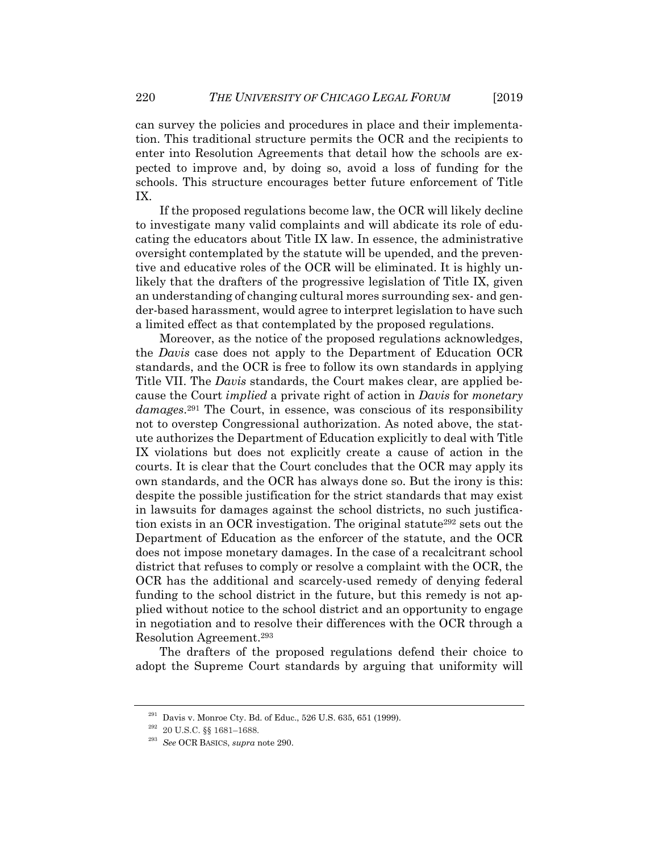can survey the policies and procedures in place and their implementation. This traditional structure permits the OCR and the recipients to enter into Resolution Agreements that detail how the schools are expected to improve and, by doing so, avoid a loss of funding for the schools. This structure encourages better future enforcement of Title IX.

If the proposed regulations become law, the OCR will likely decline to investigate many valid complaints and will abdicate its role of educating the educators about Title IX law. In essence, the administrative oversight contemplated by the statute will be upended, and the preventive and educative roles of the OCR will be eliminated. It is highly unlikely that the drafters of the progressive legislation of Title IX, given an understanding of changing cultural mores surrounding sex- and gender-based harassment, would agree to interpret legislation to have such a limited effect as that contemplated by the proposed regulations.

Moreover, as the notice of the proposed regulations acknowledges, the *Davis* case does not apply to the Department of Education OCR standards, and the OCR is free to follow its own standards in applying Title VII. The *Davis* standards, the Court makes clear, are applied because the Court *implied* a private right of action in *Davis* for *monetary damages*.291 The Court, in essence, was conscious of its responsibility not to overstep Congressional authorization. As noted above, the statute authorizes the Department of Education explicitly to deal with Title IX violations but does not explicitly create a cause of action in the courts. It is clear that the Court concludes that the OCR may apply its own standards, and the OCR has always done so. But the irony is this: despite the possible justification for the strict standards that may exist in lawsuits for damages against the school districts, no such justification exists in an OCR investigation. The original statute292 sets out the Department of Education as the enforcer of the statute, and the OCR does not impose monetary damages. In the case of a recalcitrant school district that refuses to comply or resolve a complaint with the OCR, the OCR has the additional and scarcely-used remedy of denying federal funding to the school district in the future, but this remedy is not applied without notice to the school district and an opportunity to engage in negotiation and to resolve their differences with the OCR through a Resolution Agreement.293

The drafters of the proposed regulations defend their choice to adopt the Supreme Court standards by arguing that uniformity will

<sup>&</sup>lt;sup>291</sup> Davis v. Monroe Cty. Bd. of Educ., 526 U.S. 635, 651 (1999).<br><sup>292</sup> 20 U.S.C. §§ 1681–1688.

<sup>293</sup> *See* OCR BASICS, *supra* note 290.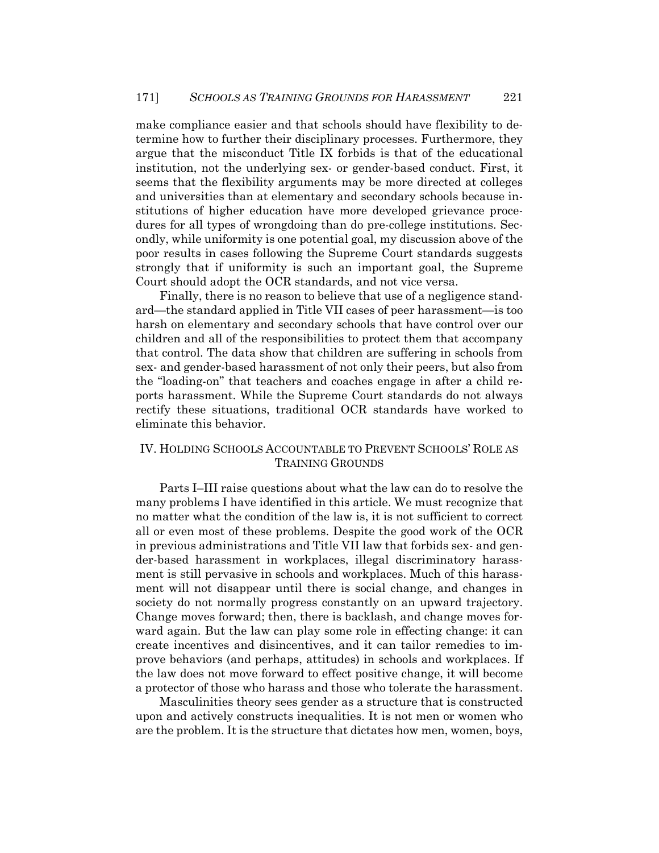make compliance easier and that schools should have flexibility to determine how to further their disciplinary processes. Furthermore, they argue that the misconduct Title IX forbids is that of the educational institution, not the underlying sex- or gender-based conduct. First, it seems that the flexibility arguments may be more directed at colleges and universities than at elementary and secondary schools because institutions of higher education have more developed grievance procedures for all types of wrongdoing than do pre-college institutions. Secondly, while uniformity is one potential goal, my discussion above of the poor results in cases following the Supreme Court standards suggests strongly that if uniformity is such an important goal, the Supreme Court should adopt the OCR standards, and not vice versa.

Finally, there is no reason to believe that use of a negligence standard—the standard applied in Title VII cases of peer harassment—is too harsh on elementary and secondary schools that have control over our children and all of the responsibilities to protect them that accompany that control. The data show that children are suffering in schools from sex- and gender-based harassment of not only their peers, but also from the "loading-on" that teachers and coaches engage in after a child reports harassment. While the Supreme Court standards do not always rectify these situations, traditional OCR standards have worked to eliminate this behavior.

## IV. HOLDING SCHOOLS ACCOUNTABLE TO PREVENT SCHOOLS' ROLE AS TRAINING GROUNDS

Parts I–III raise questions about what the law can do to resolve the many problems I have identified in this article. We must recognize that no matter what the condition of the law is, it is not sufficient to correct all or even most of these problems. Despite the good work of the OCR in previous administrations and Title VII law that forbids sex- and gender-based harassment in workplaces, illegal discriminatory harassment is still pervasive in schools and workplaces. Much of this harassment will not disappear until there is social change, and changes in society do not normally progress constantly on an upward trajectory. Change moves forward; then, there is backlash, and change moves forward again. But the law can play some role in effecting change: it can create incentives and disincentives, and it can tailor remedies to improve behaviors (and perhaps, attitudes) in schools and workplaces. If the law does not move forward to effect positive change, it will become a protector of those who harass and those who tolerate the harassment.

Masculinities theory sees gender as a structure that is constructed upon and actively constructs inequalities. It is not men or women who are the problem. It is the structure that dictates how men, women, boys,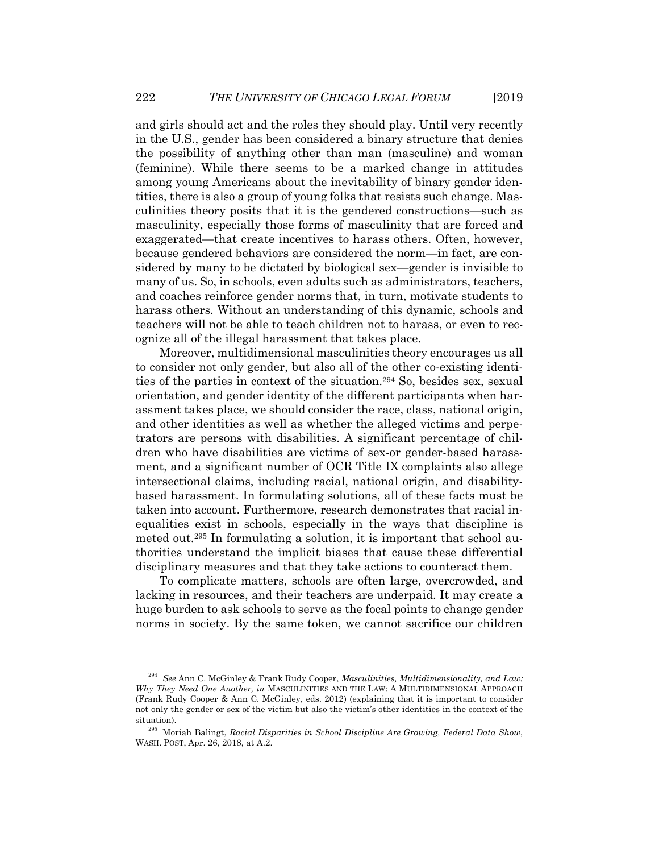and girls should act and the roles they should play. Until very recently in the U.S., gender has been considered a binary structure that denies the possibility of anything other than man (masculine) and woman (feminine). While there seems to be a marked change in attitudes among young Americans about the inevitability of binary gender identities, there is also a group of young folks that resists such change. Masculinities theory posits that it is the gendered constructions—such as masculinity, especially those forms of masculinity that are forced and exaggerated—that create incentives to harass others. Often, however, because gendered behaviors are considered the norm—in fact, are considered by many to be dictated by biological sex—gender is invisible to many of us. So, in schools, even adults such as administrators, teachers, and coaches reinforce gender norms that, in turn, motivate students to harass others. Without an understanding of this dynamic, schools and teachers will not be able to teach children not to harass, or even to recognize all of the illegal harassment that takes place.

Moreover, multidimensional masculinities theory encourages us all to consider not only gender, but also all of the other co-existing identities of the parties in context of the situation.294 So, besides sex, sexual orientation, and gender identity of the different participants when harassment takes place, we should consider the race, class, national origin, and other identities as well as whether the alleged victims and perpetrators are persons with disabilities. A significant percentage of children who have disabilities are victims of sex-or gender-based harassment, and a significant number of OCR Title IX complaints also allege intersectional claims, including racial, national origin, and disabilitybased harassment. In formulating solutions, all of these facts must be taken into account. Furthermore, research demonstrates that racial inequalities exist in schools, especially in the ways that discipline is meted out.295 In formulating a solution, it is important that school authorities understand the implicit biases that cause these differential disciplinary measures and that they take actions to counteract them.

To complicate matters, schools are often large, overcrowded, and lacking in resources, and their teachers are underpaid. It may create a huge burden to ask schools to serve as the focal points to change gender norms in society. By the same token, we cannot sacrifice our children

<sup>294</sup> *See* Ann C. McGinley & Frank Rudy Cooper, *Masculinities, Multidimensionality, and Law: Why They Need One Another, in* MASCULINITIES AND THE LAW: A MULTIDIMENSIONAL APPROACH (Frank Rudy Cooper & Ann C. McGinley, eds. 2012) (explaining that it is important to consider not only the gender or sex of the victim but also the victim's other identities in the context of the situation). 295 Moriah Balingt, *Racial Disparities in School Discipline Are Growing, Federal Data Show*,

WASH. POST, Apr. 26, 2018, at A.2.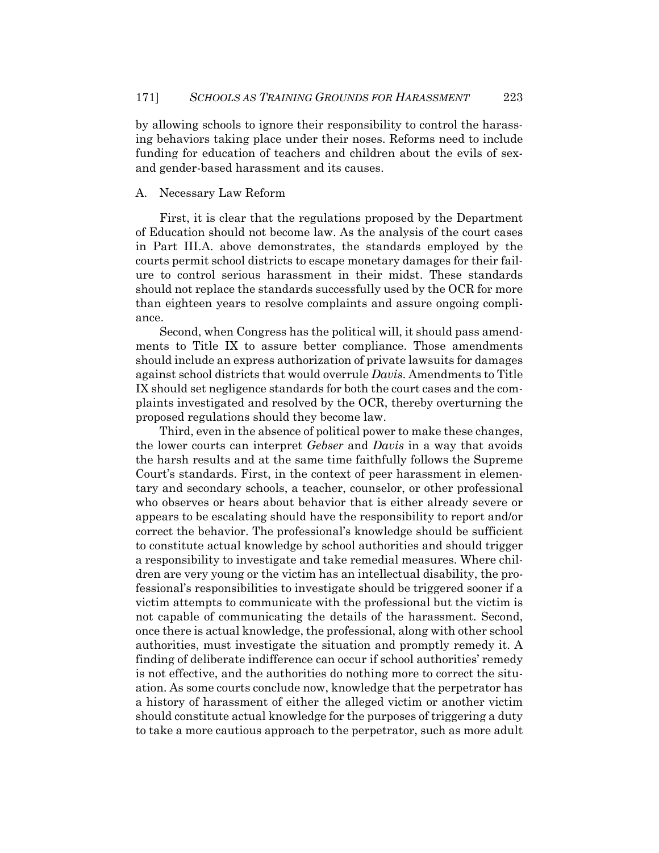by allowing schools to ignore their responsibility to control the harassing behaviors taking place under their noses. Reforms need to include funding for education of teachers and children about the evils of sexand gender-based harassment and its causes.

#### A. Necessary Law Reform

First, it is clear that the regulations proposed by the Department of Education should not become law. As the analysis of the court cases in Part III.A. above demonstrates, the standards employed by the courts permit school districts to escape monetary damages for their failure to control serious harassment in their midst. These standards should not replace the standards successfully used by the OCR for more than eighteen years to resolve complaints and assure ongoing compliance.

Second, when Congress has the political will, it should pass amendments to Title IX to assure better compliance. Those amendments should include an express authorization of private lawsuits for damages against school districts that would overrule *Davis*. Amendments to Title IX should set negligence standards for both the court cases and the complaints investigated and resolved by the OCR, thereby overturning the proposed regulations should they become law.

Third, even in the absence of political power to make these changes, the lower courts can interpret *Gebser* and *Davis* in a way that avoids the harsh results and at the same time faithfully follows the Supreme Court's standards. First, in the context of peer harassment in elementary and secondary schools, a teacher, counselor, or other professional who observes or hears about behavior that is either already severe or appears to be escalating should have the responsibility to report and/or correct the behavior. The professional's knowledge should be sufficient to constitute actual knowledge by school authorities and should trigger a responsibility to investigate and take remedial measures. Where children are very young or the victim has an intellectual disability, the professional's responsibilities to investigate should be triggered sooner if a victim attempts to communicate with the professional but the victim is not capable of communicating the details of the harassment. Second, once there is actual knowledge, the professional, along with other school authorities, must investigate the situation and promptly remedy it. A finding of deliberate indifference can occur if school authorities' remedy is not effective, and the authorities do nothing more to correct the situation. As some courts conclude now, knowledge that the perpetrator has a history of harassment of either the alleged victim or another victim should constitute actual knowledge for the purposes of triggering a duty to take a more cautious approach to the perpetrator, such as more adult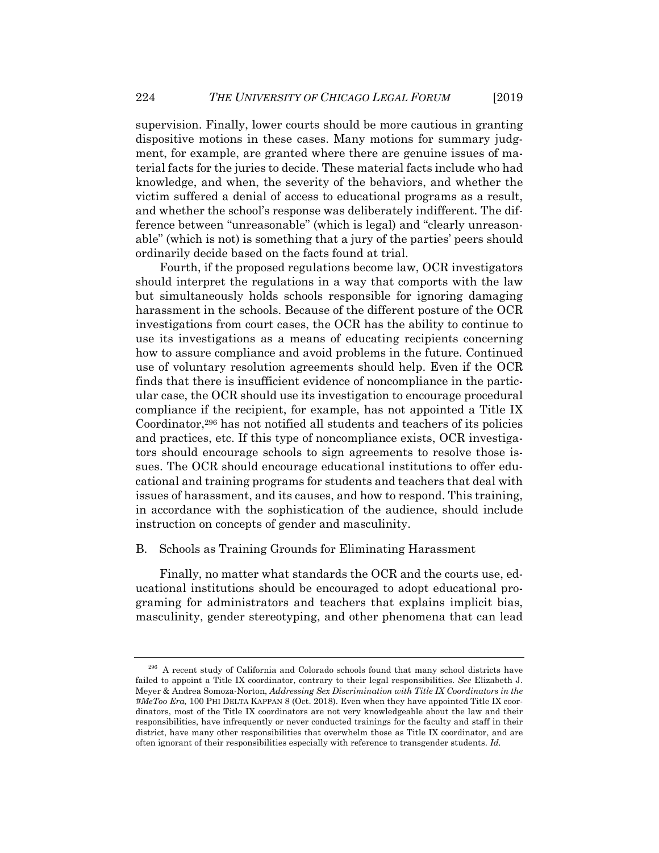supervision. Finally, lower courts should be more cautious in granting dispositive motions in these cases. Many motions for summary judgment, for example, are granted where there are genuine issues of material facts for the juries to decide. These material facts include who had knowledge, and when, the severity of the behaviors, and whether the victim suffered a denial of access to educational programs as a result, and whether the school's response was deliberately indifferent. The difference between "unreasonable" (which is legal) and "clearly unreasonable" (which is not) is something that a jury of the parties' peers should ordinarily decide based on the facts found at trial.

Fourth, if the proposed regulations become law, OCR investigators should interpret the regulations in a way that comports with the law but simultaneously holds schools responsible for ignoring damaging harassment in the schools. Because of the different posture of the OCR investigations from court cases, the OCR has the ability to continue to use its investigations as a means of educating recipients concerning how to assure compliance and avoid problems in the future. Continued use of voluntary resolution agreements should help. Even if the OCR finds that there is insufficient evidence of noncompliance in the particular case, the OCR should use its investigation to encourage procedural compliance if the recipient, for example, has not appointed a Title IX Coordinator,<sup>296</sup> has not notified all students and teachers of its policies and practices, etc. If this type of noncompliance exists, OCR investigators should encourage schools to sign agreements to resolve those issues. The OCR should encourage educational institutions to offer educational and training programs for students and teachers that deal with issues of harassment, and its causes, and how to respond. This training, in accordance with the sophistication of the audience, should include instruction on concepts of gender and masculinity.

## B. Schools as Training Grounds for Eliminating Harassment

Finally, no matter what standards the OCR and the courts use, educational institutions should be encouraged to adopt educational programing for administrators and teachers that explains implicit bias, masculinity, gender stereotyping, and other phenomena that can lead

<sup>296</sup> A recent study of California and Colorado schools found that many school districts have failed to appoint a Title IX coordinator, contrary to their legal responsibilities. *See* Elizabeth J. Meyer & Andrea Somoza-Norton, *Addressing Sex Discrimination with Title IX Coordinators in the #MeToo Era,* 100 PHI DELTA KAPPAN 8 (Oct. 2018). Even when they have appointed Title IX coordinators, most of the Title IX coordinators are not very knowledgeable about the law and their responsibilities, have infrequently or never conducted trainings for the faculty and staff in their district, have many other responsibilities that overwhelm those as Title IX coordinator, and are often ignorant of their responsibilities especially with reference to transgender students. *Id.*